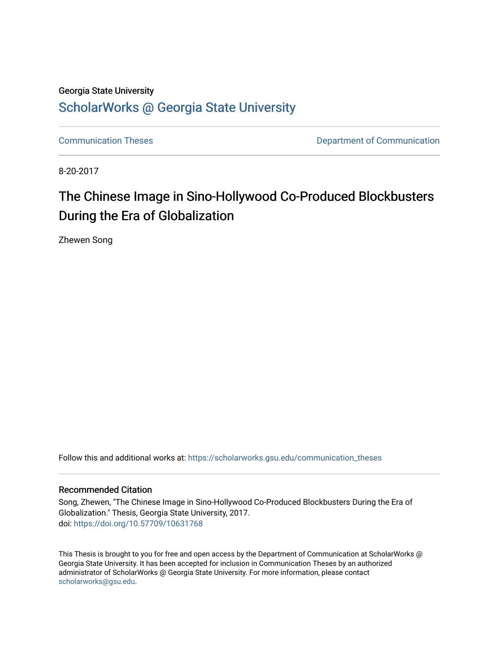### Georgia State University

## [ScholarWorks @ Georgia State University](https://scholarworks.gsu.edu/)

[Communication Theses](https://scholarworks.gsu.edu/communication_theses) **Communication** Department of Communication

8-20-2017

# The Chinese Image in Sino-Hollywood Co-Produced Blockbusters During the Era of Globalization

Zhewen Song

Follow this and additional works at: [https://scholarworks.gsu.edu/communication\\_theses](https://scholarworks.gsu.edu/communication_theses?utm_source=scholarworks.gsu.edu%2Fcommunication_theses%2F117&utm_medium=PDF&utm_campaign=PDFCoverPages) 

### Recommended Citation

Song, Zhewen, "The Chinese Image in Sino-Hollywood Co-Produced Blockbusters During the Era of Globalization." Thesis, Georgia State University, 2017. doi: <https://doi.org/10.57709/10631768>

This Thesis is brought to you for free and open access by the Department of Communication at ScholarWorks @ Georgia State University. It has been accepted for inclusion in Communication Theses by an authorized administrator of ScholarWorks @ Georgia State University. For more information, please contact [scholarworks@gsu.edu.](mailto:scholarworks@gsu.edu)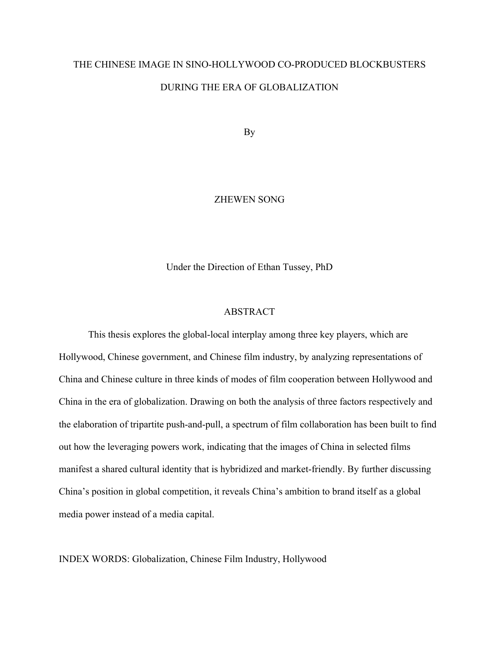# THE CHINESE IMAGE IN SINO-HOLLYWOOD CO-PRODUCED BLOCKBUSTERS DURING THE ERA OF GLOBALIZATION

By

### ZHEWEN SONG

Under the Direction of Ethan Tussey, PhD

### ABSTRACT

This thesis explores the global-local interplay among three key players, which are Hollywood, Chinese government, and Chinese film industry, by analyzing representations of China and Chinese culture in three kinds of modes of film cooperation between Hollywood and China in the era of globalization. Drawing on both the analysis of three factors respectively and the elaboration of tripartite push-and-pull, a spectrum of film collaboration has been built to find out how the leveraging powers work, indicating that the images of China in selected films manifest a shared cultural identity that is hybridized and market-friendly. By further discussing China's position in global competition, it reveals China's ambition to brand itself as a global media power instead of a media capital.

INDEX WORDS: Globalization, Chinese Film Industry, Hollywood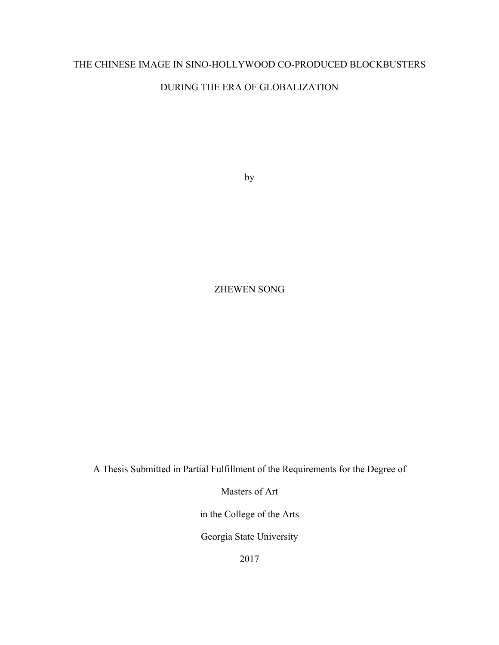### THE CHINESE IMAGE IN SINO-HOLLYWOOD CO-PRODUCED BLOCKBUSTERS

### DURING THE ERA OF GLOBALIZATION

by

### ZHEWEN SONG

A Thesis Submitted in Partial Fulfillment of the Requirements for the Degree of

Masters of Art

in the College of the Arts

Georgia State University

2017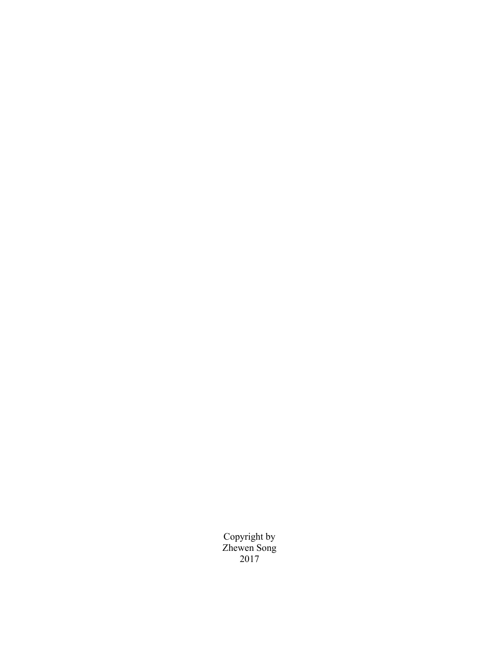Copyright by Zhewen Song 2017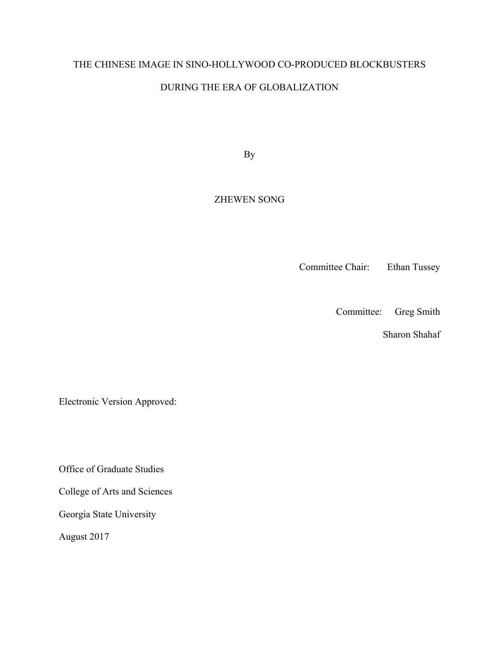# THE CHINESE IMAGE IN SINO-HOLLYWOOD CO-PRODUCED BLOCKBUSTERS

### DURING THE ERA OF GLOBALIZATION

By

### ZHEWEN SONG

Committee Chair: Ethan Tussey

Committee: Greg Smith

Sharon Shahaf

Electronic Version Approved:

Office of Graduate Studies

College of Arts and Sciences

Georgia State University

August 2017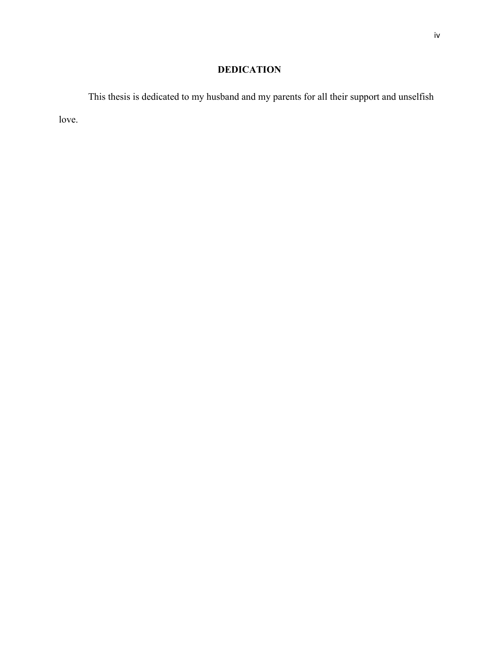## **DEDICATION**

This thesis is dedicated to my husband and my parents for all their support and unselfish love.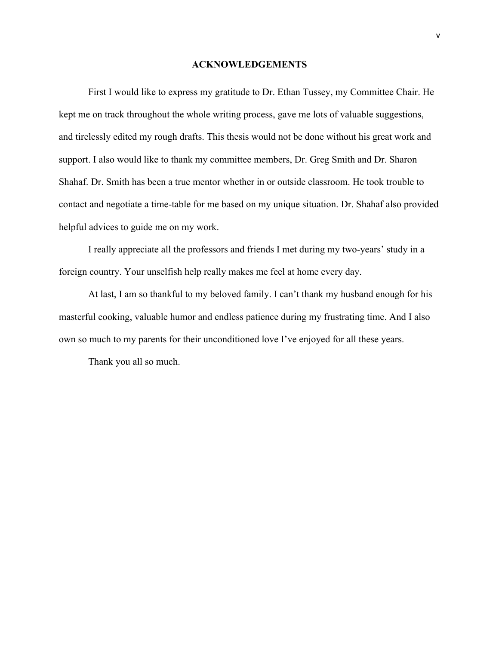#### **ACKNOWLEDGEMENTS**

First I would like to express my gratitude to Dr. Ethan Tussey, my Committee Chair. He kept me on track throughout the whole writing process, gave me lots of valuable suggestions, and tirelessly edited my rough drafts. This thesis would not be done without his great work and support. I also would like to thank my committee members, Dr. Greg Smith and Dr. Sharon Shahaf. Dr. Smith has been a true mentor whether in or outside classroom. He took trouble to contact and negotiate a time-table for me based on my unique situation. Dr. Shahaf also provided helpful advices to guide me on my work.

I really appreciate all the professors and friends I met during my two-years' study in a foreign country. Your unselfish help really makes me feel at home every day.

At last, I am so thankful to my beloved family. I can't thank my husband enough for his masterful cooking, valuable humor and endless patience during my frustrating time. And I also own so much to my parents for their unconditioned love I've enjoyed for all these years.

Thank you all so much.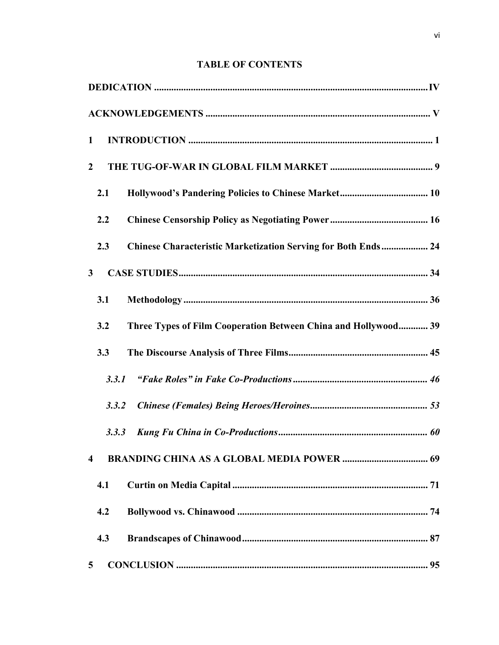### **TABLE OF CONTENTS**

| 1                                                                     |
|-----------------------------------------------------------------------|
| $\overline{2}$                                                        |
| 2.1                                                                   |
| 2.2                                                                   |
| Chinese Characteristic Marketization Serving for Both Ends 24<br>2.3  |
| $\mathbf{3}$                                                          |
| 3.1                                                                   |
| Three Types of Film Cooperation Between China and Hollywood 39<br>3.2 |
| 3.3                                                                   |
| 3.3.1                                                                 |
| 3.3.2                                                                 |
| 3.3.3                                                                 |
| $\overline{\mathbf{4}}$                                               |
| 4.1                                                                   |
| 4.2                                                                   |
| 4.3                                                                   |
| 5                                                                     |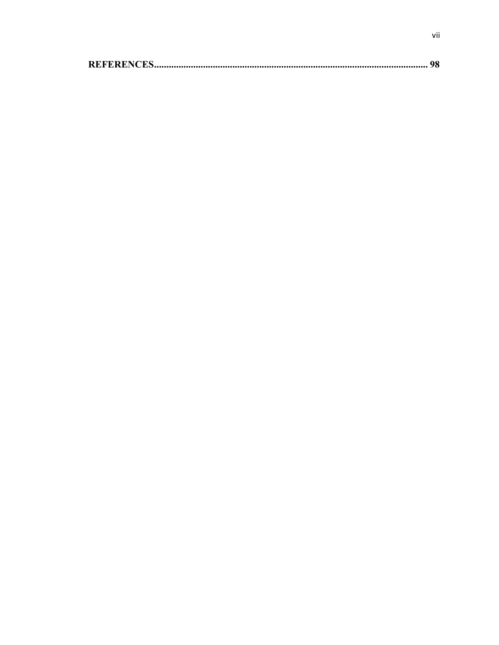|--|--|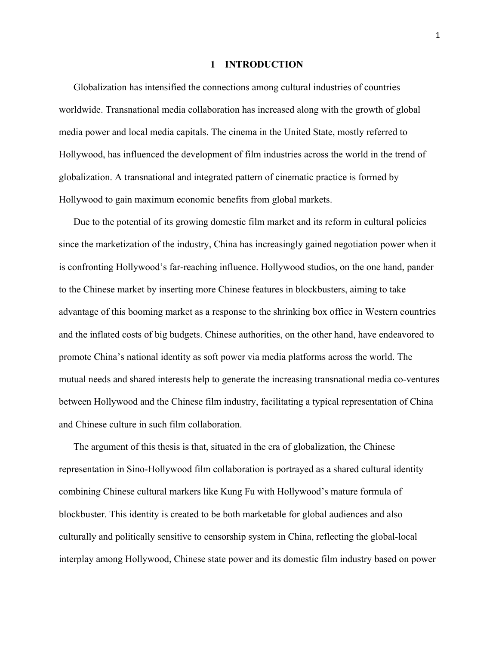#### **1 INTRODUCTION**

Globalization has intensified the connections among cultural industries of countries worldwide. Transnational media collaboration has increased along with the growth of global media power and local media capitals. The cinema in the United State, mostly referred to Hollywood, has influenced the development of film industries across the world in the trend of globalization. A transnational and integrated pattern of cinematic practice is formed by Hollywood to gain maximum economic benefits from global markets.

Due to the potential of its growing domestic film market and its reform in cultural policies since the marketization of the industry, China has increasingly gained negotiation power when it is confronting Hollywood's far-reaching influence. Hollywood studios, on the one hand, pander to the Chinese market by inserting more Chinese features in blockbusters, aiming to take advantage of this booming market as a response to the shrinking box office in Western countries and the inflated costs of big budgets. Chinese authorities, on the other hand, have endeavored to promote China's national identity as soft power via media platforms across the world. The mutual needs and shared interests help to generate the increasing transnational media co-ventures between Hollywood and the Chinese film industry, facilitating a typical representation of China and Chinese culture in such film collaboration.

The argument of this thesis is that, situated in the era of globalization, the Chinese representation in Sino-Hollywood film collaboration is portrayed as a shared cultural identity combining Chinese cultural markers like Kung Fu with Hollywood's mature formula of blockbuster. This identity is created to be both marketable for global audiences and also culturally and politically sensitive to censorship system in China, reflecting the global-local interplay among Hollywood, Chinese state power and its domestic film industry based on power

1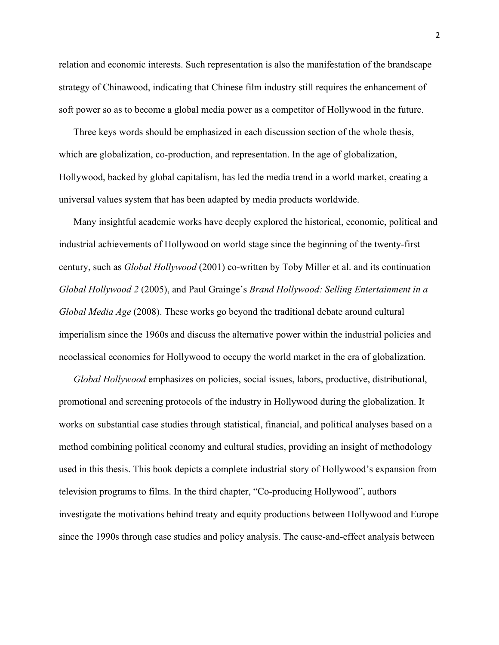relation and economic interests. Such representation is also the manifestation of the brandscape strategy of Chinawood, indicating that Chinese film industry still requires the enhancement of soft power so as to become a global media power as a competitor of Hollywood in the future.

Three keys words should be emphasized in each discussion section of the whole thesis, which are globalization, co-production, and representation. In the age of globalization, Hollywood, backed by global capitalism, has led the media trend in a world market, creating a universal values system that has been adapted by media products worldwide.

Many insightful academic works have deeply explored the historical, economic, political and industrial achievements of Hollywood on world stage since the beginning of the twenty-first century, such as *Global Hollywood* (2001) co-written by Toby Miller et al. and its continuation *Global Hollywood 2* (2005), and Paul Grainge's *Brand Hollywood: Selling Entertainment in a Global Media Age* (2008). These works go beyond the traditional debate around cultural imperialism since the 1960s and discuss the alternative power within the industrial policies and neoclassical economics for Hollywood to occupy the world market in the era of globalization.

*Global Hollywood* emphasizes on policies, social issues, labors, productive, distributional, promotional and screening protocols of the industry in Hollywood during the globalization. It works on substantial case studies through statistical, financial, and political analyses based on a method combining political economy and cultural studies, providing an insight of methodology used in this thesis. This book depicts a complete industrial story of Hollywood's expansion from television programs to films. In the third chapter, "Co-producing Hollywood", authors investigate the motivations behind treaty and equity productions between Hollywood and Europe since the 1990s through case studies and policy analysis. The cause-and-effect analysis between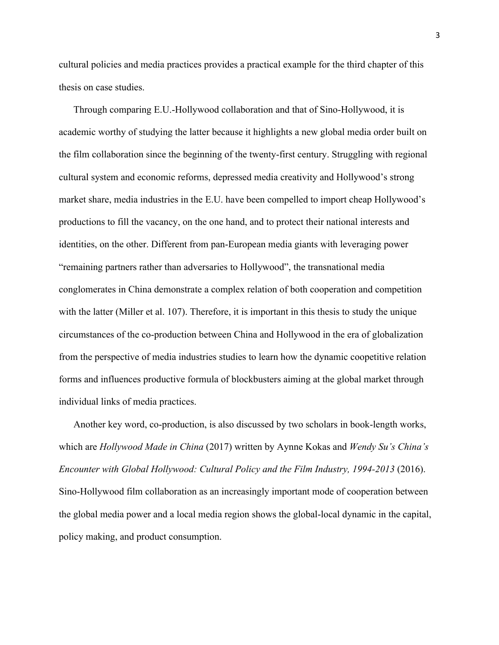cultural policies and media practices provides a practical example for the third chapter of this thesis on case studies.

Through comparing E.U.-Hollywood collaboration and that of Sino-Hollywood, it is academic worthy of studying the latter because it highlights a new global media order built on the film collaboration since the beginning of the twenty-first century. Struggling with regional cultural system and economic reforms, depressed media creativity and Hollywood's strong market share, media industries in the E.U. have been compelled to import cheap Hollywood's productions to fill the vacancy, on the one hand, and to protect their national interests and identities, on the other. Different from pan-European media giants with leveraging power "remaining partners rather than adversaries to Hollywood", the transnational media conglomerates in China demonstrate a complex relation of both cooperation and competition with the latter (Miller et al. 107). Therefore, it is important in this thesis to study the unique circumstances of the co-production between China and Hollywood in the era of globalization from the perspective of media industries studies to learn how the dynamic coopetitive relation forms and influences productive formula of blockbusters aiming at the global market through individual links of media practices.

Another key word, co-production, is also discussed by two scholars in book-length works, which are *Hollywood Made in China* (2017) written by Aynne Kokas and *Wendy Su's China's Encounter with Global Hollywood: Cultural Policy and the Film Industry, 1994-2013* (2016). Sino-Hollywood film collaboration as an increasingly important mode of cooperation between the global media power and a local media region shows the global-local dynamic in the capital, policy making, and product consumption.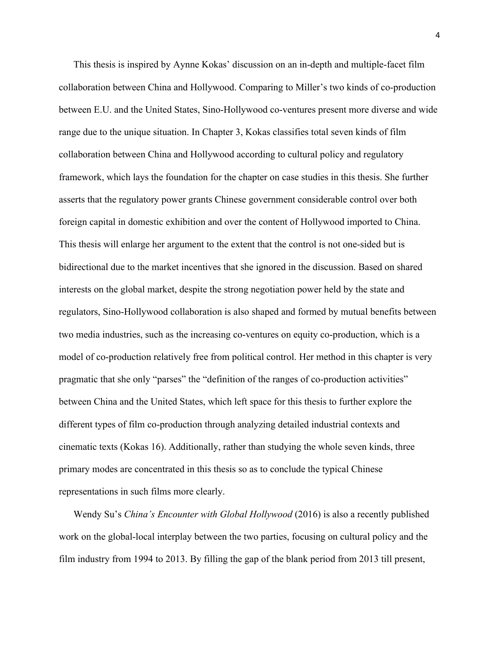This thesis is inspired by Aynne Kokas' discussion on an in-depth and multiple-facet film collaboration between China and Hollywood. Comparing to Miller's two kinds of co-production between E.U. and the United States, Sino-Hollywood co-ventures present more diverse and wide range due to the unique situation. In Chapter 3, Kokas classifies total seven kinds of film collaboration between China and Hollywood according to cultural policy and regulatory framework, which lays the foundation for the chapter on case studies in this thesis. She further asserts that the regulatory power grants Chinese government considerable control over both foreign capital in domestic exhibition and over the content of Hollywood imported to China. This thesis will enlarge her argument to the extent that the control is not one-sided but is bidirectional due to the market incentives that she ignored in the discussion. Based on shared interests on the global market, despite the strong negotiation power held by the state and regulators, Sino-Hollywood collaboration is also shaped and formed by mutual benefits between two media industries, such as the increasing co-ventures on equity co-production, which is a model of co-production relatively free from political control. Her method in this chapter is very pragmatic that she only "parses" the "definition of the ranges of co-production activities" between China and the United States, which left space for this thesis to further explore the different types of film co-production through analyzing detailed industrial contexts and cinematic texts (Kokas 16). Additionally, rather than studying the whole seven kinds, three primary modes are concentrated in this thesis so as to conclude the typical Chinese representations in such films more clearly.

Wendy Su's *China's Encounter with Global Hollywood* (2016) is also a recently published work on the global-local interplay between the two parties, focusing on cultural policy and the film industry from 1994 to 2013. By filling the gap of the blank period from 2013 till present,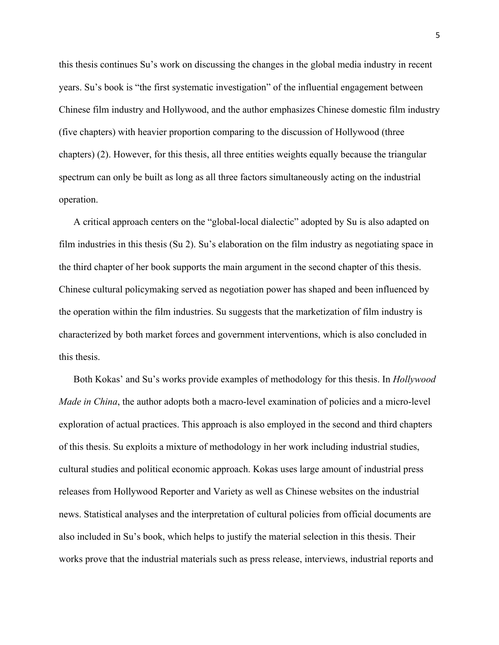this thesis continues Su's work on discussing the changes in the global media industry in recent years. Su's book is "the first systematic investigation" of the influential engagement between Chinese film industry and Hollywood, and the author emphasizes Chinese domestic film industry (five chapters) with heavier proportion comparing to the discussion of Hollywood (three chapters) (2). However, for this thesis, all three entities weights equally because the triangular spectrum can only be built as long as all three factors simultaneously acting on the industrial operation.

A critical approach centers on the "global-local dialectic" adopted by Su is also adapted on film industries in this thesis (Su 2). Su's elaboration on the film industry as negotiating space in the third chapter of her book supports the main argument in the second chapter of this thesis. Chinese cultural policymaking served as negotiation power has shaped and been influenced by the operation within the film industries. Su suggests that the marketization of film industry is characterized by both market forces and government interventions, which is also concluded in this thesis.

Both Kokas' and Su's works provide examples of methodology for this thesis. In *Hollywood Made in China*, the author adopts both a macro-level examination of policies and a micro-level exploration of actual practices. This approach is also employed in the second and third chapters of this thesis. Su exploits a mixture of methodology in her work including industrial studies, cultural studies and political economic approach. Kokas uses large amount of industrial press releases from Hollywood Reporter and Variety as well as Chinese websites on the industrial news. Statistical analyses and the interpretation of cultural policies from official documents are also included in Su's book, which helps to justify the material selection in this thesis. Their works prove that the industrial materials such as press release, interviews, industrial reports and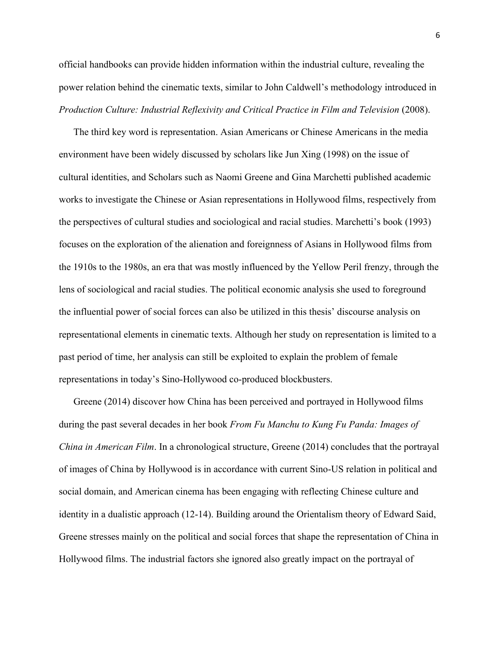official handbooks can provide hidden information within the industrial culture, revealing the power relation behind the cinematic texts, similar to John Caldwell's methodology introduced in *Production Culture: Industrial Reflexivity and Critical Practice in Film and Television* (2008).

The third key word is representation. Asian Americans or Chinese Americans in the media environment have been widely discussed by scholars like Jun Xing (1998) on the issue of cultural identities, and Scholars such as Naomi Greene and Gina Marchetti published academic works to investigate the Chinese or Asian representations in Hollywood films, respectively from the perspectives of cultural studies and sociological and racial studies. Marchetti's book (1993) focuses on the exploration of the alienation and foreignness of Asians in Hollywood films from the 1910s to the 1980s, an era that was mostly influenced by the Yellow Peril frenzy, through the lens of sociological and racial studies. The political economic analysis she used to foreground the influential power of social forces can also be utilized in this thesis' discourse analysis on representational elements in cinematic texts. Although her study on representation is limited to a past period of time, her analysis can still be exploited to explain the problem of female representations in today's Sino-Hollywood co-produced blockbusters.

Greene (2014) discover how China has been perceived and portrayed in Hollywood films during the past several decades in her book *From Fu Manchu to Kung Fu Panda: Images of China in American Film*. In a chronological structure, Greene (2014) concludes that the portrayal of images of China by Hollywood is in accordance with current Sino-US relation in political and social domain, and American cinema has been engaging with reflecting Chinese culture and identity in a dualistic approach (12-14). Building around the Orientalism theory of Edward Said, Greene stresses mainly on the political and social forces that shape the representation of China in Hollywood films. The industrial factors she ignored also greatly impact on the portrayal of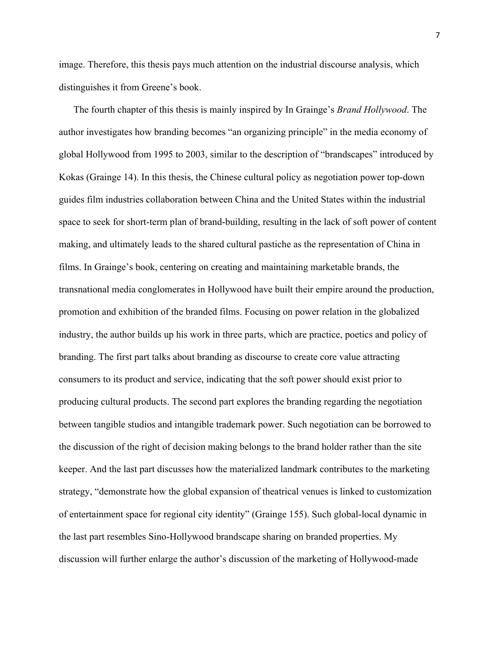image. Therefore, this thesis pays much attention on the industrial discourse analysis, which distinguishes it from Greene's book.

The fourth chapter of this thesis is mainly inspired by In Grainge's *Brand Hollywood*. The author investigates how branding becomes "an organizing principle" in the media economy of global Hollywood from 1995 to 2003, similar to the description of "brandscapes" introduced by Kokas (Grainge 14). In this thesis, the Chinese cultural policy as negotiation power top-down guides film industries collaboration between China and the United States within the industrial space to seek for short-term plan of brand-building, resulting in the lack of soft power of content making, and ultimately leads to the shared cultural pastiche as the representation of China in films. In Grainge's book, centering on creating and maintaining marketable brands, the transnational media conglomerates in Hollywood have built their empire around the production, promotion and exhibition of the branded films. Focusing on power relation in the globalized industry, the author builds up his work in three parts, which are practice, poetics and policy of branding. The first part talks about branding as discourse to create core value attracting consumers to its product and service, indicating that the soft power should exist prior to producing cultural products. The second part explores the branding regarding the negotiation between tangible studios and intangible trademark power. Such negotiation can be borrowed to the discussion of the right of decision making belongs to the brand holder rather than the site keeper. And the last part discusses how the materialized landmark contributes to the marketing strategy, "demonstrate how the global expansion of theatrical venues is linked to customization of entertainment space for regional city identity" (Grainge 155). Such global-local dynamic in the last part resembles Sino-Hollywood brandscape sharing on branded properties. My discussion will further enlarge the author's discussion of the marketing of Hollywood-made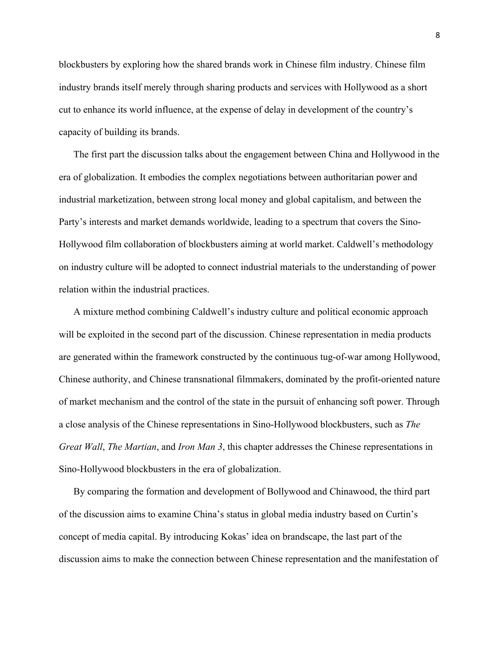blockbusters by exploring how the shared brands work in Chinese film industry. Chinese film industry brands itself merely through sharing products and services with Hollywood as a short cut to enhance its world influence, at the expense of delay in development of the country's capacity of building its brands.

The first part the discussion talks about the engagement between China and Hollywood in the era of globalization. It embodies the complex negotiations between authoritarian power and industrial marketization, between strong local money and global capitalism, and between the Party's interests and market demands worldwide, leading to a spectrum that covers the Sino-Hollywood film collaboration of blockbusters aiming at world market. Caldwell's methodology on industry culture will be adopted to connect industrial materials to the understanding of power relation within the industrial practices.

A mixture method combining Caldwell's industry culture and political economic approach will be exploited in the second part of the discussion. Chinese representation in media products are generated within the framework constructed by the continuous tug-of-war among Hollywood, Chinese authority, and Chinese transnational filmmakers, dominated by the profit-oriented nature of market mechanism and the control of the state in the pursuit of enhancing soft power. Through a close analysis of the Chinese representations in Sino-Hollywood blockbusters, such as *The Great Wall*, *The Martian*, and *Iron Man 3*, this chapter addresses the Chinese representations in Sino-Hollywood blockbusters in the era of globalization.

By comparing the formation and development of Bollywood and Chinawood, the third part of the discussion aims to examine China's status in global media industry based on Curtin's concept of media capital. By introducing Kokas' idea on brandscape, the last part of the discussion aims to make the connection between Chinese representation and the manifestation of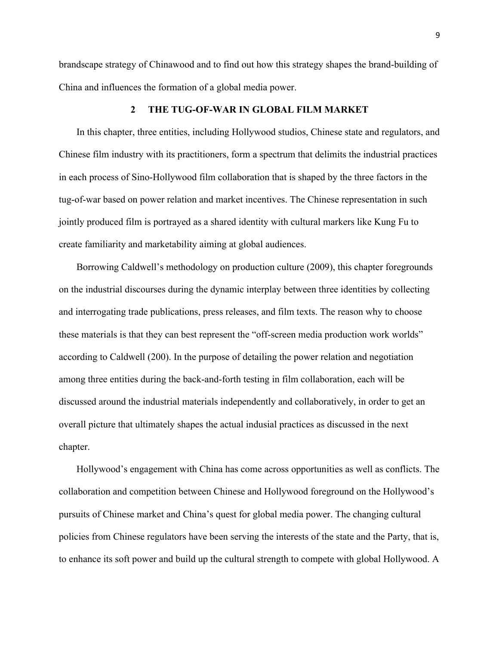brandscape strategy of Chinawood and to find out how this strategy shapes the brand-building of China and influences the formation of a global media power.

#### **2 THE TUG-OF-WAR IN GLOBAL FILM MARKET**

In this chapter, three entities, including Hollywood studios, Chinese state and regulators, and Chinese film industry with its practitioners, form a spectrum that delimits the industrial practices in each process of Sino-Hollywood film collaboration that is shaped by the three factors in the tug-of-war based on power relation and market incentives. The Chinese representation in such jointly produced film is portrayed as a shared identity with cultural markers like Kung Fu to create familiarity and marketability aiming at global audiences.

Borrowing Caldwell's methodology on production culture (2009), this chapter foregrounds on the industrial discourses during the dynamic interplay between three identities by collecting and interrogating trade publications, press releases, and film texts. The reason why to choose these materials is that they can best represent the "off-screen media production work worlds" according to Caldwell (200). In the purpose of detailing the power relation and negotiation among three entities during the back-and-forth testing in film collaboration, each will be discussed around the industrial materials independently and collaboratively, in order to get an overall picture that ultimately shapes the actual indusial practices as discussed in the next chapter.

Hollywood's engagement with China has come across opportunities as well as conflicts. The collaboration and competition between Chinese and Hollywood foreground on the Hollywood's pursuits of Chinese market and China's quest for global media power. The changing cultural policies from Chinese regulators have been serving the interests of the state and the Party, that is, to enhance its soft power and build up the cultural strength to compete with global Hollywood. A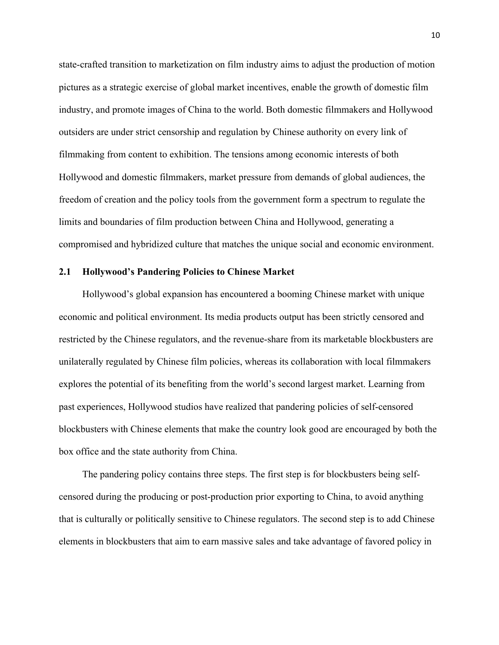state-crafted transition to marketization on film industry aims to adjust the production of motion pictures as a strategic exercise of global market incentives, enable the growth of domestic film industry, and promote images of China to the world. Both domestic filmmakers and Hollywood outsiders are under strict censorship and regulation by Chinese authority on every link of filmmaking from content to exhibition. The tensions among economic interests of both Hollywood and domestic filmmakers, market pressure from demands of global audiences, the freedom of creation and the policy tools from the government form a spectrum to regulate the limits and boundaries of film production between China and Hollywood, generating a compromised and hybridized culture that matches the unique social and economic environment.

#### **2.1 Hollywood's Pandering Policies to Chinese Market**

Hollywood's global expansion has encountered a booming Chinese market with unique economic and political environment. Its media products output has been strictly censored and restricted by the Chinese regulators, and the revenue-share from its marketable blockbusters are unilaterally regulated by Chinese film policies, whereas its collaboration with local filmmakers explores the potential of its benefiting from the world's second largest market. Learning from past experiences, Hollywood studios have realized that pandering policies of self-censored blockbusters with Chinese elements that make the country look good are encouraged by both the box office and the state authority from China.

The pandering policy contains three steps. The first step is for blockbusters being selfcensored during the producing or post-production prior exporting to China, to avoid anything that is culturally or politically sensitive to Chinese regulators. The second step is to add Chinese elements in blockbusters that aim to earn massive sales and take advantage of favored policy in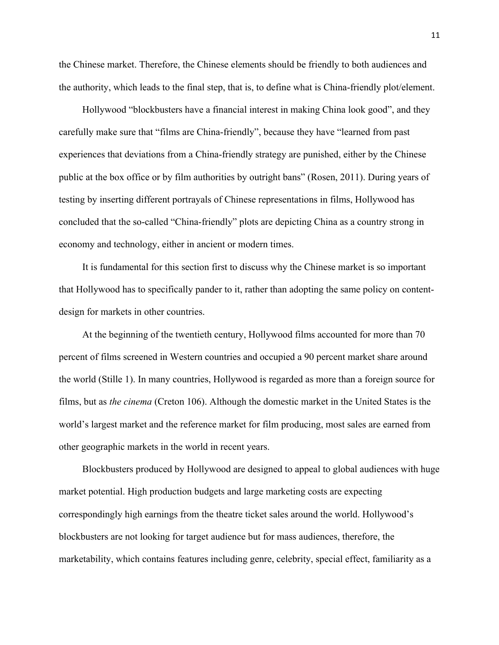the Chinese market. Therefore, the Chinese elements should be friendly to both audiences and the authority, which leads to the final step, that is, to define what is China-friendly plot/element.

Hollywood "blockbusters have a financial interest in making China look good", and they carefully make sure that "films are China-friendly", because they have "learned from past experiences that deviations from a China-friendly strategy are punished, either by the Chinese public at the box office or by film authorities by outright bans" (Rosen, 2011). During years of testing by inserting different portrayals of Chinese representations in films, Hollywood has concluded that the so-called "China-friendly" plots are depicting China as a country strong in economy and technology, either in ancient or modern times.

It is fundamental for this section first to discuss why the Chinese market is so important that Hollywood has to specifically pander to it, rather than adopting the same policy on contentdesign for markets in other countries.

At the beginning of the twentieth century, Hollywood films accounted for more than 70 percent of films screened in Western countries and occupied a 90 percent market share around the world (Stille 1). In many countries, Hollywood is regarded as more than a foreign source for films, but as *the cinema* (Creton 106). Although the domestic market in the United States is the world's largest market and the reference market for film producing, most sales are earned from other geographic markets in the world in recent years.

Blockbusters produced by Hollywood are designed to appeal to global audiences with huge market potential. High production budgets and large marketing costs are expecting correspondingly high earnings from the theatre ticket sales around the world. Hollywood's blockbusters are not looking for target audience but for mass audiences, therefore, the marketability, which contains features including genre, celebrity, special effect, familiarity as a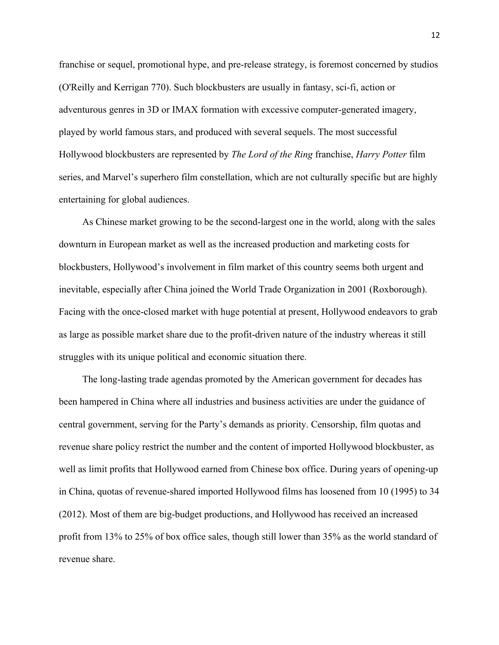franchise or sequel, promotional hype, and pre-release strategy, is foremost concerned by studios (O'Reilly and Kerrigan 770). Such blockbusters are usually in fantasy, sci-fi, action or adventurous genres in 3D or IMAX formation with excessive computer-generated imagery, played by world famous stars, and produced with several sequels. The most successful Hollywood blockbusters are represented by *The Lord of the Ring* franchise, *Harry Potter* film series, and Marvel's superhero film constellation, which are not culturally specific but are highly entertaining for global audiences.

As Chinese market growing to be the second-largest one in the world, along with the sales downturn in European market as well as the increased production and marketing costs for blockbusters, Hollywood's involvement in film market of this country seems both urgent and inevitable, especially after China joined the World Trade Organization in 2001 (Roxborough). Facing with the once-closed market with huge potential at present, Hollywood endeavors to grab as large as possible market share due to the profit-driven nature of the industry whereas it still struggles with its unique political and economic situation there.

The long-lasting trade agendas promoted by the American government for decades has been hampered in China where all industries and business activities are under the guidance of central government, serving for the Party's demands as priority. Censorship, film quotas and revenue share policy restrict the number and the content of imported Hollywood blockbuster, as well as limit profits that Hollywood earned from Chinese box office. During years of opening-up in China, quotas of revenue-shared imported Hollywood films has loosened from 10 (1995) to 34 (2012). Most of them are big-budget productions, and Hollywood has received an increased profit from 13% to 25% of box office sales, though still lower than 35% as the world standard of revenue share.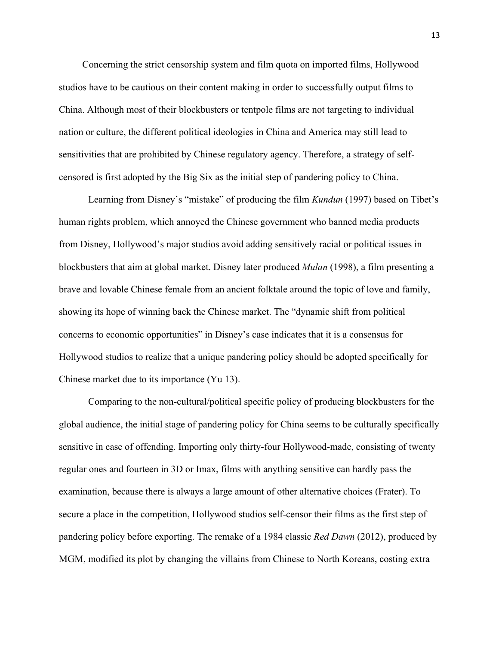Concerning the strict censorship system and film quota on imported films, Hollywood studios have to be cautious on their content making in order to successfully output films to China. Although most of their blockbusters or tentpole films are not targeting to individual nation or culture, the different political ideologies in China and America may still lead to sensitivities that are prohibited by Chinese regulatory agency. Therefore, a strategy of selfcensored is first adopted by the Big Six as the initial step of pandering policy to China.

Learning from Disney's "mistake" of producing the film *Kundun* (1997) based on Tibet's human rights problem, which annoyed the Chinese government who banned media products from Disney, Hollywood's major studios avoid adding sensitively racial or political issues in blockbusters that aim at global market. Disney later produced *Mulan* (1998), a film presenting a brave and lovable Chinese female from an ancient folktale around the topic of love and family, showing its hope of winning back the Chinese market. The "dynamic shift from political concerns to economic opportunities" in Disney's case indicates that it is a consensus for Hollywood studios to realize that a unique pandering policy should be adopted specifically for Chinese market due to its importance (Yu 13).

Comparing to the non-cultural/political specific policy of producing blockbusters for the global audience, the initial stage of pandering policy for China seems to be culturally specifically sensitive in case of offending. Importing only thirty-four Hollywood-made, consisting of twenty regular ones and fourteen in 3D or Imax, films with anything sensitive can hardly pass the examination, because there is always a large amount of other alternative choices (Frater). To secure a place in the competition, Hollywood studios self-censor their films as the first step of pandering policy before exporting. The remake of a 1984 classic *Red Dawn* (2012), produced by MGM, modified its plot by changing the villains from Chinese to North Koreans, costing extra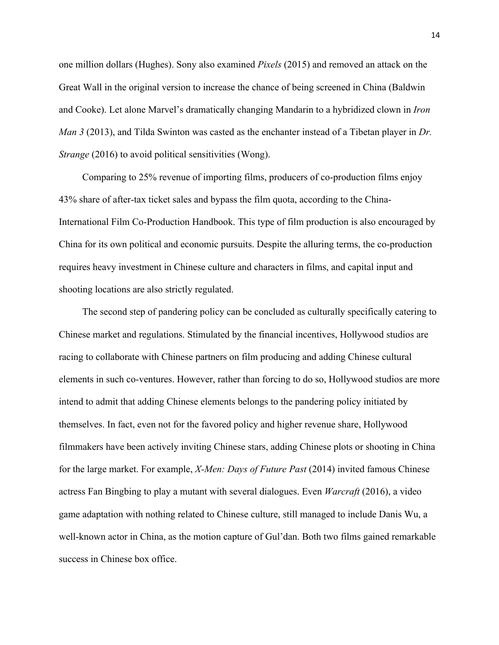one million dollars (Hughes). Sony also examined *Pixels* (2015) and removed an attack on the Great Wall in the original version to increase the chance of being screened in China (Baldwin and Cooke). Let alone Marvel's dramatically changing Mandarin to a hybridized clown in *Iron Man 3* (2013), and Tilda Swinton was casted as the enchanter instead of a Tibetan player in *Dr. Strange* (2016) to avoid political sensitivities (Wong).

Comparing to 25% revenue of importing films, producers of co-production films enjoy 43% share of after-tax ticket sales and bypass the film quota, according to the China-International Film Co-Production Handbook. This type of film production is also encouraged by China for its own political and economic pursuits. Despite the alluring terms, the co-production requires heavy investment in Chinese culture and characters in films, and capital input and shooting locations are also strictly regulated.

The second step of pandering policy can be concluded as culturally specifically catering to Chinese market and regulations. Stimulated by the financial incentives, Hollywood studios are racing to collaborate with Chinese partners on film producing and adding Chinese cultural elements in such co-ventures. However, rather than forcing to do so, Hollywood studios are more intend to admit that adding Chinese elements belongs to the pandering policy initiated by themselves. In fact, even not for the favored policy and higher revenue share, Hollywood filmmakers have been actively inviting Chinese stars, adding Chinese plots or shooting in China for the large market. For example, *X-Men: Days of Future Past* (2014) invited famous Chinese actress Fan Bingbing to play a mutant with several dialogues. Even *Warcraft* (2016), a video game adaptation with nothing related to Chinese culture, still managed to include Danis Wu, a well-known actor in China, as the motion capture of Gul'dan. Both two films gained remarkable success in Chinese box office.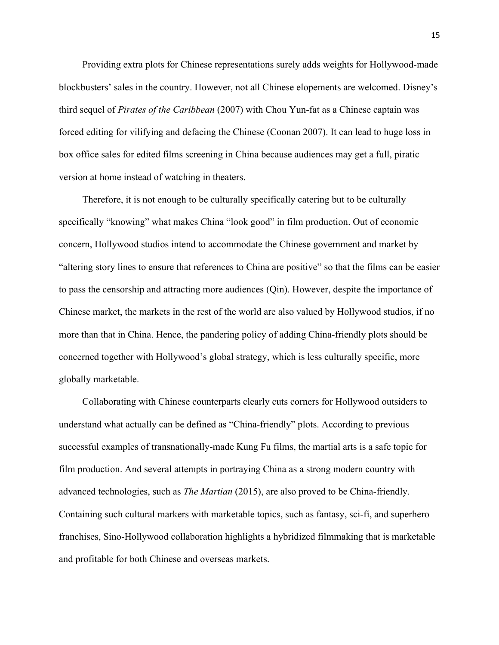Providing extra plots for Chinese representations surely adds weights for Hollywood-made blockbusters' sales in the country. However, not all Chinese elopements are welcomed. Disney's third sequel of *Pirates of the Caribbean* (2007) with Chou Yun-fat as a Chinese captain was forced editing for vilifying and defacing the Chinese (Coonan 2007). It can lead to huge loss in box office sales for edited films screening in China because audiences may get a full, piratic version at home instead of watching in theaters.

Therefore, it is not enough to be culturally specifically catering but to be culturally specifically "knowing" what makes China "look good" in film production. Out of economic concern, Hollywood studios intend to accommodate the Chinese government and market by "altering story lines to ensure that references to China are positive" so that the films can be easier to pass the censorship and attracting more audiences (Qin). However, despite the importance of Chinese market, the markets in the rest of the world are also valued by Hollywood studios, if no more than that in China. Hence, the pandering policy of adding China-friendly plots should be concerned together with Hollywood's global strategy, which is less culturally specific, more globally marketable.

Collaborating with Chinese counterparts clearly cuts corners for Hollywood outsiders to understand what actually can be defined as "China-friendly" plots. According to previous successful examples of transnationally-made Kung Fu films, the martial arts is a safe topic for film production. And several attempts in portraying China as a strong modern country with advanced technologies, such as *The Martian* (2015), are also proved to be China-friendly. Containing such cultural markers with marketable topics, such as fantasy, sci-fi, and superhero franchises, Sino-Hollywood collaboration highlights a hybridized filmmaking that is marketable and profitable for both Chinese and overseas markets.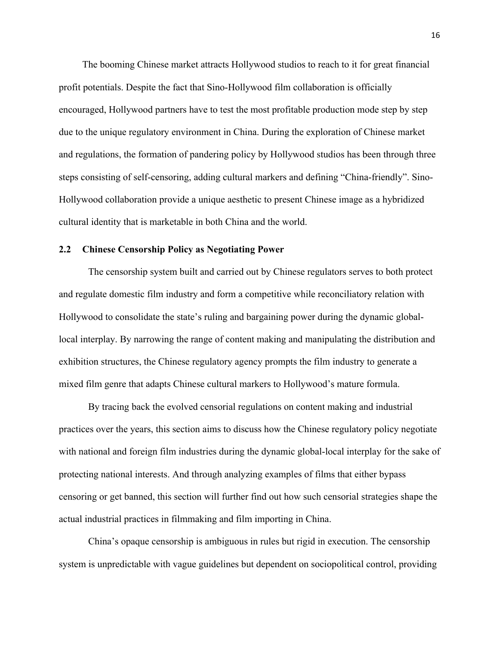The booming Chinese market attracts Hollywood studios to reach to it for great financial profit potentials. Despite the fact that Sino-Hollywood film collaboration is officially encouraged, Hollywood partners have to test the most profitable production mode step by step due to the unique regulatory environment in China. During the exploration of Chinese market and regulations, the formation of pandering policy by Hollywood studios has been through three steps consisting of self-censoring, adding cultural markers and defining "China-friendly". Sino-Hollywood collaboration provide a unique aesthetic to present Chinese image as a hybridized cultural identity that is marketable in both China and the world.

### **2.2 Chinese Censorship Policy as Negotiating Power**

The censorship system built and carried out by Chinese regulators serves to both protect and regulate domestic film industry and form a competitive while reconciliatory relation with Hollywood to consolidate the state's ruling and bargaining power during the dynamic globallocal interplay. By narrowing the range of content making and manipulating the distribution and exhibition structures, the Chinese regulatory agency prompts the film industry to generate a mixed film genre that adapts Chinese cultural markers to Hollywood's mature formula.

By tracing back the evolved censorial regulations on content making and industrial practices over the years, this section aims to discuss how the Chinese regulatory policy negotiate with national and foreign film industries during the dynamic global-local interplay for the sake of protecting national interests. And through analyzing examples of films that either bypass censoring or get banned, this section will further find out how such censorial strategies shape the actual industrial practices in filmmaking and film importing in China.

China's opaque censorship is ambiguous in rules but rigid in execution. The censorship system is unpredictable with vague guidelines but dependent on sociopolitical control, providing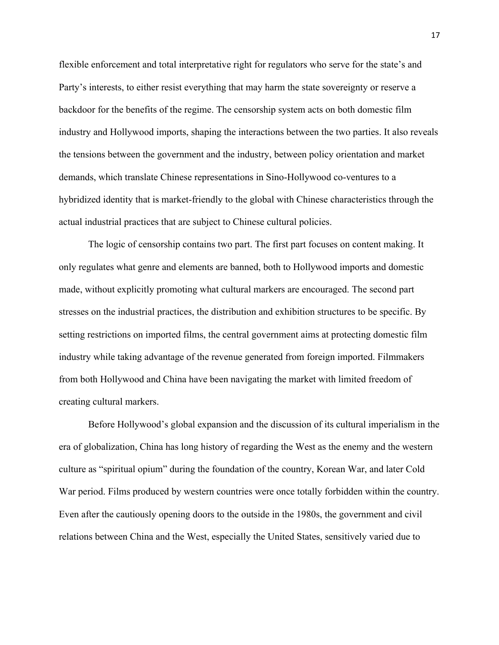flexible enforcement and total interpretative right for regulators who serve for the state's and Party's interests, to either resist everything that may harm the state sovereignty or reserve a backdoor for the benefits of the regime. The censorship system acts on both domestic film industry and Hollywood imports, shaping the interactions between the two parties. It also reveals the tensions between the government and the industry, between policy orientation and market demands, which translate Chinese representations in Sino-Hollywood co-ventures to a hybridized identity that is market-friendly to the global with Chinese characteristics through the actual industrial practices that are subject to Chinese cultural policies.

The logic of censorship contains two part. The first part focuses on content making. It only regulates what genre and elements are banned, both to Hollywood imports and domestic made, without explicitly promoting what cultural markers are encouraged. The second part stresses on the industrial practices, the distribution and exhibition structures to be specific. By setting restrictions on imported films, the central government aims at protecting domestic film industry while taking advantage of the revenue generated from foreign imported. Filmmakers from both Hollywood and China have been navigating the market with limited freedom of creating cultural markers.

Before Hollywood's global expansion and the discussion of its cultural imperialism in the era of globalization, China has long history of regarding the West as the enemy and the western culture as "spiritual opium" during the foundation of the country, Korean War, and later Cold War period. Films produced by western countries were once totally forbidden within the country. Even after the cautiously opening doors to the outside in the 1980s, the government and civil relations between China and the West, especially the United States, sensitively varied due to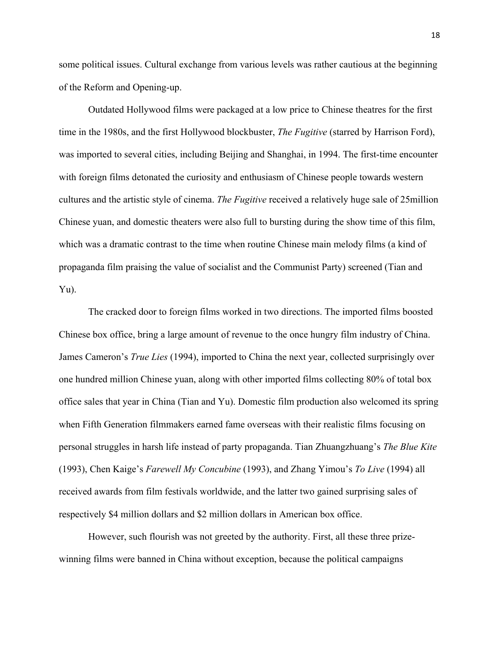some political issues. Cultural exchange from various levels was rather cautious at the beginning of the Reform and Opening-up.

Outdated Hollywood films were packaged at a low price to Chinese theatres for the first time in the 1980s, and the first Hollywood blockbuster, *The Fugitive* (starred by Harrison Ford), was imported to several cities, including Beijing and Shanghai, in 1994. The first-time encounter with foreign films detonated the curiosity and enthusiasm of Chinese people towards western cultures and the artistic style of cinema. *The Fugitive* received a relatively huge sale of 25million Chinese yuan, and domestic theaters were also full to bursting during the show time of this film, which was a dramatic contrast to the time when routine Chinese main melody films (a kind of propaganda film praising the value of socialist and the Communist Party) screened (Tian and Yu).

The cracked door to foreign films worked in two directions. The imported films boosted Chinese box office, bring a large amount of revenue to the once hungry film industry of China. James Cameron's *True Lies* (1994), imported to China the next year, collected surprisingly over one hundred million Chinese yuan, along with other imported films collecting 80% of total box office sales that year in China (Tian and Yu). Domestic film production also welcomed its spring when Fifth Generation filmmakers earned fame overseas with their realistic films focusing on personal struggles in harsh life instead of party propaganda. Tian Zhuangzhuang's *The Blue Kite* (1993), Chen Kaige's *Farewell My Concubine* (1993), and Zhang Yimou's *To Live* (1994) all received awards from film festivals worldwide, and the latter two gained surprising sales of respectively \$4 million dollars and \$2 million dollars in American box office.

However, such flourish was not greeted by the authority. First, all these three prizewinning films were banned in China without exception, because the political campaigns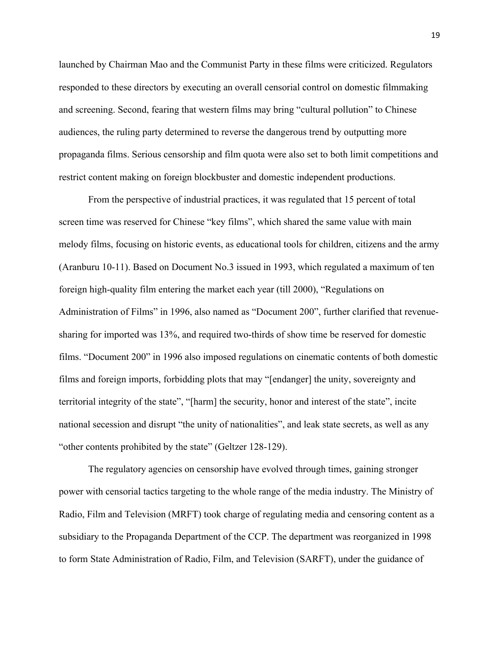launched by Chairman Mao and the Communist Party in these films were criticized. Regulators responded to these directors by executing an overall censorial control on domestic filmmaking and screening. Second, fearing that western films may bring "cultural pollution" to Chinese audiences, the ruling party determined to reverse the dangerous trend by outputting more propaganda films. Serious censorship and film quota were also set to both limit competitions and restrict content making on foreign blockbuster and domestic independent productions.

From the perspective of industrial practices, it was regulated that 15 percent of total screen time was reserved for Chinese "key films", which shared the same value with main melody films, focusing on historic events, as educational tools for children, citizens and the army (Aranburu 10-11). Based on Document No.3 issued in 1993, which regulated a maximum of ten foreign high-quality film entering the market each year (till 2000), "Regulations on Administration of Films" in 1996, also named as "Document 200", further clarified that revenuesharing for imported was 13%, and required two-thirds of show time be reserved for domestic films. "Document 200" in 1996 also imposed regulations on cinematic contents of both domestic films and foreign imports, forbidding plots that may "[endanger] the unity, sovereignty and territorial integrity of the state", "[harm] the security, honor and interest of the state", incite national secession and disrupt "the unity of nationalities", and leak state secrets, as well as any "other contents prohibited by the state" (Geltzer 128-129).

The regulatory agencies on censorship have evolved through times, gaining stronger power with censorial tactics targeting to the whole range of the media industry. The Ministry of Radio, Film and Television (MRFT) took charge of regulating media and censoring content as a subsidiary to the Propaganda Department of the CCP. The department was reorganized in 1998 to form State Administration of Radio, Film, and Television (SARFT), under the guidance of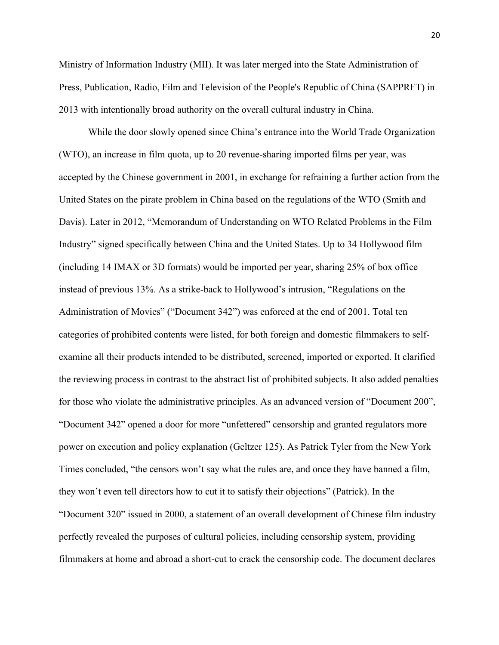Ministry of Information Industry (MII). It was later merged into the State Administration of Press, Publication, Radio, Film and Television of the People's Republic of China (SAPPRFT) in 2013 with intentionally broad authority on the overall cultural industry in China.

While the door slowly opened since China's entrance into the World Trade Organization (WTO), an increase in film quota, up to 20 revenue-sharing imported films per year, was accepted by the Chinese government in 2001, in exchange for refraining a further action from the United States on the pirate problem in China based on the regulations of the WTO (Smith and Davis). Later in 2012, "Memorandum of Understanding on WTO Related Problems in the Film Industry" signed specifically between China and the United States. Up to 34 Hollywood film (including 14 IMAX or 3D formats) would be imported per year, sharing 25% of box office instead of previous 13%. As a strike-back to Hollywood's intrusion, "Regulations on the Administration of Movies" ("Document 342") was enforced at the end of 2001. Total ten categories of prohibited contents were listed, for both foreign and domestic filmmakers to selfexamine all their products intended to be distributed, screened, imported or exported. It clarified the reviewing process in contrast to the abstract list of prohibited subjects. It also added penalties for those who violate the administrative principles. As an advanced version of "Document 200", "Document 342" opened a door for more "unfettered" censorship and granted regulators more power on execution and policy explanation (Geltzer 125). As Patrick Tyler from the New York Times concluded, "the censors won't say what the rules are, and once they have banned a film, they won't even tell directors how to cut it to satisfy their objections" (Patrick). In the "Document 320" issued in 2000, a statement of an overall development of Chinese film industry perfectly revealed the purposes of cultural policies, including censorship system, providing filmmakers at home and abroad a short-cut to crack the censorship code. The document declares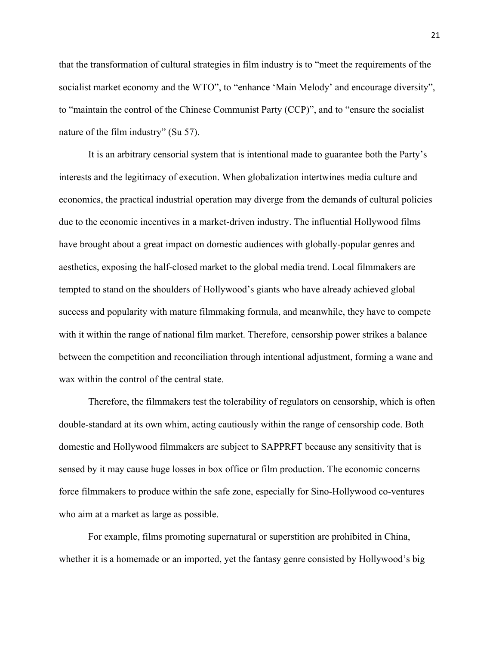that the transformation of cultural strategies in film industry is to "meet the requirements of the socialist market economy and the WTO", to "enhance 'Main Melody' and encourage diversity", to "maintain the control of the Chinese Communist Party (CCP)", and to "ensure the socialist nature of the film industry" (Su 57).

It is an arbitrary censorial system that is intentional made to guarantee both the Party's interests and the legitimacy of execution. When globalization intertwines media culture and economics, the practical industrial operation may diverge from the demands of cultural policies due to the economic incentives in a market-driven industry. The influential Hollywood films have brought about a great impact on domestic audiences with globally-popular genres and aesthetics, exposing the half-closed market to the global media trend. Local filmmakers are tempted to stand on the shoulders of Hollywood's giants who have already achieved global success and popularity with mature filmmaking formula, and meanwhile, they have to compete with it within the range of national film market. Therefore, censorship power strikes a balance between the competition and reconciliation through intentional adjustment, forming a wane and wax within the control of the central state.

Therefore, the filmmakers test the tolerability of regulators on censorship, which is often double-standard at its own whim, acting cautiously within the range of censorship code. Both domestic and Hollywood filmmakers are subject to SAPPRFT because any sensitivity that is sensed by it may cause huge losses in box office or film production. The economic concerns force filmmakers to produce within the safe zone, especially for Sino-Hollywood co-ventures who aim at a market as large as possible.

For example, films promoting supernatural or superstition are prohibited in China, whether it is a homemade or an imported, yet the fantasy genre consisted by Hollywood's big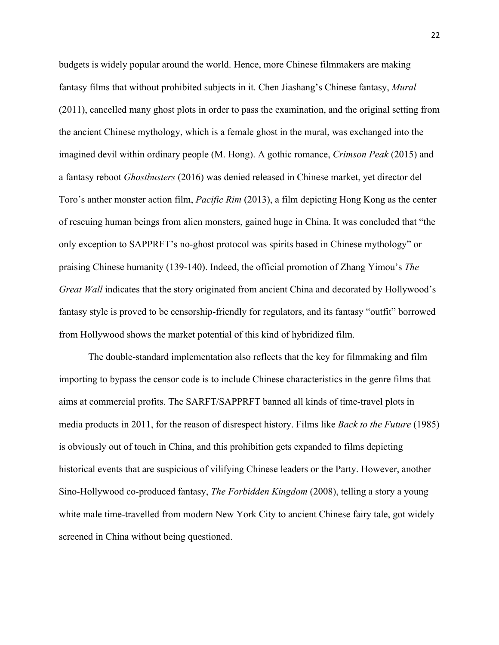budgets is widely popular around the world. Hence, more Chinese filmmakers are making fantasy films that without prohibited subjects in it. Chen Jiashang's Chinese fantasy, *Mural* (2011), cancelled many ghost plots in order to pass the examination, and the original setting from the ancient Chinese mythology, which is a female ghost in the mural, was exchanged into the imagined devil within ordinary people (M. Hong). A gothic romance, *Crimson Peak* (2015) and a fantasy reboot *Ghostbusters* (2016) was denied released in Chinese market, yet director del Toro's anther monster action film, *Pacific Rim* (2013), a film depicting Hong Kong as the center of rescuing human beings from alien monsters, gained huge in China. It was concluded that "the only exception to SAPPRFT's no-ghost protocol was spirits based in Chinese mythology" or praising Chinese humanity (139-140). Indeed, the official promotion of Zhang Yimou's *The Great Wall* indicates that the story originated from ancient China and decorated by Hollywood's fantasy style is proved to be censorship-friendly for regulators, and its fantasy "outfit" borrowed from Hollywood shows the market potential of this kind of hybridized film.

The double-standard implementation also reflects that the key for filmmaking and film importing to bypass the censor code is to include Chinese characteristics in the genre films that aims at commercial profits. The SARFT/SAPPRFT banned all kinds of time-travel plots in media products in 2011, for the reason of disrespect history. Films like *Back to the Future* (1985) is obviously out of touch in China, and this prohibition gets expanded to films depicting historical events that are suspicious of vilifying Chinese leaders or the Party. However, another Sino-Hollywood co-produced fantasy, *The Forbidden Kingdom* (2008), telling a story a young white male time-travelled from modern New York City to ancient Chinese fairy tale, got widely screened in China without being questioned.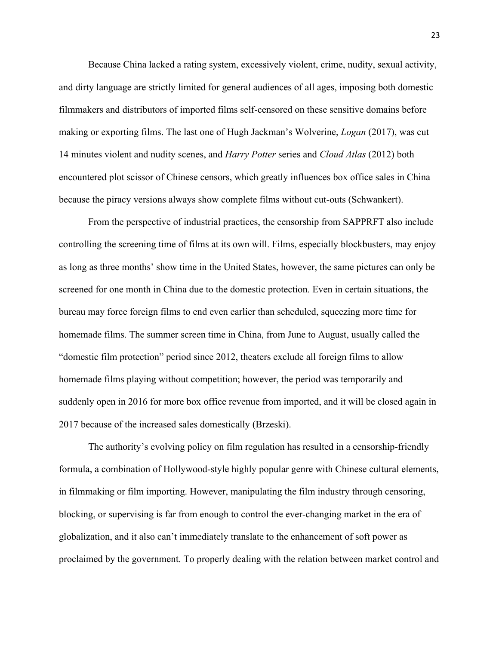Because China lacked a rating system, excessively violent, crime, nudity, sexual activity, and dirty language are strictly limited for general audiences of all ages, imposing both domestic filmmakers and distributors of imported films self-censored on these sensitive domains before making or exporting films. The last one of Hugh Jackman's Wolverine, *Logan* (2017), was cut 14 minutes violent and nudity scenes, and *Harry Potter* series and *Cloud Atlas* (2012) both encountered plot scissor of Chinese censors, which greatly influences box office sales in China because the piracy versions always show complete films without cut-outs (Schwankert).

From the perspective of industrial practices, the censorship from SAPPRFT also include controlling the screening time of films at its own will. Films, especially blockbusters, may enjoy as long as three months' show time in the United States, however, the same pictures can only be screened for one month in China due to the domestic protection. Even in certain situations, the bureau may force foreign films to end even earlier than scheduled, squeezing more time for homemade films. The summer screen time in China, from June to August, usually called the "domestic film protection" period since 2012, theaters exclude all foreign films to allow homemade films playing without competition; however, the period was temporarily and suddenly open in 2016 for more box office revenue from imported, and it will be closed again in 2017 because of the increased sales domestically (Brzeski).

The authority's evolving policy on film regulation has resulted in a censorship-friendly formula, a combination of Hollywood-style highly popular genre with Chinese cultural elements, in filmmaking or film importing. However, manipulating the film industry through censoring, blocking, or supervising is far from enough to control the ever-changing market in the era of globalization, and it also can't immediately translate to the enhancement of soft power as proclaimed by the government. To properly dealing with the relation between market control and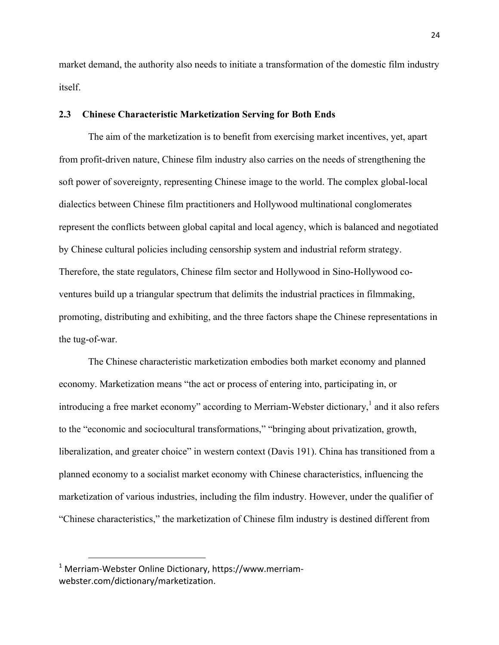market demand, the authority also needs to initiate a transformation of the domestic film industry itself.

### **2.3 Chinese Characteristic Marketization Serving for Both Ends**

The aim of the marketization is to benefit from exercising market incentives, yet, apart from profit-driven nature, Chinese film industry also carries on the needs of strengthening the soft power of sovereignty, representing Chinese image to the world. The complex global-local dialectics between Chinese film practitioners and Hollywood multinational conglomerates represent the conflicts between global capital and local agency, which is balanced and negotiated by Chinese cultural policies including censorship system and industrial reform strategy. Therefore, the state regulators, Chinese film sector and Hollywood in Sino-Hollywood coventures build up a triangular spectrum that delimits the industrial practices in filmmaking, promoting, distributing and exhibiting, and the three factors shape the Chinese representations in the tug-of-war.

The Chinese characteristic marketization embodies both market economy and planned economy. Marketization means "the act or process of entering into, participating in, or introducing a free market economy" according to Merriam-Webster dictionary,<sup>1</sup> and it also refers to the "economic and sociocultural transformations," "bringing about privatization, growth, liberalization, and greater choice" in western context (Davis 191). China has transitioned from a planned economy to a socialist market economy with Chinese characteristics, influencing the marketization of various industries, including the film industry. However, under the qualifier of "Chinese characteristics," the marketization of Chinese film industry is destined different from

<u>.</u>

 $1$  Merriam-Webster Online Dictionary, https://www.merriamwebster.com/dictionary/marketization.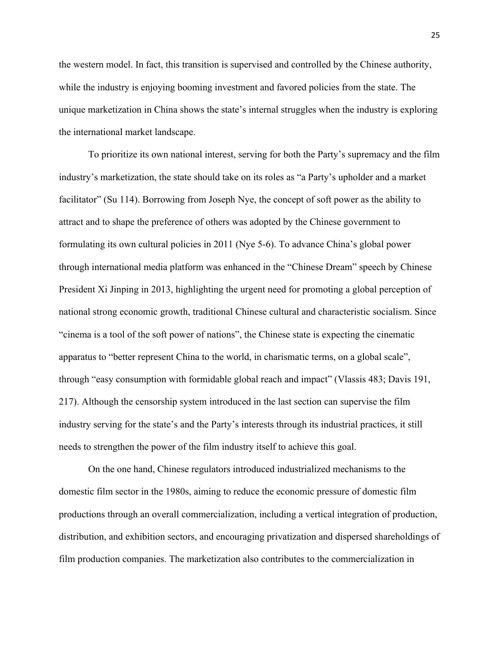the western model. In fact, this transition is supervised and controlled by the Chinese authority, while the industry is enjoying booming investment and favored policies from the state. The unique marketization in China shows the state's internal struggles when the industry is exploring the international market landscape.

To prioritize its own national interest, serving for both the Party's supremacy and the film industry's marketization, the state should take on its roles as "a Party's upholder and a market facilitator" (Su 114). Borrowing from Joseph Nye, the concept of soft power as the ability to attract and to shape the preference of others was adopted by the Chinese government to formulating its own cultural policies in 2011 (Nye 5-6). To advance China's global power through international media platform was enhanced in the "Chinese Dream" speech by Chinese President Xi Jinping in 2013, highlighting the urgent need for promoting a global perception of national strong economic growth, traditional Chinese cultural and characteristic socialism. Since "cinema is a tool of the soft power of nations", the Chinese state is expecting the cinematic apparatus to "better represent China to the world, in charismatic terms, on a global scale", through "easy consumption with formidable global reach and impact" (Vlassis 483; Davis 191, 217). Although the censorship system introduced in the last section can supervise the film industry serving for the state's and the Party's interests through its industrial practices, it still needs to strengthen the power of the film industry itself to achieve this goal.

On the one hand, Chinese regulators introduced industrialized mechanisms to the domestic film sector in the 1980s, aiming to reduce the economic pressure of domestic film productions through an overall commercialization, including a vertical integration of production, distribution, and exhibition sectors, and encouraging privatization and dispersed shareholdings of film production companies. The marketization also contributes to the commercialization in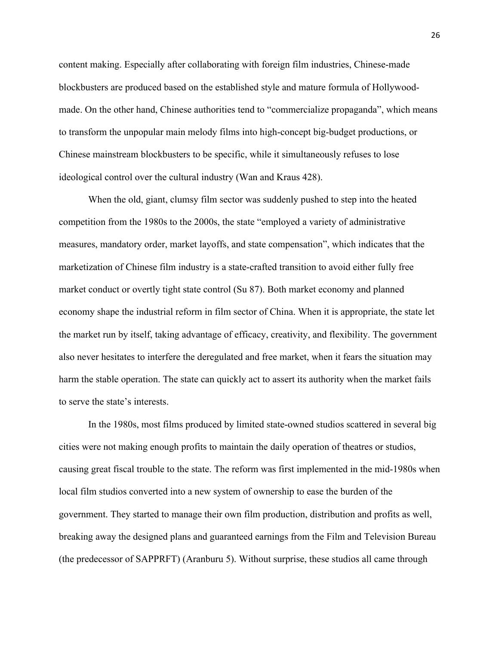content making. Especially after collaborating with foreign film industries, Chinese-made blockbusters are produced based on the established style and mature formula of Hollywoodmade. On the other hand, Chinese authorities tend to "commercialize propaganda", which means to transform the unpopular main melody films into high-concept big-budget productions, or Chinese mainstream blockbusters to be specific, while it simultaneously refuses to lose ideological control over the cultural industry (Wan and Kraus 428).

When the old, giant, clumsy film sector was suddenly pushed to step into the heated competition from the 1980s to the 2000s, the state "employed a variety of administrative measures, mandatory order, market layoffs, and state compensation", which indicates that the marketization of Chinese film industry is a state-crafted transition to avoid either fully free market conduct or overtly tight state control (Su 87). Both market economy and planned economy shape the industrial reform in film sector of China. When it is appropriate, the state let the market run by itself, taking advantage of efficacy, creativity, and flexibility. The government also never hesitates to interfere the deregulated and free market, when it fears the situation may harm the stable operation. The state can quickly act to assert its authority when the market fails to serve the state's interests.

In the 1980s, most films produced by limited state-owned studios scattered in several big cities were not making enough profits to maintain the daily operation of theatres or studios, causing great fiscal trouble to the state. The reform was first implemented in the mid-1980s when local film studios converted into a new system of ownership to ease the burden of the government. They started to manage their own film production, distribution and profits as well, breaking away the designed plans and guaranteed earnings from the Film and Television Bureau (the predecessor of SAPPRFT) (Aranburu 5). Without surprise, these studios all came through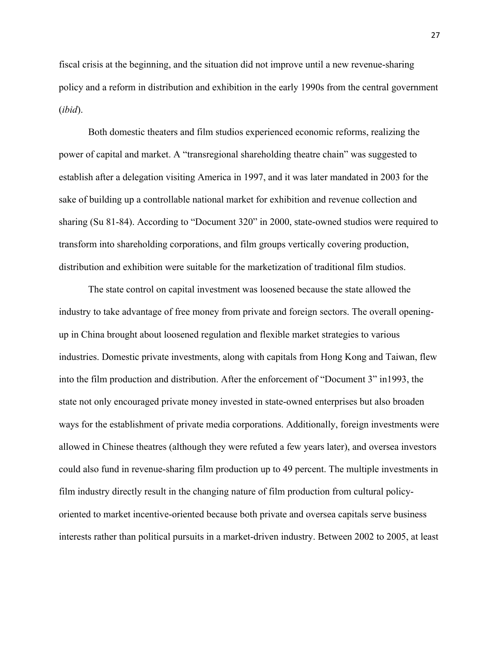fiscal crisis at the beginning, and the situation did not improve until a new revenue-sharing policy and a reform in distribution and exhibition in the early 1990s from the central government (*ibid*).

Both domestic theaters and film studios experienced economic reforms, realizing the power of capital and market. A "transregional shareholding theatre chain" was suggested to establish after a delegation visiting America in 1997, and it was later mandated in 2003 for the sake of building up a controllable national market for exhibition and revenue collection and sharing (Su 81-84). According to "Document 320" in 2000, state-owned studios were required to transform into shareholding corporations, and film groups vertically covering production, distribution and exhibition were suitable for the marketization of traditional film studios.

The state control on capital investment was loosened because the state allowed the industry to take advantage of free money from private and foreign sectors. The overall openingup in China brought about loosened regulation and flexible market strategies to various industries. Domestic private investments, along with capitals from Hong Kong and Taiwan, flew into the film production and distribution. After the enforcement of "Document 3" in1993, the state not only encouraged private money invested in state-owned enterprises but also broaden ways for the establishment of private media corporations. Additionally, foreign investments were allowed in Chinese theatres (although they were refuted a few years later), and oversea investors could also fund in revenue-sharing film production up to 49 percent. The multiple investments in film industry directly result in the changing nature of film production from cultural policyoriented to market incentive-oriented because both private and oversea capitals serve business interests rather than political pursuits in a market-driven industry. Between 2002 to 2005, at least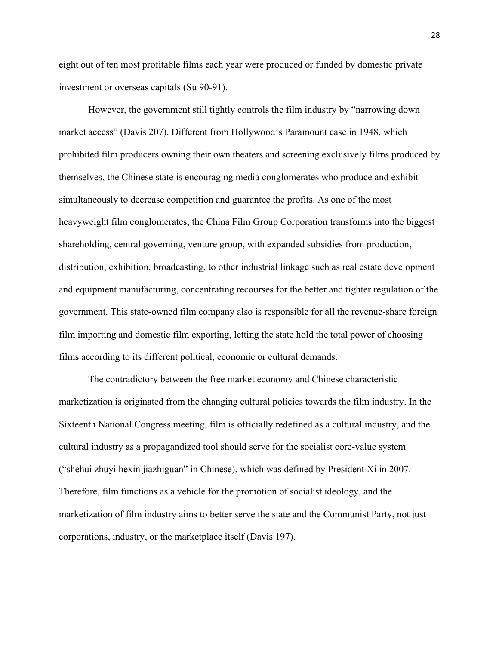eight out of ten most profitable films each year were produced or funded by domestic private investment or overseas capitals (Su 90-91).

However, the government still tightly controls the film industry by "narrowing down market access" (Davis 207). Different from Hollywood's Paramount case in 1948, which prohibited film producers owning their own theaters and screening exclusively films produced by themselves, the Chinese state is encouraging media conglomerates who produce and exhibit simultaneously to decrease competition and guarantee the profits. As one of the most heavyweight film conglomerates, the China Film Group Corporation transforms into the biggest shareholding, central governing, venture group, with expanded subsidies from production, distribution, exhibition, broadcasting, to other industrial linkage such as real estate development and equipment manufacturing, concentrating recourses for the better and tighter regulation of the government. This state-owned film company also is responsible for all the revenue-share foreign film importing and domestic film exporting, letting the state hold the total power of choosing films according to its different political, economic or cultural demands.

The contradictory between the free market economy and Chinese characteristic marketization is originated from the changing cultural policies towards the film industry. In the Sixteenth National Congress meeting, film is officially redefined as a cultural industry, and the cultural industry as a propagandized tool should serve for the socialist core-value system ("shehui zhuyi hexin jiazhiguan" in Chinese), which was defined by President Xi in 2007. Therefore, film functions as a vehicle for the promotion of socialist ideology, and the marketization of film industry aims to better serve the state and the Communist Party, not just corporations, industry, or the marketplace itself (Davis 197).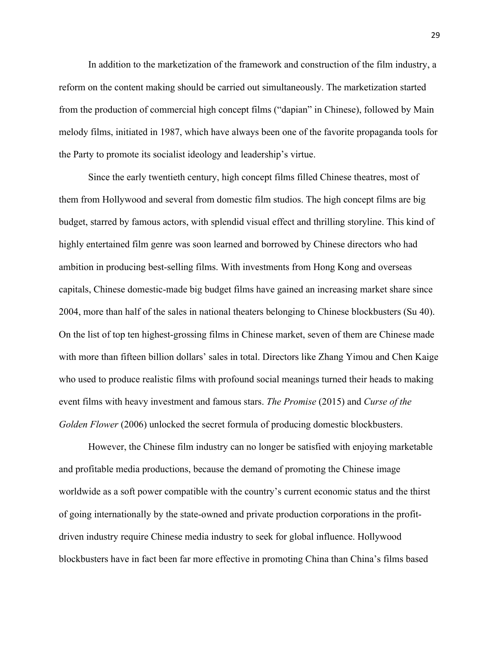In addition to the marketization of the framework and construction of the film industry, a reform on the content making should be carried out simultaneously. The marketization started from the production of commercial high concept films ("dapian" in Chinese), followed by Main melody films, initiated in 1987, which have always been one of the favorite propaganda tools for the Party to promote its socialist ideology and leadership's virtue.

Since the early twentieth century, high concept films filled Chinese theatres, most of them from Hollywood and several from domestic film studios. The high concept films are big budget, starred by famous actors, with splendid visual effect and thrilling storyline. This kind of highly entertained film genre was soon learned and borrowed by Chinese directors who had ambition in producing best-selling films. With investments from Hong Kong and overseas capitals, Chinese domestic-made big budget films have gained an increasing market share since 2004, more than half of the sales in national theaters belonging to Chinese blockbusters (Su 40). On the list of top ten highest-grossing films in Chinese market, seven of them are Chinese made with more than fifteen billion dollars' sales in total. Directors like Zhang Yimou and Chen Kaige who used to produce realistic films with profound social meanings turned their heads to making event films with heavy investment and famous stars. *The Promise* (2015) and *Curse of the Golden Flower* (2006) unlocked the secret formula of producing domestic blockbusters.

However, the Chinese film industry can no longer be satisfied with enjoying marketable and profitable media productions, because the demand of promoting the Chinese image worldwide as a soft power compatible with the country's current economic status and the thirst of going internationally by the state-owned and private production corporations in the profitdriven industry require Chinese media industry to seek for global influence. Hollywood blockbusters have in fact been far more effective in promoting China than China's films based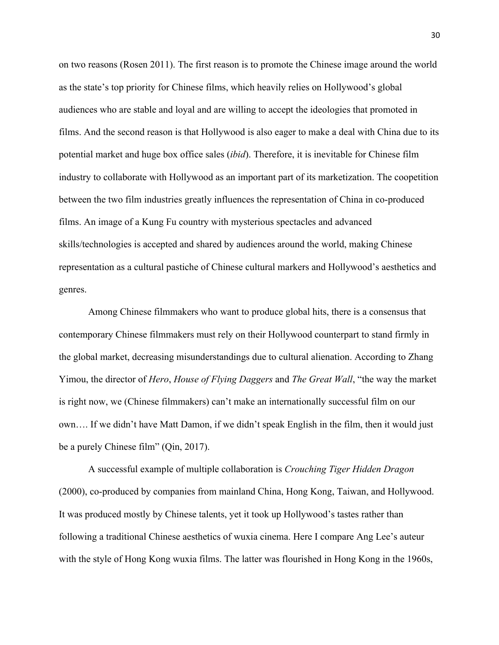on two reasons (Rosen 2011). The first reason is to promote the Chinese image around the world as the state's top priority for Chinese films, which heavily relies on Hollywood's global audiences who are stable and loyal and are willing to accept the ideologies that promoted in films. And the second reason is that Hollywood is also eager to make a deal with China due to its potential market and huge box office sales (*ibid*). Therefore, it is inevitable for Chinese film industry to collaborate with Hollywood as an important part of its marketization. The coopetition between the two film industries greatly influences the representation of China in co-produced films. An image of a Kung Fu country with mysterious spectacles and advanced skills/technologies is accepted and shared by audiences around the world, making Chinese representation as a cultural pastiche of Chinese cultural markers and Hollywood's aesthetics and genres.

Among Chinese filmmakers who want to produce global hits, there is a consensus that contemporary Chinese filmmakers must rely on their Hollywood counterpart to stand firmly in the global market, decreasing misunderstandings due to cultural alienation. According to Zhang Yimou, the director of *Hero*, *House of Flying Daggers* and *The Great Wall*, "the way the market is right now, we (Chinese filmmakers) can't make an internationally successful film on our own…. If we didn't have Matt Damon, if we didn't speak English in the film, then it would just be a purely Chinese film" (Qin, 2017).

A successful example of multiple collaboration is *Crouching Tiger Hidden Dragon* (2000), co-produced by companies from mainland China, Hong Kong, Taiwan, and Hollywood. It was produced mostly by Chinese talents, yet it took up Hollywood's tastes rather than following a traditional Chinese aesthetics of wuxia cinema. Here I compare Ang Lee's auteur with the style of Hong Kong wuxia films. The latter was flourished in Hong Kong in the 1960s,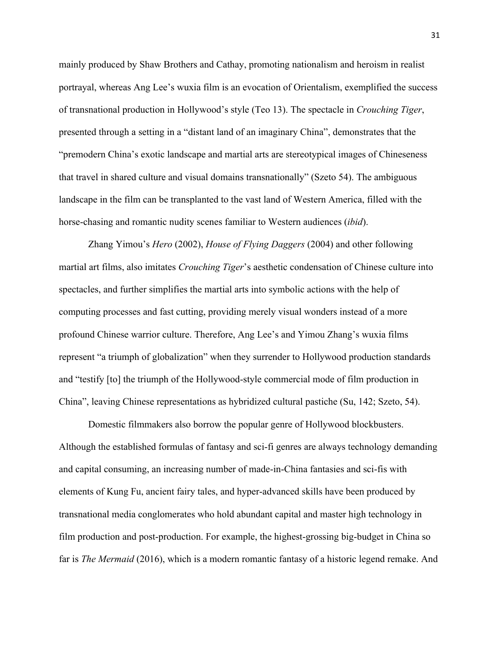mainly produced by Shaw Brothers and Cathay, promoting nationalism and heroism in realist portrayal, whereas Ang Lee's wuxia film is an evocation of Orientalism, exemplified the success of transnational production in Hollywood's style (Teo 13). The spectacle in *Crouching Tiger*, presented through a setting in a "distant land of an imaginary China", demonstrates that the "premodern China's exotic landscape and martial arts are stereotypical images of Chineseness that travel in shared culture and visual domains transnationally" (Szeto 54). The ambiguous landscape in the film can be transplanted to the vast land of Western America, filled with the horse-chasing and romantic nudity scenes familiar to Western audiences (*ibid*).

Zhang Yimou's *Hero* (2002), *House of Flying Daggers* (2004) and other following martial art films, also imitates *Crouching Tiger*'s aesthetic condensation of Chinese culture into spectacles, and further simplifies the martial arts into symbolic actions with the help of computing processes and fast cutting, providing merely visual wonders instead of a more profound Chinese warrior culture. Therefore, Ang Lee's and Yimou Zhang's wuxia films represent "a triumph of globalization" when they surrender to Hollywood production standards and "testify [to] the triumph of the Hollywood-style commercial mode of film production in China", leaving Chinese representations as hybridized cultural pastiche (Su, 142; Szeto, 54).

Domestic filmmakers also borrow the popular genre of Hollywood blockbusters. Although the established formulas of fantasy and sci-fi genres are always technology demanding and capital consuming, an increasing number of made-in-China fantasies and sci-fis with elements of Kung Fu, ancient fairy tales, and hyper-advanced skills have been produced by transnational media conglomerates who hold abundant capital and master high technology in film production and post-production. For example, the highest-grossing big-budget in China so far is *The Mermaid* (2016), which is a modern romantic fantasy of a historic legend remake. And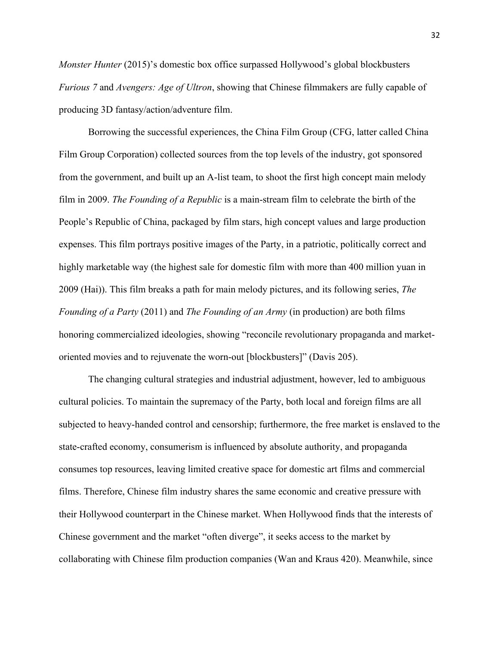*Monster Hunter* (2015)'s domestic box office surpassed Hollywood's global blockbusters *Furious 7* and *Avengers: Age of Ultron*, showing that Chinese filmmakers are fully capable of producing 3D fantasy/action/adventure film.

Borrowing the successful experiences, the China Film Group (CFG, latter called China Film Group Corporation) collected sources from the top levels of the industry, got sponsored from the government, and built up an A-list team, to shoot the first high concept main melody film in 2009. *The Founding of a Republic* is a main-stream film to celebrate the birth of the People's Republic of China, packaged by film stars, high concept values and large production expenses. This film portrays positive images of the Party, in a patriotic, politically correct and highly marketable way (the highest sale for domestic film with more than 400 million yuan in 2009 (Hai)). This film breaks a path for main melody pictures, and its following series, *The Founding of a Party* (2011) and *The Founding of an Army* (in production) are both films honoring commercialized ideologies, showing "reconcile revolutionary propaganda and marketoriented movies and to rejuvenate the worn-out [blockbusters]" (Davis 205).

The changing cultural strategies and industrial adjustment, however, led to ambiguous cultural policies. To maintain the supremacy of the Party, both local and foreign films are all subjected to heavy-handed control and censorship; furthermore, the free market is enslaved to the state-crafted economy, consumerism is influenced by absolute authority, and propaganda consumes top resources, leaving limited creative space for domestic art films and commercial films. Therefore, Chinese film industry shares the same economic and creative pressure with their Hollywood counterpart in the Chinese market. When Hollywood finds that the interests of Chinese government and the market "often diverge", it seeks access to the market by collaborating with Chinese film production companies (Wan and Kraus 420). Meanwhile, since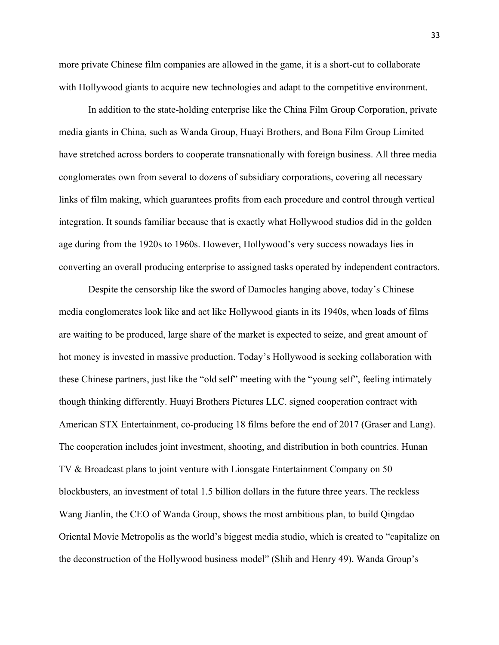more private Chinese film companies are allowed in the game, it is a short-cut to collaborate with Hollywood giants to acquire new technologies and adapt to the competitive environment.

In addition to the state-holding enterprise like the China Film Group Corporation, private media giants in China, such as Wanda Group, Huayi Brothers, and Bona Film Group Limited have stretched across borders to cooperate transnationally with foreign business. All three media conglomerates own from several to dozens of subsidiary corporations, covering all necessary links of film making, which guarantees profits from each procedure and control through vertical integration. It sounds familiar because that is exactly what Hollywood studios did in the golden age during from the 1920s to 1960s. However, Hollywood's very success nowadays lies in converting an overall producing enterprise to assigned tasks operated by independent contractors.

Despite the censorship like the sword of Damocles hanging above, today's Chinese media conglomerates look like and act like Hollywood giants in its 1940s, when loads of films are waiting to be produced, large share of the market is expected to seize, and great amount of hot money is invested in massive production. Today's Hollywood is seeking collaboration with these Chinese partners, just like the "old self" meeting with the "young self", feeling intimately though thinking differently. Huayi Brothers Pictures LLC. signed cooperation contract with American STX Entertainment, co-producing 18 films before the end of 2017 (Graser and Lang). The cooperation includes joint investment, shooting, and distribution in both countries. Hunan TV & Broadcast plans to joint venture with Lionsgate Entertainment Company on 50 blockbusters, an investment of total 1.5 billion dollars in the future three years. The reckless Wang Jianlin, the CEO of Wanda Group, shows the most ambitious plan, to build Qingdao Oriental Movie Metropolis as the world's biggest media studio, which is created to "capitalize on the deconstruction of the Hollywood business model" (Shih and Henry 49). Wanda Group's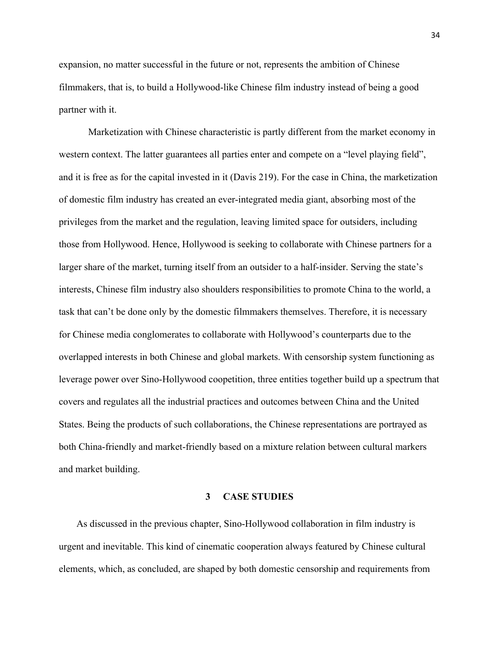expansion, no matter successful in the future or not, represents the ambition of Chinese filmmakers, that is, to build a Hollywood-like Chinese film industry instead of being a good partner with it.

Marketization with Chinese characteristic is partly different from the market economy in western context. The latter guarantees all parties enter and compete on a "level playing field", and it is free as for the capital invested in it (Davis 219). For the case in China, the marketization of domestic film industry has created an ever-integrated media giant, absorbing most of the privileges from the market and the regulation, leaving limited space for outsiders, including those from Hollywood. Hence, Hollywood is seeking to collaborate with Chinese partners for a larger share of the market, turning itself from an outsider to a half-insider. Serving the state's interests, Chinese film industry also shoulders responsibilities to promote China to the world, a task that can't be done only by the domestic filmmakers themselves. Therefore, it is necessary for Chinese media conglomerates to collaborate with Hollywood's counterparts due to the overlapped interests in both Chinese and global markets. With censorship system functioning as leverage power over Sino-Hollywood coopetition, three entities together build up a spectrum that covers and regulates all the industrial practices and outcomes between China and the United States. Being the products of such collaborations, the Chinese representations are portrayed as both China-friendly and market-friendly based on a mixture relation between cultural markers and market building.

### **3 CASE STUDIES**

As discussed in the previous chapter, Sino-Hollywood collaboration in film industry is urgent and inevitable. This kind of cinematic cooperation always featured by Chinese cultural elements, which, as concluded, are shaped by both domestic censorship and requirements from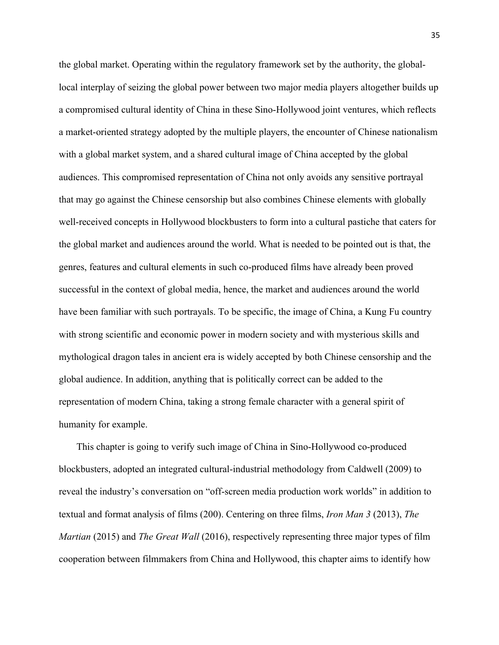the global market. Operating within the regulatory framework set by the authority, the globallocal interplay of seizing the global power between two major media players altogether builds up a compromised cultural identity of China in these Sino-Hollywood joint ventures, which reflects a market-oriented strategy adopted by the multiple players, the encounter of Chinese nationalism with a global market system, and a shared cultural image of China accepted by the global audiences. This compromised representation of China not only avoids any sensitive portrayal that may go against the Chinese censorship but also combines Chinese elements with globally well-received concepts in Hollywood blockbusters to form into a cultural pastiche that caters for the global market and audiences around the world. What is needed to be pointed out is that, the genres, features and cultural elements in such co-produced films have already been proved successful in the context of global media, hence, the market and audiences around the world have been familiar with such portrayals. To be specific, the image of China, a Kung Fu country with strong scientific and economic power in modern society and with mysterious skills and mythological dragon tales in ancient era is widely accepted by both Chinese censorship and the global audience. In addition, anything that is politically correct can be added to the representation of modern China, taking a strong female character with a general spirit of humanity for example.

This chapter is going to verify such image of China in Sino-Hollywood co-produced blockbusters, adopted an integrated cultural-industrial methodology from Caldwell (2009) to reveal the industry's conversation on "off-screen media production work worlds" in addition to textual and format analysis of films (200). Centering on three films, *Iron Man 3* (2013), *The Martian* (2015) and *The Great Wall* (2016), respectively representing three major types of film cooperation between filmmakers from China and Hollywood, this chapter aims to identify how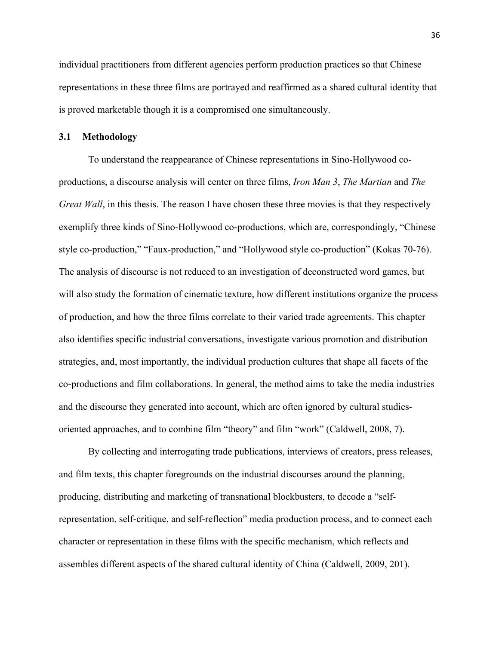individual practitioners from different agencies perform production practices so that Chinese representations in these three films are portrayed and reaffirmed as a shared cultural identity that is proved marketable though it is a compromised one simultaneously.

# **3.1 Methodology**

To understand the reappearance of Chinese representations in Sino-Hollywood coproductions, a discourse analysis will center on three films, *Iron Man 3*, *The Martian* and *The Great Wall*, in this thesis. The reason I have chosen these three movies is that they respectively exemplify three kinds of Sino-Hollywood co-productions, which are, correspondingly, "Chinese style co-production," "Faux-production," and "Hollywood style co-production" (Kokas 70-76). The analysis of discourse is not reduced to an investigation of deconstructed word games, but will also study the formation of cinematic texture, how different institutions organize the process of production, and how the three films correlate to their varied trade agreements. This chapter also identifies specific industrial conversations, investigate various promotion and distribution strategies, and, most importantly, the individual production cultures that shape all facets of the co-productions and film collaborations. In general, the method aims to take the media industries and the discourse they generated into account, which are often ignored by cultural studiesoriented approaches, and to combine film "theory" and film "work" (Caldwell, 2008, 7).

By collecting and interrogating trade publications, interviews of creators, press releases, and film texts, this chapter foregrounds on the industrial discourses around the planning, producing, distributing and marketing of transnational blockbusters, to decode a "selfrepresentation, self-critique, and self-reflection" media production process, and to connect each character or representation in these films with the specific mechanism, which reflects and assembles different aspects of the shared cultural identity of China (Caldwell, 2009, 201).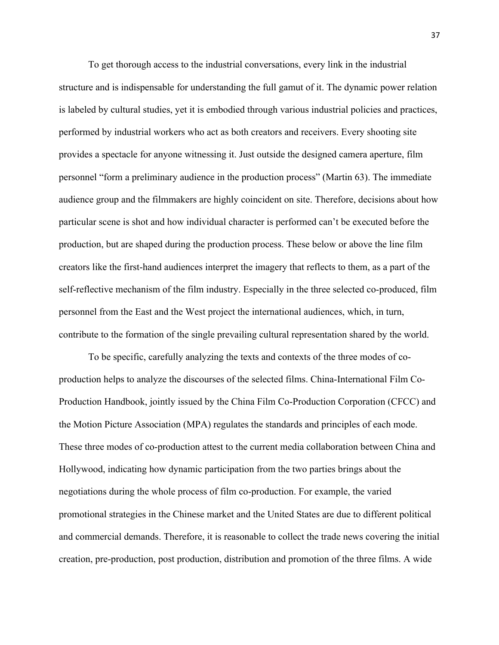To get thorough access to the industrial conversations, every link in the industrial structure and is indispensable for understanding the full gamut of it. The dynamic power relation is labeled by cultural studies, yet it is embodied through various industrial policies and practices, performed by industrial workers who act as both creators and receivers. Every shooting site provides a spectacle for anyone witnessing it. Just outside the designed camera aperture, film personnel "form a preliminary audience in the production process" (Martin 63). The immediate audience group and the filmmakers are highly coincident on site. Therefore, decisions about how particular scene is shot and how individual character is performed can't be executed before the production, but are shaped during the production process. These below or above the line film creators like the first-hand audiences interpret the imagery that reflects to them, as a part of the self-reflective mechanism of the film industry. Especially in the three selected co-produced, film personnel from the East and the West project the international audiences, which, in turn, contribute to the formation of the single prevailing cultural representation shared by the world.

To be specific, carefully analyzing the texts and contexts of the three modes of coproduction helps to analyze the discourses of the selected films. China-International Film Co-Production Handbook, jointly issued by the China Film Co-Production Corporation (CFCC) and the Motion Picture Association (MPA) regulates the standards and principles of each mode. These three modes of co-production attest to the current media collaboration between China and Hollywood, indicating how dynamic participation from the two parties brings about the negotiations during the whole process of film co-production. For example, the varied promotional strategies in the Chinese market and the United States are due to different political and commercial demands. Therefore, it is reasonable to collect the trade news covering the initial creation, pre-production, post production, distribution and promotion of the three films. A wide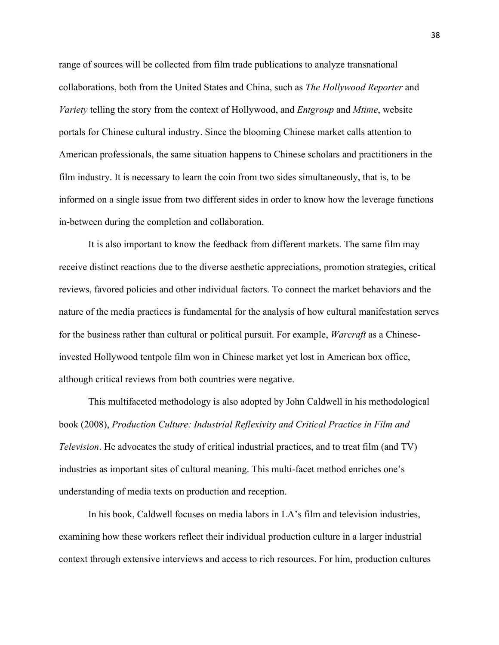range of sources will be collected from film trade publications to analyze transnational collaborations, both from the United States and China, such as *The Hollywood Reporter* and *Variety* telling the story from the context of Hollywood, and *Entgroup* and *Mtime*, website portals for Chinese cultural industry. Since the blooming Chinese market calls attention to American professionals, the same situation happens to Chinese scholars and practitioners in the film industry. It is necessary to learn the coin from two sides simultaneously, that is, to be informed on a single issue from two different sides in order to know how the leverage functions in-between during the completion and collaboration.

It is also important to know the feedback from different markets. The same film may receive distinct reactions due to the diverse aesthetic appreciations, promotion strategies, critical reviews, favored policies and other individual factors. To connect the market behaviors and the nature of the media practices is fundamental for the analysis of how cultural manifestation serves for the business rather than cultural or political pursuit. For example, *Warcraft* as a Chineseinvested Hollywood tentpole film won in Chinese market yet lost in American box office, although critical reviews from both countries were negative.

This multifaceted methodology is also adopted by John Caldwell in his methodological book (2008), *Production Culture: Industrial Reflexivity and Critical Practice in Film and Television*. He advocates the study of critical industrial practices, and to treat film (and TV) industries as important sites of cultural meaning. This multi-facet method enriches one's understanding of media texts on production and reception.

In his book, Caldwell focuses on media labors in LA's film and television industries, examining how these workers reflect their individual production culture in a larger industrial context through extensive interviews and access to rich resources. For him, production cultures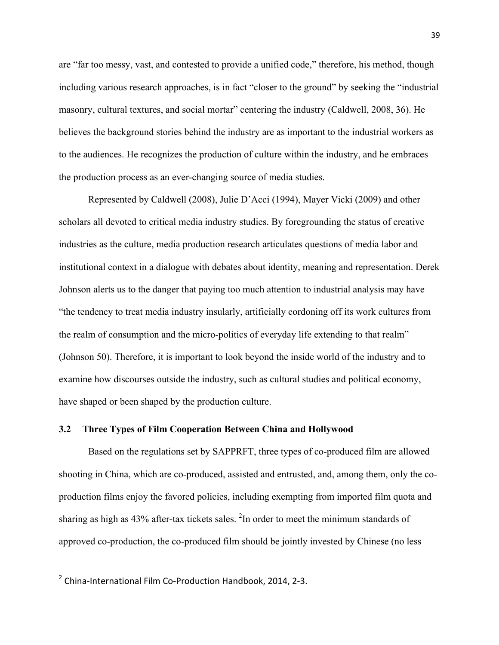are "far too messy, vast, and contested to provide a unified code," therefore, his method, though including various research approaches, is in fact "closer to the ground" by seeking the "industrial masonry, cultural textures, and social mortar" centering the industry (Caldwell, 2008, 36). He believes the background stories behind the industry are as important to the industrial workers as to the audiences. He recognizes the production of culture within the industry, and he embraces the production process as an ever-changing source of media studies.

Represented by Caldwell (2008), Julie D'Acci (1994), Mayer Vicki (2009) and other scholars all devoted to critical media industry studies. By foregrounding the status of creative industries as the culture, media production research articulates questions of media labor and institutional context in a dialogue with debates about identity, meaning and representation. Derek Johnson alerts us to the danger that paying too much attention to industrial analysis may have "the tendency to treat media industry insularly, artificially cordoning off its work cultures from the realm of consumption and the micro-politics of everyday life extending to that realm" (Johnson 50). Therefore, it is important to look beyond the inside world of the industry and to examine how discourses outside the industry, such as cultural studies and political economy, have shaped or been shaped by the production culture.

# **3.2 Three Types of Film Cooperation Between China and Hollywood**

Based on the regulations set by SAPPRFT, three types of co-produced film are allowed shooting in China, which are co-produced, assisted and entrusted, and, among them, only the coproduction films enjoy the favored policies, including exempting from imported film quota and sharing as high as  $43\%$  after-tax tickets sales. <sup>2</sup>In order to meet the minimum standards of approved co-production, the co-produced film should be jointly invested by Chinese (no less

<u>.</u>

 $2$  China-International Film Co-Production Handbook, 2014, 2-3.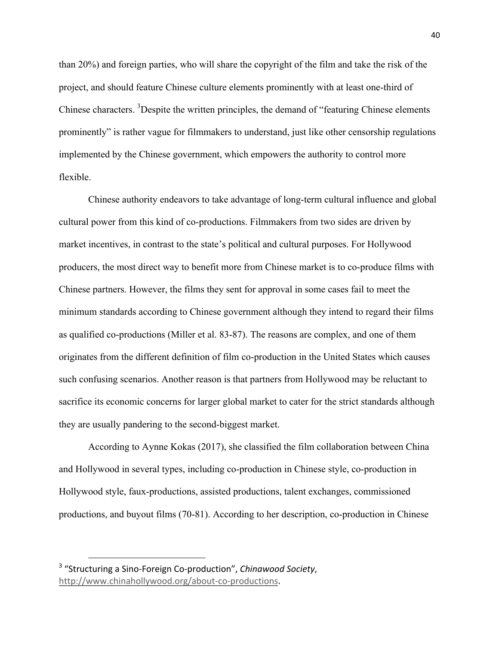than 20%) and foreign parties, who will share the copyright of the film and take the risk of the project, and should feature Chinese culture elements prominently with at least one-third of Chinese characters. <sup>3</sup>Despite the written principles, the demand of "featuring Chinese elements prominently" is rather vague for filmmakers to understand, just like other censorship regulations implemented by the Chinese government, which empowers the authority to control more flexible.

Chinese authority endeavors to take advantage of long-term cultural influence and global cultural power from this kind of co-productions. Filmmakers from two sides are driven by market incentives, in contrast to the state's political and cultural purposes. For Hollywood producers, the most direct way to benefit more from Chinese market is to co-produce films with Chinese partners. However, the films they sent for approval in some cases fail to meet the minimum standards according to Chinese government although they intend to regard their films as qualified co-productions (Miller et al. 83-87). The reasons are complex, and one of them originates from the different definition of film co-production in the United States which causes such confusing scenarios. Another reason is that partners from Hollywood may be reluctant to sacrifice its economic concerns for larger global market to cater for the strict standards although they are usually pandering to the second-biggest market.

According to Aynne Kokas (2017), she classified the film collaboration between China and Hollywood in several types, including co-production in Chinese style, co-production in Hollywood style, faux-productions, assisted productions, talent exchanges, commissioned productions, and buyout films (70-81). According to her description, co-production in Chinese

<u>.</u>

<sup>&</sup>lt;sup>3</sup> "Structuring a Sino-Foreign Co-production", *Chinawood Society*, http://www.chinahollywood.org/about-co-productions.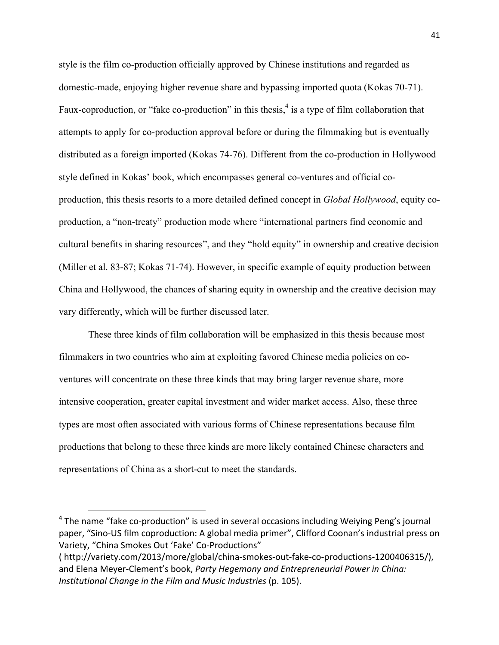style is the film co-production officially approved by Chinese institutions and regarded as domestic-made, enjoying higher revenue share and bypassing imported quota (Kokas 70-71). Faux-coproduction, or "fake co-production" in this thesis,<sup>4</sup> is a type of film collaboration that attempts to apply for co-production approval before or during the filmmaking but is eventually distributed as a foreign imported (Kokas 74-76). Different from the co-production in Hollywood style defined in Kokas' book, which encompasses general co-ventures and official coproduction, this thesis resorts to a more detailed defined concept in *Global Hollywood*, equity coproduction, a "non-treaty" production mode where "international partners find economic and cultural benefits in sharing resources", and they "hold equity" in ownership and creative decision (Miller et al. 83-87; Kokas 71-74). However, in specific example of equity production between China and Hollywood, the chances of sharing equity in ownership and the creative decision may vary differently, which will be further discussed later.

These three kinds of film collaboration will be emphasized in this thesis because most filmmakers in two countries who aim at exploiting favored Chinese media policies on coventures will concentrate on these three kinds that may bring larger revenue share, more intensive cooperation, greater capital investment and wider market access. Also, these three types are most often associated with various forms of Chinese representations because film productions that belong to these three kinds are more likely contained Chinese characters and representations of China as a short-cut to meet the standards.

1

 $4$  The name "fake co-production" is used in several occasions including Weiying Peng's journal paper, "Sino-US film coproduction: A global media primer", Clifford Coonan's industrial press on Variety, "China Smokes Out 'Fake' Co-Productions"

<sup>(</sup> http://variety.com/2013/more/global/china-smokes-out-fake-co-productions-1200406315/), and Elena Meyer-Clement's book, Party Hegemony and Entrepreneurial Power in China: *Institutional Change in the Film and Music Industries* (p. 105).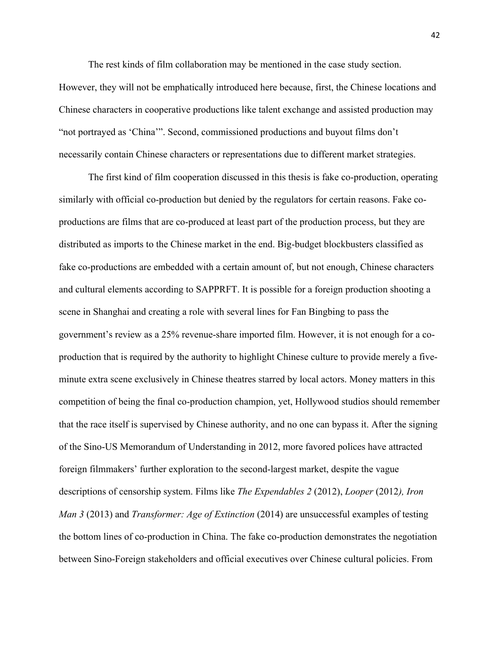The rest kinds of film collaboration may be mentioned in the case study section.

However, they will not be emphatically introduced here because, first, the Chinese locations and Chinese characters in cooperative productions like talent exchange and assisted production may "not portrayed as 'China'". Second, commissioned productions and buyout films don't necessarily contain Chinese characters or representations due to different market strategies.

The first kind of film cooperation discussed in this thesis is fake co-production, operating similarly with official co-production but denied by the regulators for certain reasons. Fake coproductions are films that are co-produced at least part of the production process, but they are distributed as imports to the Chinese market in the end. Big-budget blockbusters classified as fake co-productions are embedded with a certain amount of, but not enough, Chinese characters and cultural elements according to SAPPRFT. It is possible for a foreign production shooting a scene in Shanghai and creating a role with several lines for Fan Bingbing to pass the government's review as a 25% revenue-share imported film. However, it is not enough for a coproduction that is required by the authority to highlight Chinese culture to provide merely a fiveminute extra scene exclusively in Chinese theatres starred by local actors. Money matters in this competition of being the final co-production champion, yet, Hollywood studios should remember that the race itself is supervised by Chinese authority, and no one can bypass it. After the signing of the Sino-US Memorandum of Understanding in 2012, more favored polices have attracted foreign filmmakers' further exploration to the second-largest market, despite the vague descriptions of censorship system. Films like *The Expendables 2* (2012), *Looper* (2012*), Iron Man 3* (2013) and *Transformer: Age of Extinction* (2014) are unsuccessful examples of testing the bottom lines of co-production in China. The fake co-production demonstrates the negotiation between Sino-Foreign stakeholders and official executives over Chinese cultural policies. From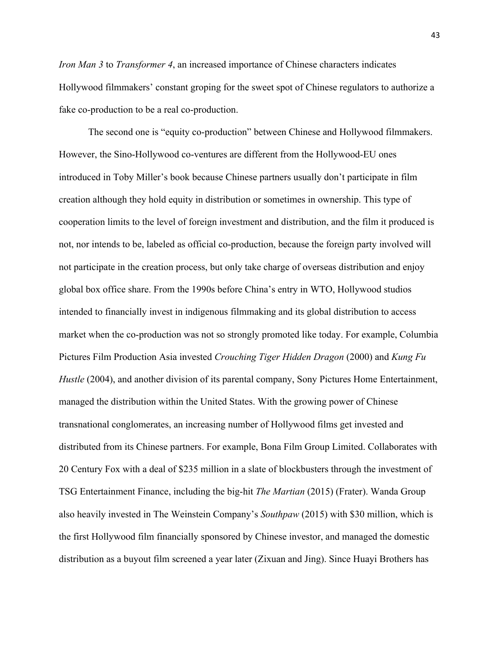*Iron Man 3* to *Transformer 4*, an increased importance of Chinese characters indicates Hollywood filmmakers' constant groping for the sweet spot of Chinese regulators to authorize a fake co-production to be a real co-production.

The second one is "equity co-production" between Chinese and Hollywood filmmakers. However, the Sino-Hollywood co-ventures are different from the Hollywood-EU ones introduced in Toby Miller's book because Chinese partners usually don't participate in film creation although they hold equity in distribution or sometimes in ownership. This type of cooperation limits to the level of foreign investment and distribution, and the film it produced is not, nor intends to be, labeled as official co-production, because the foreign party involved will not participate in the creation process, but only take charge of overseas distribution and enjoy global box office share. From the 1990s before China's entry in WTO, Hollywood studios intended to financially invest in indigenous filmmaking and its global distribution to access market when the co-production was not so strongly promoted like today. For example, Columbia Pictures Film Production Asia invested *Crouching Tiger Hidden Dragon* (2000) and *Kung Fu Hustle* (2004), and another division of its parental company, Sony Pictures Home Entertainment, managed the distribution within the United States. With the growing power of Chinese transnational conglomerates, an increasing number of Hollywood films get invested and distributed from its Chinese partners. For example, Bona Film Group Limited. Collaborates with 20 Century Fox with a deal of \$235 million in a slate of blockbusters through the investment of TSG Entertainment Finance, including the big-hit *The Martian* (2015) (Frater). Wanda Group also heavily invested in The Weinstein Company's *Southpaw* (2015) with \$30 million, which is the first Hollywood film financially sponsored by Chinese investor, and managed the domestic distribution as a buyout film screened a year later (Zixuan and Jing). Since Huayi Brothers has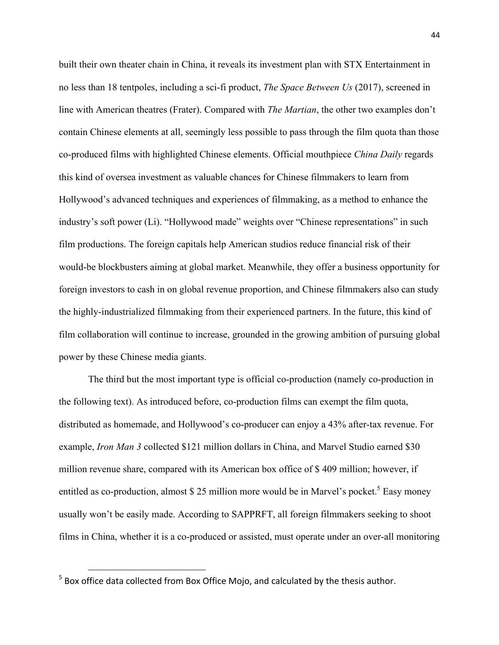built their own theater chain in China, it reveals its investment plan with STX Entertainment in no less than 18 tentpoles, including a sci-fi product, *The Space Between Us* (2017), screened in line with American theatres (Frater). Compared with *The Martian*, the other two examples don't contain Chinese elements at all, seemingly less possible to pass through the film quota than those co-produced films with highlighted Chinese elements. Official mouthpiece *China Daily* regards this kind of oversea investment as valuable chances for Chinese filmmakers to learn from Hollywood's advanced techniques and experiences of filmmaking, as a method to enhance the industry's soft power (Li). "Hollywood made" weights over "Chinese representations" in such film productions. The foreign capitals help American studios reduce financial risk of their would-be blockbusters aiming at global market. Meanwhile, they offer a business opportunity for foreign investors to cash in on global revenue proportion, and Chinese filmmakers also can study the highly-industrialized filmmaking from their experienced partners. In the future, this kind of film collaboration will continue to increase, grounded in the growing ambition of pursuing global power by these Chinese media giants.

The third but the most important type is official co-production (namely co-production in the following text). As introduced before, co-production films can exempt the film quota, distributed as homemade, and Hollywood's co-producer can enjoy a 43% after-tax revenue. For example, *Iron Man 3* collected \$121 million dollars in China, and Marvel Studio earned \$30 million revenue share, compared with its American box office of \$ 409 million; however, if entitled as co-production, almost  $$ 25$  million more would be in Marvel's pocket.<sup>5</sup> Easy money usually won't be easily made. According to SAPPRFT, all foreign filmmakers seeking to shoot films in China, whether it is a co-produced or assisted, must operate under an over-all monitoring

<u>.</u>

 $5$  Box office data collected from Box Office Mojo, and calculated by the thesis author.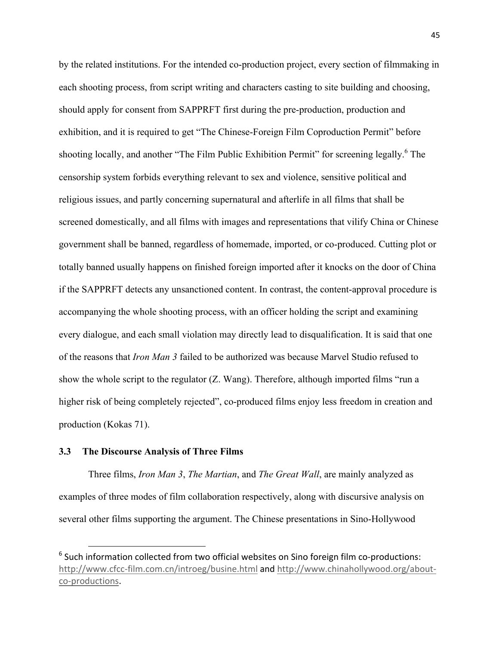by the related institutions. For the intended co-production project, every section of filmmaking in each shooting process, from script writing and characters casting to site building and choosing, should apply for consent from SAPPRFT first during the pre-production, production and exhibition, and it is required to get "The Chinese-Foreign Film Coproduction Permit" before shooting locally, and another "The Film Public Exhibition Permit" for screening legally.<sup>6</sup> The censorship system forbids everything relevant to sex and violence, sensitive political and religious issues, and partly concerning supernatural and afterlife in all films that shall be screened domestically, and all films with images and representations that vilify China or Chinese government shall be banned, regardless of homemade, imported, or co-produced. Cutting plot or totally banned usually happens on finished foreign imported after it knocks on the door of China if the SAPPRFT detects any unsanctioned content. In contrast, the content-approval procedure is accompanying the whole shooting process, with an officer holding the script and examining every dialogue, and each small violation may directly lead to disqualification. It is said that one of the reasons that *Iron Man 3* failed to be authorized was because Marvel Studio refused to show the whole script to the regulator (Z. Wang). Therefore, although imported films "run a higher risk of being completely rejected", co-produced films enjoy less freedom in creation and production (Kokas 71).

## **3.3 The Discourse Analysis of Three Films**

<u>.</u>

Three films, *Iron Man 3*, *The Martian*, and *The Great Wall*, are mainly analyzed as examples of three modes of film collaboration respectively, along with discursive analysis on several other films supporting the argument. The Chinese presentations in Sino-Hollywood

 $6$  Such information collected from two official websites on Sino foreign film co-productions: http://www.cfcc-film.com.cn/introeg/busine.html and http://www.chinahollywood.org/aboutco-productions.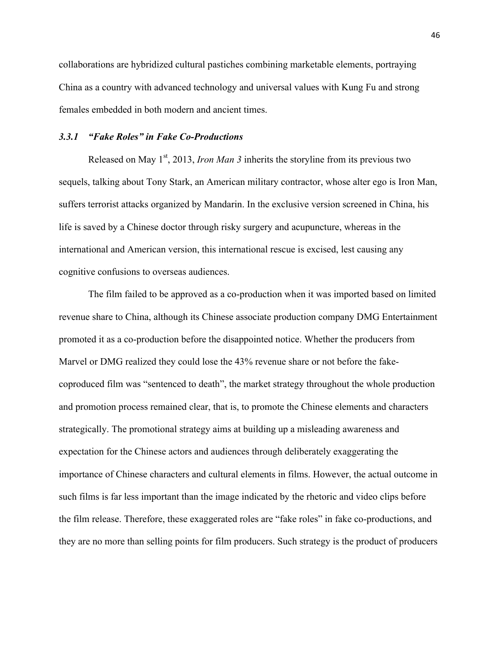collaborations are hybridized cultural pastiches combining marketable elements, portraying China as a country with advanced technology and universal values with Kung Fu and strong females embedded in both modern and ancient times.

# *3.3.1 "Fake Roles" in Fake Co-Productions*

Released on May  $1<sup>st</sup>$ , 2013, *Iron Man 3* inherits the storyline from its previous two sequels, talking about Tony Stark, an American military contractor, whose alter ego is Iron Man, suffers terrorist attacks organized by Mandarin. In the exclusive version screened in China, his life is saved by a Chinese doctor through risky surgery and acupuncture, whereas in the international and American version, this international rescue is excised, lest causing any cognitive confusions to overseas audiences.

The film failed to be approved as a co-production when it was imported based on limited revenue share to China, although its Chinese associate production company DMG Entertainment promoted it as a co-production before the disappointed notice. Whether the producers from Marvel or DMG realized they could lose the 43% revenue share or not before the fakecoproduced film was "sentenced to death", the market strategy throughout the whole production and promotion process remained clear, that is, to promote the Chinese elements and characters strategically. The promotional strategy aims at building up a misleading awareness and expectation for the Chinese actors and audiences through deliberately exaggerating the importance of Chinese characters and cultural elements in films. However, the actual outcome in such films is far less important than the image indicated by the rhetoric and video clips before the film release. Therefore, these exaggerated roles are "fake roles" in fake co-productions, and they are no more than selling points for film producers. Such strategy is the product of producers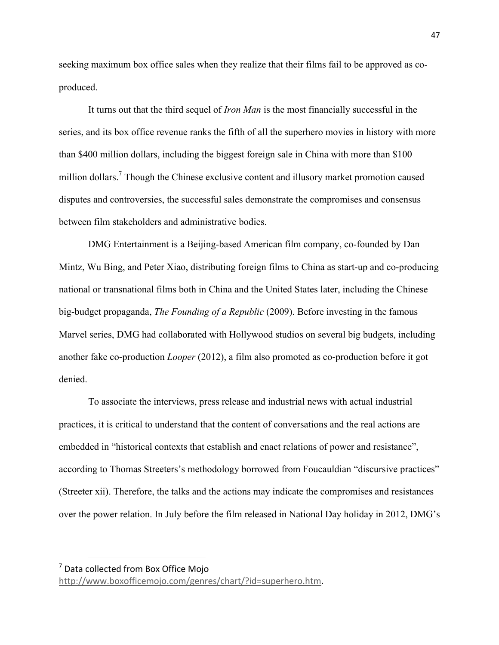seeking maximum box office sales when they realize that their films fail to be approved as coproduced.

It turns out that the third sequel of *Iron Man* is the most financially successful in the series, and its box office revenue ranks the fifth of all the superhero movies in history with more than \$400 million dollars, including the biggest foreign sale in China with more than \$100 million dollars.<sup>7</sup> Though the Chinese exclusive content and illusory market promotion caused disputes and controversies, the successful sales demonstrate the compromises and consensus between film stakeholders and administrative bodies.

DMG Entertainment is a Beijing-based American film company, co-founded by Dan Mintz, Wu Bing, and Peter Xiao, distributing foreign films to China as start-up and co-producing national or transnational films both in China and the United States later, including the Chinese big-budget propaganda, *The Founding of a Republic* (2009). Before investing in the famous Marvel series, DMG had collaborated with Hollywood studios on several big budgets, including another fake co-production *Looper* (2012), a film also promoted as co-production before it got denied.

To associate the interviews, press release and industrial news with actual industrial practices, it is critical to understand that the content of conversations and the real actions are embedded in "historical contexts that establish and enact relations of power and resistance", according to Thomas Streeters's methodology borrowed from Foucauldian "discursive practices" (Streeter xii). Therefore, the talks and the actions may indicate the compromises and resistances over the power relation. In July before the film released in National Day holiday in 2012, DMG's

<u>.</u>

 $<sup>7</sup>$  Data collected from Box Office Mojo</sup>

http://www.boxofficemojo.com/genres/chart/?id=superhero.htm.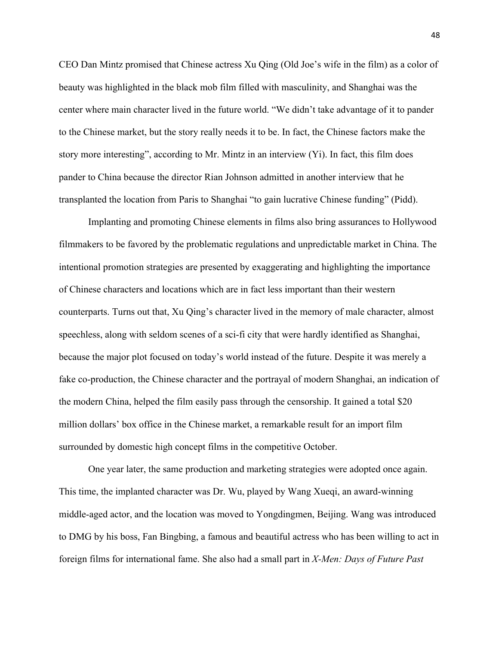CEO Dan Mintz promised that Chinese actress Xu Qing (Old Joe's wife in the film) as a color of beauty was highlighted in the black mob film filled with masculinity, and Shanghai was the center where main character lived in the future world. "We didn't take advantage of it to pander to the Chinese market, but the story really needs it to be. In fact, the Chinese factors make the story more interesting", according to Mr. Mintz in an interview (Yi). In fact, this film does pander to China because the director Rian Johnson admitted in another interview that he transplanted the location from Paris to Shanghai "to gain lucrative Chinese funding" (Pidd).

Implanting and promoting Chinese elements in films also bring assurances to Hollywood filmmakers to be favored by the problematic regulations and unpredictable market in China. The intentional promotion strategies are presented by exaggerating and highlighting the importance of Chinese characters and locations which are in fact less important than their western counterparts. Turns out that, Xu Qing's character lived in the memory of male character, almost speechless, along with seldom scenes of a sci-fi city that were hardly identified as Shanghai, because the major plot focused on today's world instead of the future. Despite it was merely a fake co-production, the Chinese character and the portrayal of modern Shanghai, an indication of the modern China, helped the film easily pass through the censorship. It gained a total \$20 million dollars' box office in the Chinese market, a remarkable result for an import film surrounded by domestic high concept films in the competitive October.

One year later, the same production and marketing strategies were adopted once again. This time, the implanted character was Dr. Wu, played by Wang Xueqi, an award-winning middle-aged actor, and the location was moved to Yongdingmen, Beijing. Wang was introduced to DMG by his boss, Fan Bingbing, a famous and beautiful actress who has been willing to act in foreign films for international fame. She also had a small part in *X-Men: Days of Future Past*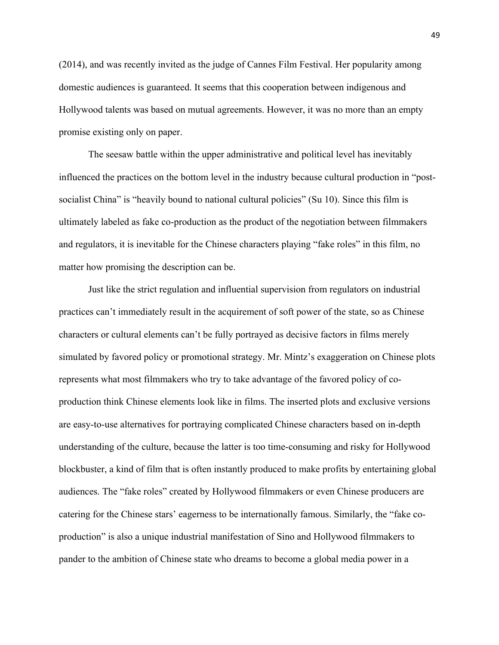(2014), and was recently invited as the judge of Cannes Film Festival. Her popularity among domestic audiences is guaranteed. It seems that this cooperation between indigenous and Hollywood talents was based on mutual agreements. However, it was no more than an empty promise existing only on paper.

The seesaw battle within the upper administrative and political level has inevitably influenced the practices on the bottom level in the industry because cultural production in "postsocialist China" is "heavily bound to national cultural policies" (Su 10). Since this film is ultimately labeled as fake co-production as the product of the negotiation between filmmakers and regulators, it is inevitable for the Chinese characters playing "fake roles" in this film, no matter how promising the description can be.

Just like the strict regulation and influential supervision from regulators on industrial practices can't immediately result in the acquirement of soft power of the state, so as Chinese characters or cultural elements can't be fully portrayed as decisive factors in films merely simulated by favored policy or promotional strategy. Mr. Mintz's exaggeration on Chinese plots represents what most filmmakers who try to take advantage of the favored policy of coproduction think Chinese elements look like in films. The inserted plots and exclusive versions are easy-to-use alternatives for portraying complicated Chinese characters based on in-depth understanding of the culture, because the latter is too time-consuming and risky for Hollywood blockbuster, a kind of film that is often instantly produced to make profits by entertaining global audiences. The "fake roles" created by Hollywood filmmakers or even Chinese producers are catering for the Chinese stars' eagerness to be internationally famous. Similarly, the "fake coproduction" is also a unique industrial manifestation of Sino and Hollywood filmmakers to pander to the ambition of Chinese state who dreams to become a global media power in a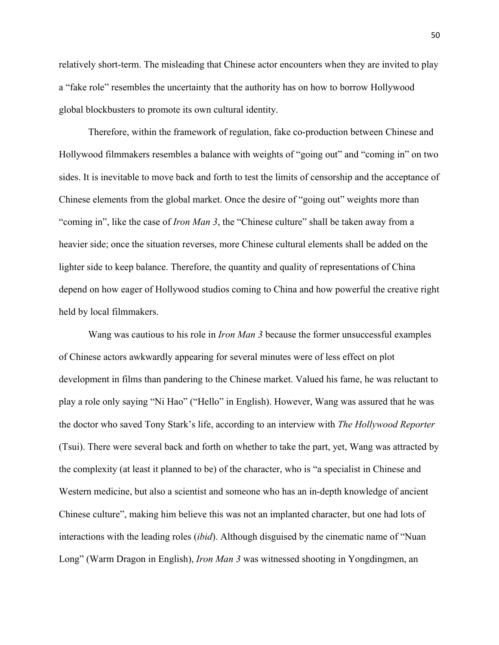relatively short-term. The misleading that Chinese actor encounters when they are invited to play a "fake role" resembles the uncertainty that the authority has on how to borrow Hollywood global blockbusters to promote its own cultural identity.

Therefore, within the framework of regulation, fake co-production between Chinese and Hollywood filmmakers resembles a balance with weights of "going out" and "coming in" on two sides. It is inevitable to move back and forth to test the limits of censorship and the acceptance of Chinese elements from the global market. Once the desire of "going out" weights more than "coming in", like the case of *Iron Man 3*, the "Chinese culture" shall be taken away from a heavier side; once the situation reverses, more Chinese cultural elements shall be added on the lighter side to keep balance. Therefore, the quantity and quality of representations of China depend on how eager of Hollywood studios coming to China and how powerful the creative right held by local filmmakers.

Wang was cautious to his role in *Iron Man 3* because the former unsuccessful examples of Chinese actors awkwardly appearing for several minutes were of less effect on plot development in films than pandering to the Chinese market. Valued his fame, he was reluctant to play a role only saying "Ni Hao" ("Hello" in English). However, Wang was assured that he was the doctor who saved Tony Stark's life, according to an interview with *The Hollywood Reporter* (Tsui). There were several back and forth on whether to take the part, yet, Wang was attracted by the complexity (at least it planned to be) of the character, who is "a specialist in Chinese and Western medicine, but also a scientist and someone who has an in-depth knowledge of ancient Chinese culture", making him believe this was not an implanted character, but one had lots of interactions with the leading roles (*ibid*). Although disguised by the cinematic name of "Nuan Long" (Warm Dragon in English), *Iron Man 3* was witnessed shooting in Yongdingmen, an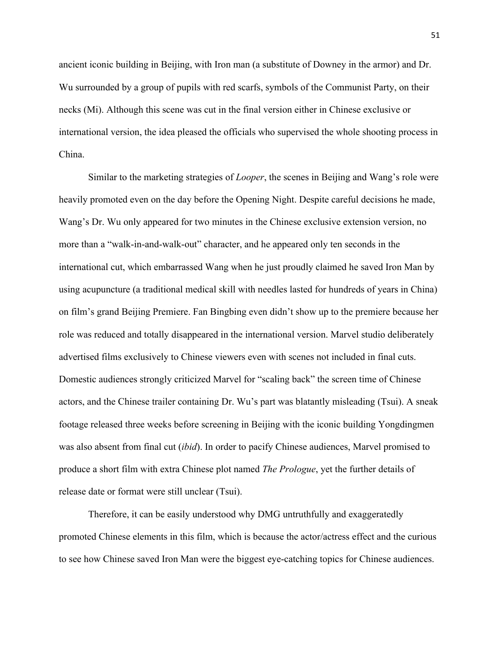ancient iconic building in Beijing, with Iron man (a substitute of Downey in the armor) and Dr. Wu surrounded by a group of pupils with red scarfs, symbols of the Communist Party, on their necks (Mi). Although this scene was cut in the final version either in Chinese exclusive or international version, the idea pleased the officials who supervised the whole shooting process in China.

Similar to the marketing strategies of *Looper*, the scenes in Beijing and Wang's role were heavily promoted even on the day before the Opening Night. Despite careful decisions he made, Wang's Dr. Wu only appeared for two minutes in the Chinese exclusive extension version, no more than a "walk-in-and-walk-out" character, and he appeared only ten seconds in the international cut, which embarrassed Wang when he just proudly claimed he saved Iron Man by using acupuncture (a traditional medical skill with needles lasted for hundreds of years in China) on film's grand Beijing Premiere. Fan Bingbing even didn't show up to the premiere because her role was reduced and totally disappeared in the international version. Marvel studio deliberately advertised films exclusively to Chinese viewers even with scenes not included in final cuts. Domestic audiences strongly criticized Marvel for "scaling back" the screen time of Chinese actors, and the Chinese trailer containing Dr. Wu's part was blatantly misleading (Tsui). A sneak footage released three weeks before screening in Beijing with the iconic building Yongdingmen was also absent from final cut (*ibid*). In order to pacify Chinese audiences, Marvel promised to produce a short film with extra Chinese plot named *The Prologue*, yet the further details of release date or format were still unclear (Tsui).

Therefore, it can be easily understood why DMG untruthfully and exaggeratedly promoted Chinese elements in this film, which is because the actor/actress effect and the curious to see how Chinese saved Iron Man were the biggest eye-catching topics for Chinese audiences.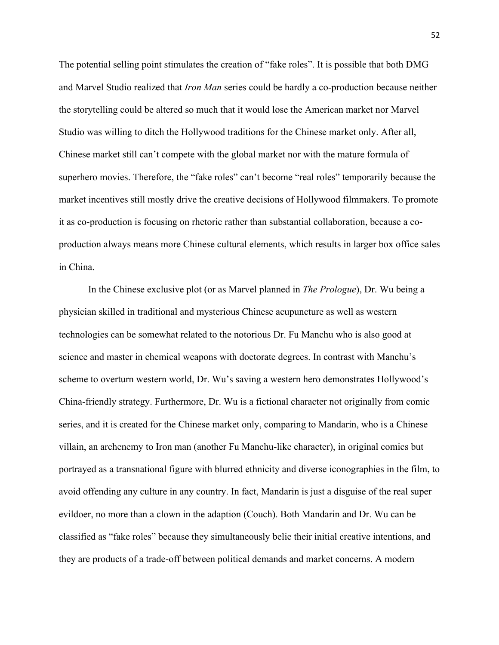The potential selling point stimulates the creation of "fake roles". It is possible that both DMG and Marvel Studio realized that *Iron Man* series could be hardly a co-production because neither the storytelling could be altered so much that it would lose the American market nor Marvel Studio was willing to ditch the Hollywood traditions for the Chinese market only. After all, Chinese market still can't compete with the global market nor with the mature formula of superhero movies. Therefore, the "fake roles" can't become "real roles" temporarily because the market incentives still mostly drive the creative decisions of Hollywood filmmakers. To promote it as co-production is focusing on rhetoric rather than substantial collaboration, because a coproduction always means more Chinese cultural elements, which results in larger box office sales in China.

In the Chinese exclusive plot (or as Marvel planned in *The Prologue*), Dr. Wu being a physician skilled in traditional and mysterious Chinese acupuncture as well as western technologies can be somewhat related to the notorious Dr. Fu Manchu who is also good at science and master in chemical weapons with doctorate degrees. In contrast with Manchu's scheme to overturn western world, Dr. Wu's saving a western hero demonstrates Hollywood's China-friendly strategy. Furthermore, Dr. Wu is a fictional character not originally from comic series, and it is created for the Chinese market only, comparing to Mandarin, who is a Chinese villain, an archenemy to Iron man (another Fu Manchu-like character), in original comics but portrayed as a transnational figure with blurred ethnicity and diverse iconographies in the film, to avoid offending any culture in any country. In fact, Mandarin is just a disguise of the real super evildoer, no more than a clown in the adaption (Couch). Both Mandarin and Dr. Wu can be classified as "fake roles" because they simultaneously belie their initial creative intentions, and they are products of a trade-off between political demands and market concerns. A modern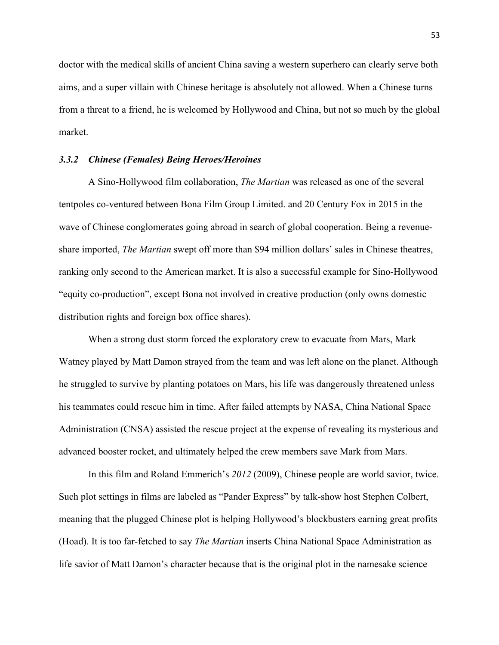doctor with the medical skills of ancient China saving a western superhero can clearly serve both aims, and a super villain with Chinese heritage is absolutely not allowed. When a Chinese turns from a threat to a friend, he is welcomed by Hollywood and China, but not so much by the global market.

# *3.3.2 Chinese (Females) Being Heroes/Heroines*

A Sino-Hollywood film collaboration, *The Martian* was released as one of the several tentpoles co-ventured between Bona Film Group Limited. and 20 Century Fox in 2015 in the wave of Chinese conglomerates going abroad in search of global cooperation. Being a revenueshare imported, *The Martian* swept off more than \$94 million dollars' sales in Chinese theatres, ranking only second to the American market. It is also a successful example for Sino-Hollywood "equity co-production", except Bona not involved in creative production (only owns domestic distribution rights and foreign box office shares).

When a strong dust storm forced the exploratory crew to evacuate from Mars, Mark Watney played by Matt Damon strayed from the team and was left alone on the planet. Although he struggled to survive by planting potatoes on Mars, his life was dangerously threatened unless his teammates could rescue him in time. After failed attempts by NASA, China National Space Administration (CNSA) assisted the rescue project at the expense of revealing its mysterious and advanced booster rocket, and ultimately helped the crew members save Mark from Mars.

In this film and Roland Emmerich's *2012* (2009), Chinese people are world savior, twice. Such plot settings in films are labeled as "Pander Express" by talk-show host Stephen Colbert, meaning that the plugged Chinese plot is helping Hollywood's blockbusters earning great profits (Hoad). It is too far-fetched to say *The Martian* inserts China National Space Administration as life savior of Matt Damon's character because that is the original plot in the namesake science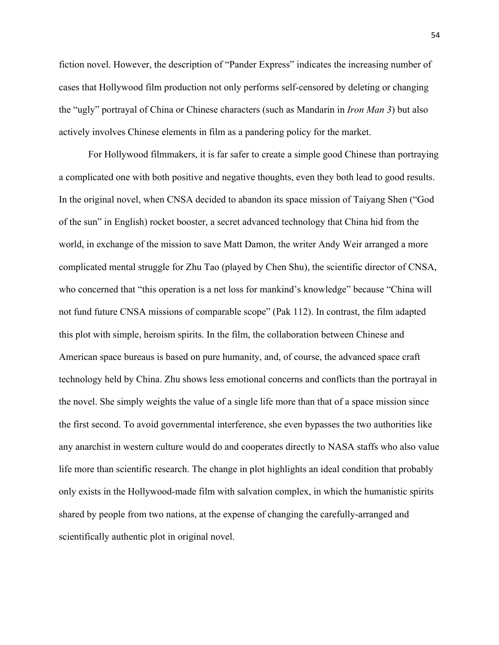fiction novel. However, the description of "Pander Express" indicates the increasing number of cases that Hollywood film production not only performs self-censored by deleting or changing the "ugly" portrayal of China or Chinese characters (such as Mandarin in *Iron Man 3*) but also actively involves Chinese elements in film as a pandering policy for the market.

For Hollywood filmmakers, it is far safer to create a simple good Chinese than portraying a complicated one with both positive and negative thoughts, even they both lead to good results. In the original novel, when CNSA decided to abandon its space mission of Taiyang Shen ("God of the sun" in English) rocket booster, a secret advanced technology that China hid from the world, in exchange of the mission to save Matt Damon, the writer Andy Weir arranged a more complicated mental struggle for Zhu Tao (played by Chen Shu), the scientific director of CNSA, who concerned that "this operation is a net loss for mankind's knowledge" because "China will not fund future CNSA missions of comparable scope" (Pak 112). In contrast, the film adapted this plot with simple, heroism spirits. In the film, the collaboration between Chinese and American space bureaus is based on pure humanity, and, of course, the advanced space craft technology held by China. Zhu shows less emotional concerns and conflicts than the portrayal in the novel. She simply weights the value of a single life more than that of a space mission since the first second. To avoid governmental interference, she even bypasses the two authorities like any anarchist in western culture would do and cooperates directly to NASA staffs who also value life more than scientific research. The change in plot highlights an ideal condition that probably only exists in the Hollywood-made film with salvation complex, in which the humanistic spirits shared by people from two nations, at the expense of changing the carefully-arranged and scientifically authentic plot in original novel.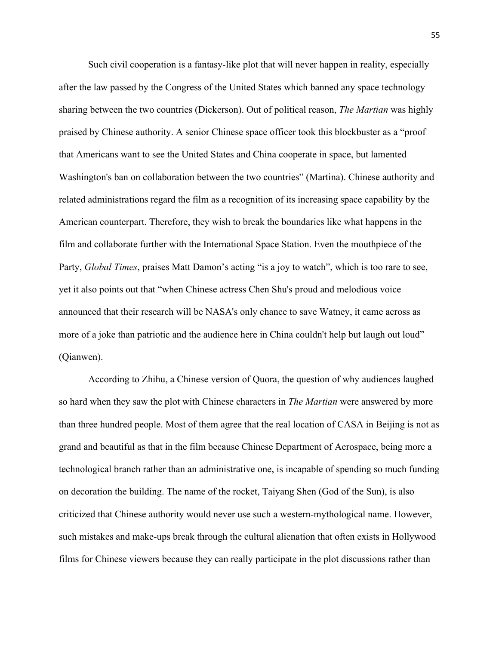Such civil cooperation is a fantasy-like plot that will never happen in reality, especially after the law passed by the Congress of the United States which banned any space technology sharing between the two countries (Dickerson). Out of political reason, *The Martian* was highly praised by Chinese authority. A senior Chinese space officer took this blockbuster as a "proof that Americans want to see the United States and China cooperate in space, but lamented Washington's ban on collaboration between the two countries" (Martina). Chinese authority and related administrations regard the film as a recognition of its increasing space capability by the American counterpart. Therefore, they wish to break the boundaries like what happens in the film and collaborate further with the International Space Station. Even the mouthpiece of the Party, *Global Times*, praises Matt Damon's acting "is a joy to watch", which is too rare to see, yet it also points out that "when Chinese actress Chen Shu's proud and melodious voice announced that their research will be NASA's only chance to save Watney, it came across as more of a joke than patriotic and the audience here in China couldn't help but laugh out loud" (Qianwen).

According to Zhihu, a Chinese version of Quora, the question of why audiences laughed so hard when they saw the plot with Chinese characters in *The Martian* were answered by more than three hundred people. Most of them agree that the real location of CASA in Beijing is not as grand and beautiful as that in the film because Chinese Department of Aerospace, being more a technological branch rather than an administrative one, is incapable of spending so much funding on decoration the building. The name of the rocket, Taiyang Shen (God of the Sun), is also criticized that Chinese authority would never use such a western-mythological name. However, such mistakes and make-ups break through the cultural alienation that often exists in Hollywood films for Chinese viewers because they can really participate in the plot discussions rather than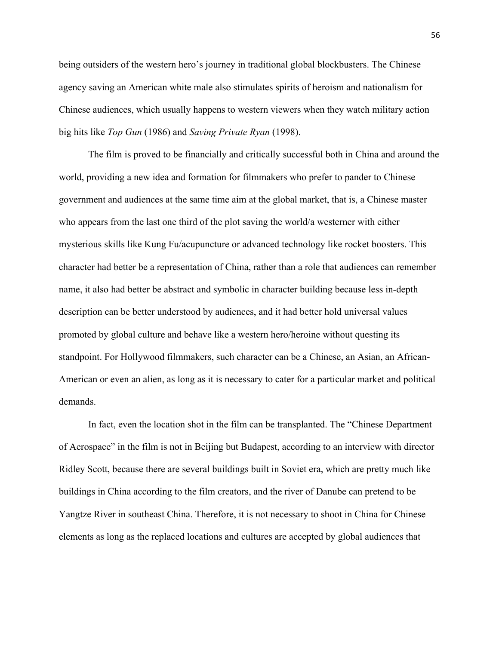being outsiders of the western hero's journey in traditional global blockbusters. The Chinese agency saving an American white male also stimulates spirits of heroism and nationalism for Chinese audiences, which usually happens to western viewers when they watch military action big hits like *Top Gun* (1986) and *Saving Private Ryan* (1998).

The film is proved to be financially and critically successful both in China and around the world, providing a new idea and formation for filmmakers who prefer to pander to Chinese government and audiences at the same time aim at the global market, that is, a Chinese master who appears from the last one third of the plot saving the world/a westerner with either mysterious skills like Kung Fu/acupuncture or advanced technology like rocket boosters. This character had better be a representation of China, rather than a role that audiences can remember name, it also had better be abstract and symbolic in character building because less in-depth description can be better understood by audiences, and it had better hold universal values promoted by global culture and behave like a western hero/heroine without questing its standpoint. For Hollywood filmmakers, such character can be a Chinese, an Asian, an African-American or even an alien, as long as it is necessary to cater for a particular market and political demands.

In fact, even the location shot in the film can be transplanted. The "Chinese Department of Aerospace" in the film is not in Beijing but Budapest, according to an interview with director Ridley Scott, because there are several buildings built in Soviet era, which are pretty much like buildings in China according to the film creators, and the river of Danube can pretend to be Yangtze River in southeast China. Therefore, it is not necessary to shoot in China for Chinese elements as long as the replaced locations and cultures are accepted by global audiences that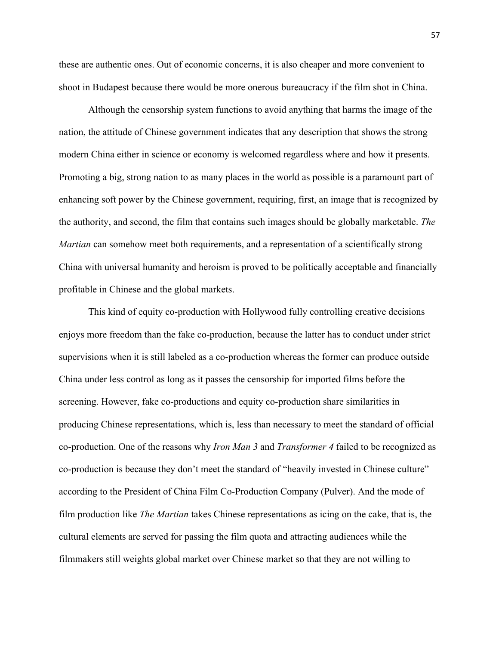these are authentic ones. Out of economic concerns, it is also cheaper and more convenient to shoot in Budapest because there would be more onerous bureaucracy if the film shot in China.

Although the censorship system functions to avoid anything that harms the image of the nation, the attitude of Chinese government indicates that any description that shows the strong modern China either in science or economy is welcomed regardless where and how it presents. Promoting a big, strong nation to as many places in the world as possible is a paramount part of enhancing soft power by the Chinese government, requiring, first, an image that is recognized by the authority, and second, the film that contains such images should be globally marketable. *The Martian* can somehow meet both requirements, and a representation of a scientifically strong China with universal humanity and heroism is proved to be politically acceptable and financially profitable in Chinese and the global markets.

This kind of equity co-production with Hollywood fully controlling creative decisions enjoys more freedom than the fake co-production, because the latter has to conduct under strict supervisions when it is still labeled as a co-production whereas the former can produce outside China under less control as long as it passes the censorship for imported films before the screening. However, fake co-productions and equity co-production share similarities in producing Chinese representations, which is, less than necessary to meet the standard of official co-production. One of the reasons why *Iron Man 3* and *Transformer 4* failed to be recognized as co-production is because they don't meet the standard of "heavily invested in Chinese culture" according to the President of China Film Co-Production Company (Pulver). And the mode of film production like *The Martian* takes Chinese representations as icing on the cake, that is, the cultural elements are served for passing the film quota and attracting audiences while the filmmakers still weights global market over Chinese market so that they are not willing to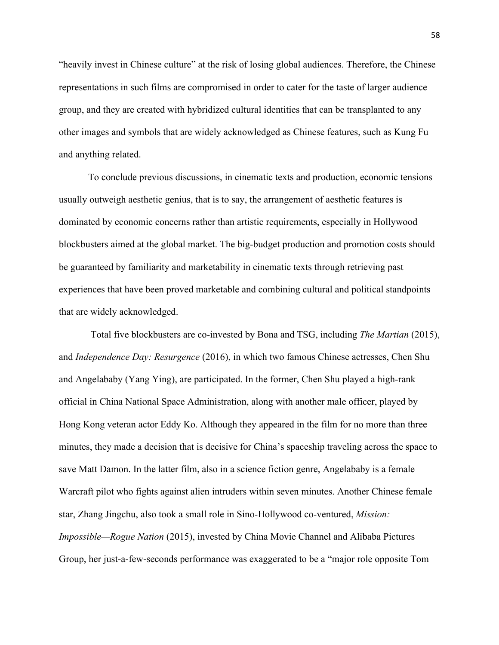"heavily invest in Chinese culture" at the risk of losing global audiences. Therefore, the Chinese representations in such films are compromised in order to cater for the taste of larger audience group, and they are created with hybridized cultural identities that can be transplanted to any other images and symbols that are widely acknowledged as Chinese features, such as Kung Fu and anything related.

To conclude previous discussions, in cinematic texts and production, economic tensions usually outweigh aesthetic genius, that is to say, the arrangement of aesthetic features is dominated by economic concerns rather than artistic requirements, especially in Hollywood blockbusters aimed at the global market. The big-budget production and promotion costs should be guaranteed by familiarity and marketability in cinematic texts through retrieving past experiences that have been proved marketable and combining cultural and political standpoints that are widely acknowledged.

Total five blockbusters are co-invested by Bona and TSG, including *The Martian* (2015), and *Independence Day: Resurgence* (2016), in which two famous Chinese actresses, Chen Shu and Angelababy (Yang Ying), are participated. In the former, Chen Shu played a high-rank official in China National Space Administration, along with another male officer, played by Hong Kong veteran actor Eddy Ko. Although they appeared in the film for no more than three minutes, they made a decision that is decisive for China's spaceship traveling across the space to save Matt Damon. In the latter film, also in a science fiction genre, Angelababy is a female Warcraft pilot who fights against alien intruders within seven minutes. Another Chinese female star, Zhang Jingchu, also took a small role in Sino-Hollywood co-ventured, *Mission: Impossible—Rogue Nation* (2015), invested by China Movie Channel and Alibaba Pictures Group, her just-a-few-seconds performance was exaggerated to be a "major role opposite Tom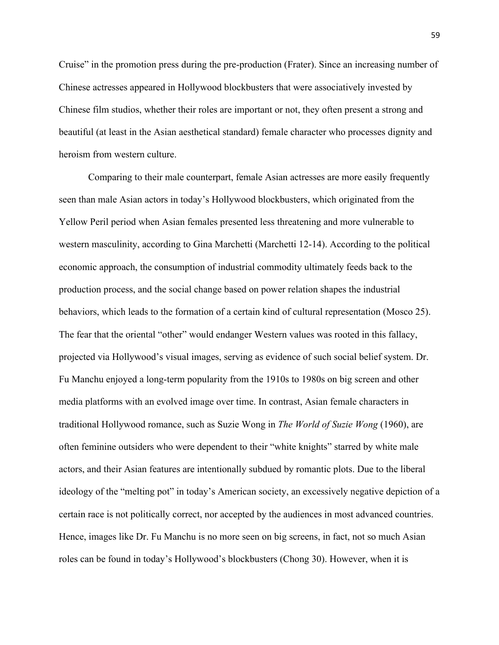Cruise" in the promotion press during the pre-production (Frater). Since an increasing number of Chinese actresses appeared in Hollywood blockbusters that were associatively invested by Chinese film studios, whether their roles are important or not, they often present a strong and beautiful (at least in the Asian aesthetical standard) female character who processes dignity and heroism from western culture.

Comparing to their male counterpart, female Asian actresses are more easily frequently seen than male Asian actors in today's Hollywood blockbusters, which originated from the Yellow Peril period when Asian females presented less threatening and more vulnerable to western masculinity, according to Gina Marchetti (Marchetti 12-14). According to the political economic approach, the consumption of industrial commodity ultimately feeds back to the production process, and the social change based on power relation shapes the industrial behaviors, which leads to the formation of a certain kind of cultural representation (Mosco 25). The fear that the oriental "other" would endanger Western values was rooted in this fallacy, projected via Hollywood's visual images, serving as evidence of such social belief system. Dr. Fu Manchu enjoyed a long-term popularity from the 1910s to 1980s on big screen and other media platforms with an evolved image over time. In contrast, Asian female characters in traditional Hollywood romance, such as Suzie Wong in *The World of Suzie Wong* (1960), are often feminine outsiders who were dependent to their "white knights" starred by white male actors, and their Asian features are intentionally subdued by romantic plots. Due to the liberal ideology of the "melting pot" in today's American society, an excessively negative depiction of a certain race is not politically correct, nor accepted by the audiences in most advanced countries. Hence, images like Dr. Fu Manchu is no more seen on big screens, in fact, not so much Asian roles can be found in today's Hollywood's blockbusters (Chong 30). However, when it is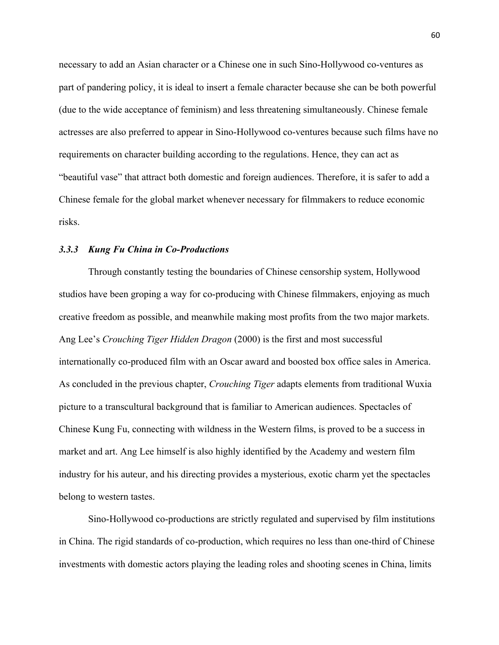necessary to add an Asian character or a Chinese one in such Sino-Hollywood co-ventures as part of pandering policy, it is ideal to insert a female character because she can be both powerful (due to the wide acceptance of feminism) and less threatening simultaneously. Chinese female actresses are also preferred to appear in Sino-Hollywood co-ventures because such films have no requirements on character building according to the regulations. Hence, they can act as "beautiful vase" that attract both domestic and foreign audiences. Therefore, it is safer to add a Chinese female for the global market whenever necessary for filmmakers to reduce economic risks.

#### *3.3.3 Kung Fu China in Co-Productions*

Through constantly testing the boundaries of Chinese censorship system, Hollywood studios have been groping a way for co-producing with Chinese filmmakers, enjoying as much creative freedom as possible, and meanwhile making most profits from the two major markets. Ang Lee's *Crouching Tiger Hidden Dragon* (2000) is the first and most successful internationally co-produced film with an Oscar award and boosted box office sales in America. As concluded in the previous chapter, *Crouching Tiger* adapts elements from traditional Wuxia picture to a transcultural background that is familiar to American audiences. Spectacles of Chinese Kung Fu, connecting with wildness in the Western films, is proved to be a success in market and art. Ang Lee himself is also highly identified by the Academy and western film industry for his auteur, and his directing provides a mysterious, exotic charm yet the spectacles belong to western tastes.

Sino-Hollywood co-productions are strictly regulated and supervised by film institutions in China. The rigid standards of co-production, which requires no less than one-third of Chinese investments with domestic actors playing the leading roles and shooting scenes in China, limits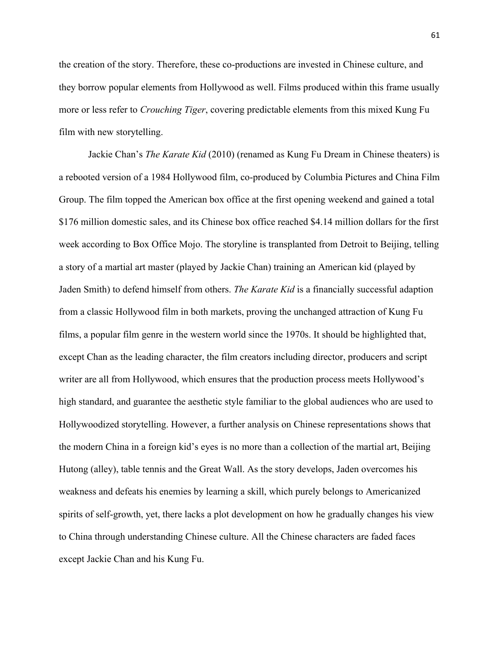the creation of the story. Therefore, these co-productions are invested in Chinese culture, and they borrow popular elements from Hollywood as well. Films produced within this frame usually more or less refer to *Crouching Tiger*, covering predictable elements from this mixed Kung Fu film with new storytelling.

Jackie Chan's *The Karate Kid* (2010) (renamed as Kung Fu Dream in Chinese theaters) is a rebooted version of a 1984 Hollywood film, co-produced by Columbia Pictures and China Film Group. The film topped the American box office at the first opening weekend and gained a total \$176 million domestic sales, and its Chinese box office reached \$4.14 million dollars for the first week according to Box Office Mojo. The storyline is transplanted from Detroit to Beijing, telling a story of a martial art master (played by Jackie Chan) training an American kid (played by Jaden Smith) to defend himself from others. *The Karate Kid* is a financially successful adaption from a classic Hollywood film in both markets, proving the unchanged attraction of Kung Fu films, a popular film genre in the western world since the 1970s. It should be highlighted that, except Chan as the leading character, the film creators including director, producers and script writer are all from Hollywood, which ensures that the production process meets Hollywood's high standard, and guarantee the aesthetic style familiar to the global audiences who are used to Hollywoodized storytelling. However, a further analysis on Chinese representations shows that the modern China in a foreign kid's eyes is no more than a collection of the martial art, Beijing Hutong (alley), table tennis and the Great Wall. As the story develops, Jaden overcomes his weakness and defeats his enemies by learning a skill, which purely belongs to Americanized spirits of self-growth, yet, there lacks a plot development on how he gradually changes his view to China through understanding Chinese culture. All the Chinese characters are faded faces except Jackie Chan and his Kung Fu.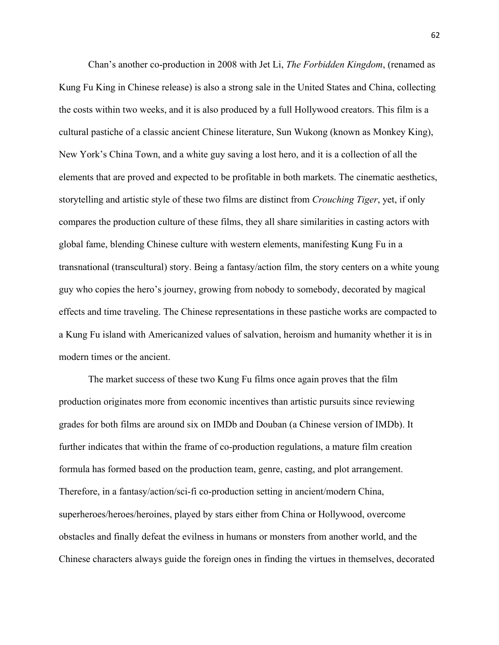Chan's another co-production in 2008 with Jet Li, *The Forbidden Kingdom*, (renamed as Kung Fu King in Chinese release) is also a strong sale in the United States and China, collecting the costs within two weeks, and it is also produced by a full Hollywood creators. This film is a cultural pastiche of a classic ancient Chinese literature, Sun Wukong (known as Monkey King), New York's China Town, and a white guy saving a lost hero, and it is a collection of all the elements that are proved and expected to be profitable in both markets. The cinematic aesthetics, storytelling and artistic style of these two films are distinct from *Crouching Tiger*, yet, if only compares the production culture of these films, they all share similarities in casting actors with global fame, blending Chinese culture with western elements, manifesting Kung Fu in a transnational (transcultural) story. Being a fantasy/action film, the story centers on a white young guy who copies the hero's journey, growing from nobody to somebody, decorated by magical effects and time traveling. The Chinese representations in these pastiche works are compacted to a Kung Fu island with Americanized values of salvation, heroism and humanity whether it is in modern times or the ancient.

The market success of these two Kung Fu films once again proves that the film production originates more from economic incentives than artistic pursuits since reviewing grades for both films are around six on IMDb and Douban (a Chinese version of IMDb). It further indicates that within the frame of co-production regulations, a mature film creation formula has formed based on the production team, genre, casting, and plot arrangement. Therefore, in a fantasy/action/sci-fi co-production setting in ancient/modern China, superheroes/heroes/heroines, played by stars either from China or Hollywood, overcome obstacles and finally defeat the evilness in humans or monsters from another world, and the Chinese characters always guide the foreign ones in finding the virtues in themselves, decorated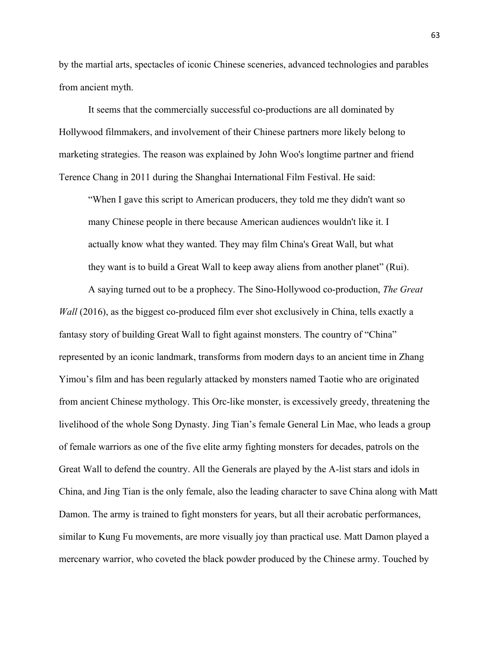by the martial arts, spectacles of iconic Chinese sceneries, advanced technologies and parables from ancient myth.

It seems that the commercially successful co-productions are all dominated by Hollywood filmmakers, and involvement of their Chinese partners more likely belong to marketing strategies. The reason was explained by John Woo's longtime partner and friend Terence Chang in 2011 during the Shanghai International Film Festival. He said:

"When I gave this script to American producers, they told me they didn't want so many Chinese people in there because American audiences wouldn't like it. I actually know what they wanted. They may film China's Great Wall, but what they want is to build a Great Wall to keep away aliens from another planet" (Rui).

A saying turned out to be a prophecy. The Sino-Hollywood co-production, *The Great Wall* (2016), as the biggest co-produced film ever shot exclusively in China, tells exactly a fantasy story of building Great Wall to fight against monsters. The country of "China" represented by an iconic landmark, transforms from modern days to an ancient time in Zhang Yimou's film and has been regularly attacked by monsters named Taotie who are originated from ancient Chinese mythology. This Orc-like monster, is excessively greedy, threatening the livelihood of the whole Song Dynasty. Jing Tian's female General Lin Mae, who leads a group of female warriors as one of the five elite army fighting monsters for decades, patrols on the Great Wall to defend the country. All the Generals are played by the A-list stars and idols in China, and Jing Tian is the only female, also the leading character to save China along with Matt Damon. The army is trained to fight monsters for years, but all their acrobatic performances, similar to Kung Fu movements, are more visually joy than practical use. Matt Damon played a mercenary warrior, who coveted the black powder produced by the Chinese army. Touched by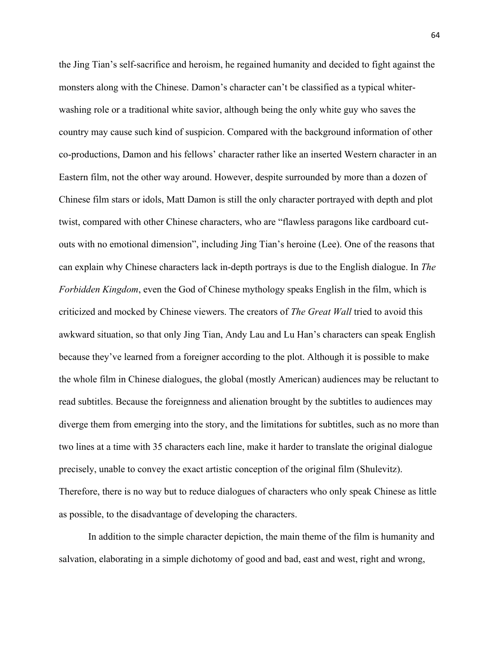the Jing Tian's self-sacrifice and heroism, he regained humanity and decided to fight against the monsters along with the Chinese. Damon's character can't be classified as a typical whiterwashing role or a traditional white savior, although being the only white guy who saves the country may cause such kind of suspicion. Compared with the background information of other co-productions, Damon and his fellows' character rather like an inserted Western character in an Eastern film, not the other way around. However, despite surrounded by more than a dozen of Chinese film stars or idols, Matt Damon is still the only character portrayed with depth and plot twist, compared with other Chinese characters, who are "flawless paragons like cardboard cutouts with no emotional dimension", including Jing Tian's heroine (Lee). One of the reasons that can explain why Chinese characters lack in-depth portrays is due to the English dialogue. In *The Forbidden Kingdom*, even the God of Chinese mythology speaks English in the film, which is criticized and mocked by Chinese viewers. The creators of *The Great Wall* tried to avoid this awkward situation, so that only Jing Tian, Andy Lau and Lu Han's characters can speak English because they've learned from a foreigner according to the plot. Although it is possible to make the whole film in Chinese dialogues, the global (mostly American) audiences may be reluctant to read subtitles. Because the foreignness and alienation brought by the subtitles to audiences may diverge them from emerging into the story, and the limitations for subtitles, such as no more than two lines at a time with 35 characters each line, make it harder to translate the original dialogue precisely, unable to convey the exact artistic conception of the original film (Shulevitz). Therefore, there is no way but to reduce dialogues of characters who only speak Chinese as little as possible, to the disadvantage of developing the characters.

In addition to the simple character depiction, the main theme of the film is humanity and salvation, elaborating in a simple dichotomy of good and bad, east and west, right and wrong,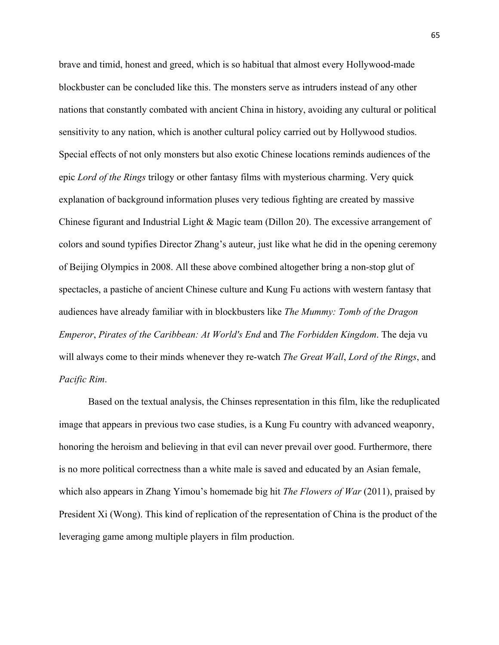brave and timid, honest and greed, which is so habitual that almost every Hollywood-made blockbuster can be concluded like this. The monsters serve as intruders instead of any other nations that constantly combated with ancient China in history, avoiding any cultural or political sensitivity to any nation, which is another cultural policy carried out by Hollywood studios. Special effects of not only monsters but also exotic Chinese locations reminds audiences of the epic *Lord of the Rings* trilogy or other fantasy films with mysterious charming. Very quick explanation of background information pluses very tedious fighting are created by massive Chinese figurant and Industrial Light & Magic team (Dillon 20). The excessive arrangement of colors and sound typifies Director Zhang's auteur, just like what he did in the opening ceremony of Beijing Olympics in 2008. All these above combined altogether bring a non-stop glut of spectacles, a pastiche of ancient Chinese culture and Kung Fu actions with western fantasy that audiences have already familiar with in blockbusters like *The Mummy: Tomb of the Dragon Emperor*, *Pirates of the Caribbean: At World's End* and *The Forbidden Kingdom*. The deja vu will always come to their minds whenever they re-watch *The Great Wall*, *Lord of the Rings*, and *Pacific Rim*.

Based on the textual analysis, the Chinses representation in this film, like the reduplicated image that appears in previous two case studies, is a Kung Fu country with advanced weaponry, honoring the heroism and believing in that evil can never prevail over good. Furthermore, there is no more political correctness than a white male is saved and educated by an Asian female, which also appears in Zhang Yimou's homemade big hit *The Flowers of War* (2011), praised by President Xi (Wong). This kind of replication of the representation of China is the product of the leveraging game among multiple players in film production.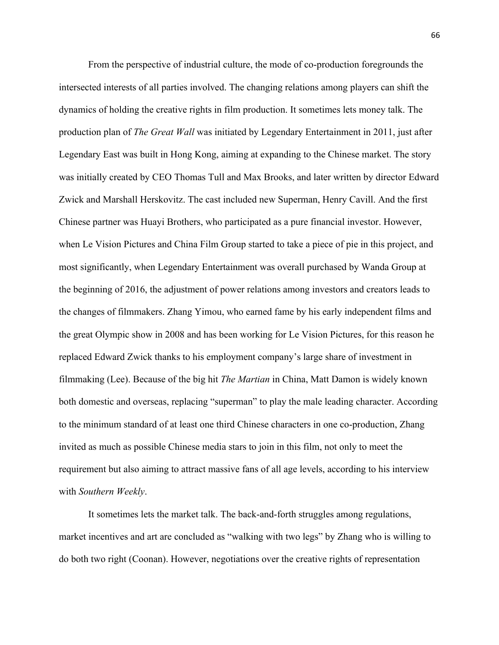From the perspective of industrial culture, the mode of co-production foregrounds the intersected interests of all parties involved. The changing relations among players can shift the dynamics of holding the creative rights in film production. It sometimes lets money talk. The production plan of *The Great Wall* was initiated by Legendary Entertainment in 2011, just after Legendary East was built in Hong Kong, aiming at expanding to the Chinese market. The story was initially created by CEO Thomas Tull and Max Brooks, and later written by director Edward Zwick and Marshall Herskovitz. The cast included new Superman, Henry Cavill. And the first Chinese partner was Huayi Brothers, who participated as a pure financial investor. However, when Le Vision Pictures and China Film Group started to take a piece of pie in this project, and most significantly, when Legendary Entertainment was overall purchased by Wanda Group at the beginning of 2016, the adjustment of power relations among investors and creators leads to the changes of filmmakers. Zhang Yimou, who earned fame by his early independent films and the great Olympic show in 2008 and has been working for Le Vision Pictures, for this reason he replaced Edward Zwick thanks to his employment company's large share of investment in filmmaking (Lee). Because of the big hit *The Martian* in China, Matt Damon is widely known both domestic and overseas, replacing "superman" to play the male leading character. According to the minimum standard of at least one third Chinese characters in one co-production, Zhang invited as much as possible Chinese media stars to join in this film, not only to meet the requirement but also aiming to attract massive fans of all age levels, according to his interview with *Southern Weekly*.

It sometimes lets the market talk. The back-and-forth struggles among regulations, market incentives and art are concluded as "walking with two legs" by Zhang who is willing to do both two right (Coonan). However, negotiations over the creative rights of representation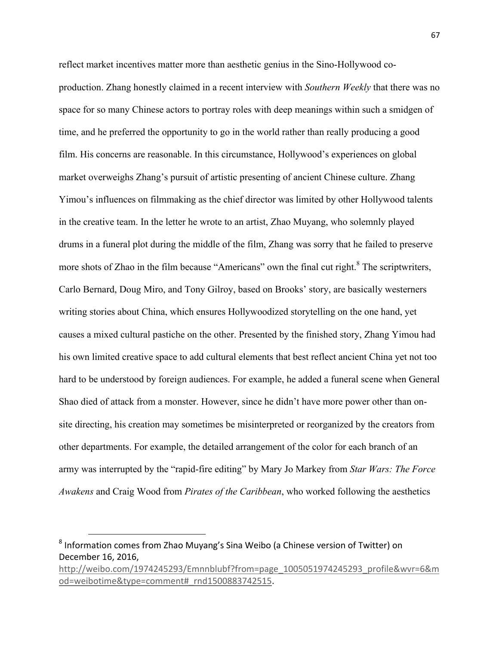reflect market incentives matter more than aesthetic genius in the Sino-Hollywood coproduction. Zhang honestly claimed in a recent interview with *Southern Weekly* that there was no space for so many Chinese actors to portray roles with deep meanings within such a smidgen of time, and he preferred the opportunity to go in the world rather than really producing a good film. His concerns are reasonable. In this circumstance, Hollywood's experiences on global market overweighs Zhang's pursuit of artistic presenting of ancient Chinese culture. Zhang Yimou's influences on filmmaking as the chief director was limited by other Hollywood talents in the creative team. In the letter he wrote to an artist, Zhao Muyang, who solemnly played drums in a funeral plot during the middle of the film, Zhang was sorry that he failed to preserve more shots of Zhao in the film because "Americans" own the final cut right. $8$  The scriptwriters, Carlo Bernard, Doug Miro, and Tony Gilroy, based on Brooks' story, are basically westerners writing stories about China, which ensures Hollywoodized storytelling on the one hand, yet causes a mixed cultural pastiche on the other. Presented by the finished story, Zhang Yimou had his own limited creative space to add cultural elements that best reflect ancient China yet not too hard to be understood by foreign audiences. For example, he added a funeral scene when General Shao died of attack from a monster. However, since he didn't have more power other than onsite directing, his creation may sometimes be misinterpreted or reorganized by the creators from other departments. For example, the detailed arrangement of the color for each branch of an army was interrupted by the "rapid-fire editing" by Mary Jo Markey from *Star Wars: The Force Awakens* and Craig Wood from *Pirates of the Caribbean*, who worked following the aesthetics

 $8$  Information comes from Zhao Muyang's Sina Weibo (a Chinese version of Twitter) on December 16, 2016,

http://weibo.com/1974245293/Emnnblubf?from=page\_1005051974245293\_profile&wvr=6&m od=weibotime&type=comment#\_rnd1500883742515.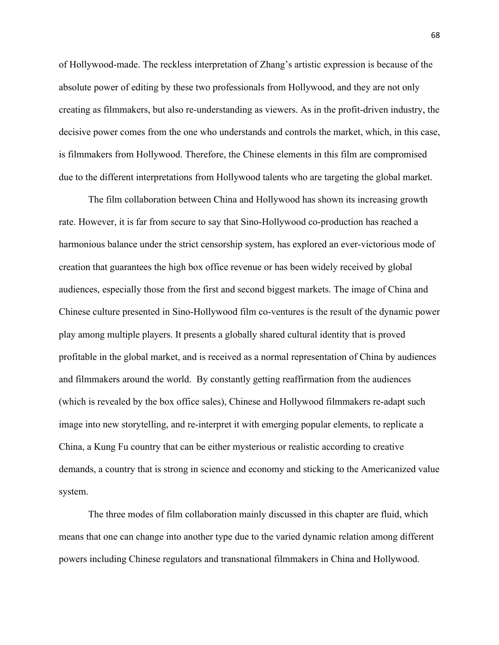of Hollywood-made. The reckless interpretation of Zhang's artistic expression is because of the absolute power of editing by these two professionals from Hollywood, and they are not only creating as filmmakers, but also re-understanding as viewers. As in the profit-driven industry, the decisive power comes from the one who understands and controls the market, which, in this case, is filmmakers from Hollywood. Therefore, the Chinese elements in this film are compromised due to the different interpretations from Hollywood talents who are targeting the global market.

The film collaboration between China and Hollywood has shown its increasing growth rate. However, it is far from secure to say that Sino-Hollywood co-production has reached a harmonious balance under the strict censorship system, has explored an ever-victorious mode of creation that guarantees the high box office revenue or has been widely received by global audiences, especially those from the first and second biggest markets. The image of China and Chinese culture presented in Sino-Hollywood film co-ventures is the result of the dynamic power play among multiple players. It presents a globally shared cultural identity that is proved profitable in the global market, and is received as a normal representation of China by audiences and filmmakers around the world. By constantly getting reaffirmation from the audiences (which is revealed by the box office sales), Chinese and Hollywood filmmakers re-adapt such image into new storytelling, and re-interpret it with emerging popular elements, to replicate a China, a Kung Fu country that can be either mysterious or realistic according to creative demands, a country that is strong in science and economy and sticking to the Americanized value system.

The three modes of film collaboration mainly discussed in this chapter are fluid, which means that one can change into another type due to the varied dynamic relation among different powers including Chinese regulators and transnational filmmakers in China and Hollywood.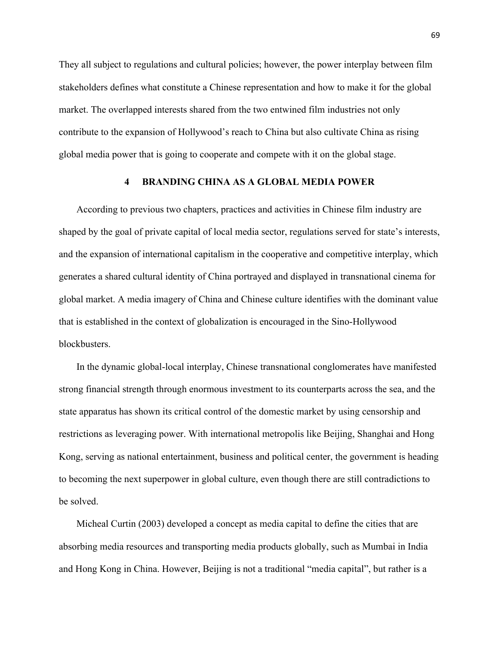They all subject to regulations and cultural policies; however, the power interplay between film stakeholders defines what constitute a Chinese representation and how to make it for the global market. The overlapped interests shared from the two entwined film industries not only contribute to the expansion of Hollywood's reach to China but also cultivate China as rising global media power that is going to cooperate and compete with it on the global stage.

# **4 BRANDING CHINA AS A GLOBAL MEDIA POWER**

According to previous two chapters, practices and activities in Chinese film industry are shaped by the goal of private capital of local media sector, regulations served for state's interests, and the expansion of international capitalism in the cooperative and competitive interplay, which generates a shared cultural identity of China portrayed and displayed in transnational cinema for global market. A media imagery of China and Chinese culture identifies with the dominant value that is established in the context of globalization is encouraged in the Sino-Hollywood blockbusters.

In the dynamic global-local interplay, Chinese transnational conglomerates have manifested strong financial strength through enormous investment to its counterparts across the sea, and the state apparatus has shown its critical control of the domestic market by using censorship and restrictions as leveraging power. With international metropolis like Beijing, Shanghai and Hong Kong, serving as national entertainment, business and political center, the government is heading to becoming the next superpower in global culture, even though there are still contradictions to be solved.

Micheal Curtin (2003) developed a concept as media capital to define the cities that are absorbing media resources and transporting media products globally, such as Mumbai in India and Hong Kong in China. However, Beijing is not a traditional "media capital", but rather is a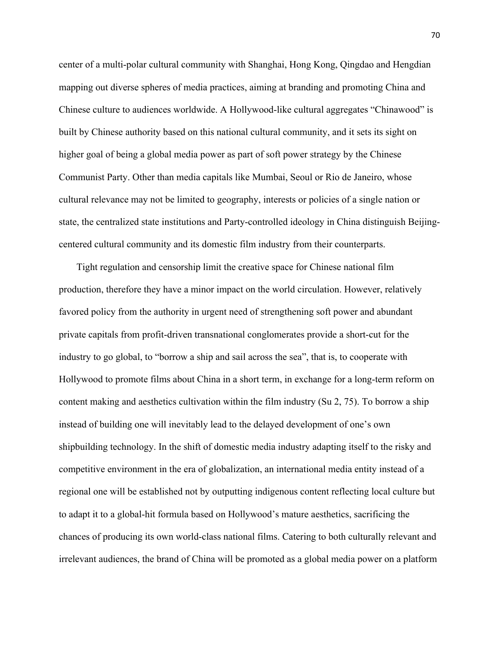center of a multi-polar cultural community with Shanghai, Hong Kong, Qingdao and Hengdian mapping out diverse spheres of media practices, aiming at branding and promoting China and Chinese culture to audiences worldwide. A Hollywood-like cultural aggregates "Chinawood" is built by Chinese authority based on this national cultural community, and it sets its sight on higher goal of being a global media power as part of soft power strategy by the Chinese Communist Party. Other than media capitals like Mumbai, Seoul or Rio de Janeiro, whose cultural relevance may not be limited to geography, interests or policies of a single nation or state, the centralized state institutions and Party-controlled ideology in China distinguish Beijingcentered cultural community and its domestic film industry from their counterparts.

Tight regulation and censorship limit the creative space for Chinese national film production, therefore they have a minor impact on the world circulation. However, relatively favored policy from the authority in urgent need of strengthening soft power and abundant private capitals from profit-driven transnational conglomerates provide a short-cut for the industry to go global, to "borrow a ship and sail across the sea", that is, to cooperate with Hollywood to promote films about China in a short term, in exchange for a long-term reform on content making and aesthetics cultivation within the film industry (Su 2, 75). To borrow a ship instead of building one will inevitably lead to the delayed development of one's own shipbuilding technology. In the shift of domestic media industry adapting itself to the risky and competitive environment in the era of globalization, an international media entity instead of a regional one will be established not by outputting indigenous content reflecting local culture but to adapt it to a global-hit formula based on Hollywood's mature aesthetics, sacrificing the chances of producing its own world-class national films. Catering to both culturally relevant and irrelevant audiences, the brand of China will be promoted as a global media power on a platform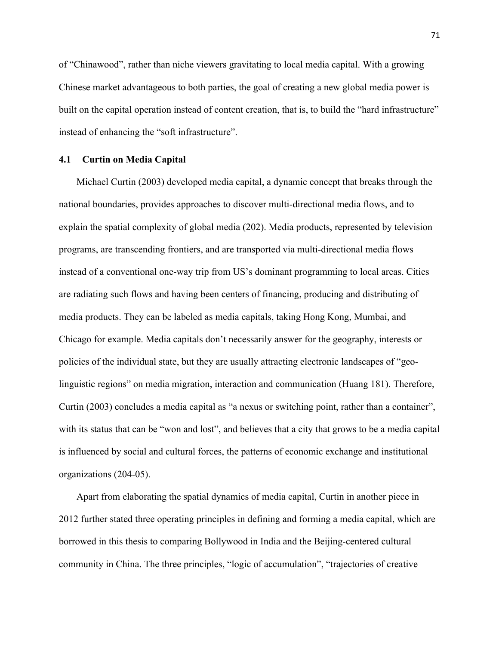of "Chinawood", rather than niche viewers gravitating to local media capital. With a growing Chinese market advantageous to both parties, the goal of creating a new global media power is built on the capital operation instead of content creation, that is, to build the "hard infrastructure" instead of enhancing the "soft infrastructure".

## **4.1 Curtin on Media Capital**

Michael Curtin (2003) developed media capital, a dynamic concept that breaks through the national boundaries, provides approaches to discover multi-directional media flows, and to explain the spatial complexity of global media (202). Media products, represented by television programs, are transcending frontiers, and are transported via multi-directional media flows instead of a conventional one-way trip from US's dominant programming to local areas. Cities are radiating such flows and having been centers of financing, producing and distributing of media products. They can be labeled as media capitals, taking Hong Kong, Mumbai, and Chicago for example. Media capitals don't necessarily answer for the geography, interests or policies of the individual state, but they are usually attracting electronic landscapes of "geolinguistic regions" on media migration, interaction and communication (Huang 181). Therefore, Curtin (2003) concludes a media capital as "a nexus or switching point, rather than a container", with its status that can be "won and lost", and believes that a city that grows to be a media capital is influenced by social and cultural forces, the patterns of economic exchange and institutional organizations (204-05).

Apart from elaborating the spatial dynamics of media capital, Curtin in another piece in 2012 further stated three operating principles in defining and forming a media capital, which are borrowed in this thesis to comparing Bollywood in India and the Beijing-centered cultural community in China. The three principles, "logic of accumulation", "trajectories of creative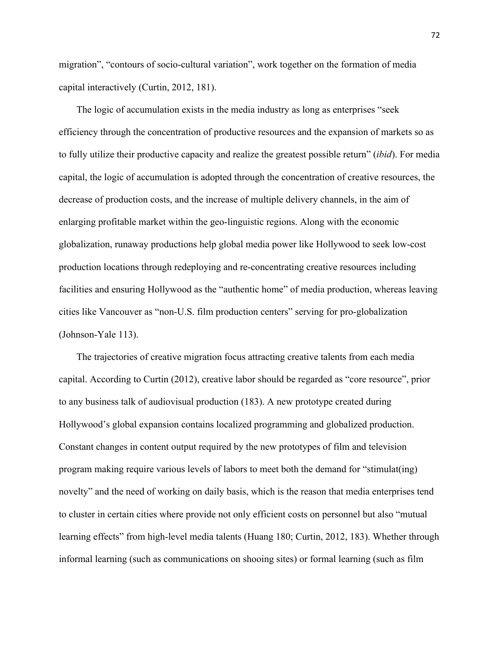migration", "contours of socio-cultural variation", work together on the formation of media capital interactively (Curtin, 2012, 181).

The logic of accumulation exists in the media industry as long as enterprises "seek efficiency through the concentration of productive resources and the expansion of markets so as to fully utilize their productive capacity and realize the greatest possible return" (*ibid*). For media capital, the logic of accumulation is adopted through the concentration of creative resources, the decrease of production costs, and the increase of multiple delivery channels, in the aim of enlarging profitable market within the geo-linguistic regions. Along with the economic globalization, runaway productions help global media power like Hollywood to seek low-cost production locations through redeploying and re-concentrating creative resources including facilities and ensuring Hollywood as the "authentic home" of media production, whereas leaving cities like Vancouver as "non-U.S. film production centers" serving for pro-globalization (Johnson-Yale 113).

The trajectories of creative migration focus attracting creative talents from each media capital. According to Curtin (2012), creative labor should be regarded as "core resource", prior to any business talk of audiovisual production (183). A new prototype created during Hollywood's global expansion contains localized programming and globalized production. Constant changes in content output required by the new prototypes of film and television program making require various levels of labors to meet both the demand for "stimulat(ing) novelty" and the need of working on daily basis, which is the reason that media enterprises tend to cluster in certain cities where provide not only efficient costs on personnel but also "mutual learning effects" from high-level media talents (Huang 180; Curtin, 2012, 183). Whether through informal learning (such as communications on shooing sites) or formal learning (such as film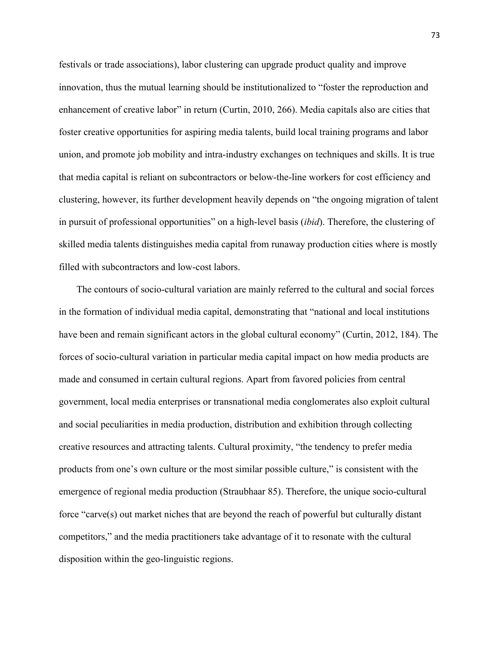festivals or trade associations), labor clustering can upgrade product quality and improve innovation, thus the mutual learning should be institutionalized to "foster the reproduction and enhancement of creative labor" in return (Curtin, 2010, 266). Media capitals also are cities that foster creative opportunities for aspiring media talents, build local training programs and labor union, and promote job mobility and intra-industry exchanges on techniques and skills. It is true that media capital is reliant on subcontractors or below-the-line workers for cost efficiency and clustering, however, its further development heavily depends on "the ongoing migration of talent in pursuit of professional opportunities" on a high-level basis (*ibid*). Therefore, the clustering of skilled media talents distinguishes media capital from runaway production cities where is mostly filled with subcontractors and low-cost labors.

The contours of socio-cultural variation are mainly referred to the cultural and social forces in the formation of individual media capital, demonstrating that "national and local institutions have been and remain significant actors in the global cultural economy" (Curtin, 2012, 184). The forces of socio-cultural variation in particular media capital impact on how media products are made and consumed in certain cultural regions. Apart from favored policies from central government, local media enterprises or transnational media conglomerates also exploit cultural and social peculiarities in media production, distribution and exhibition through collecting creative resources and attracting talents. Cultural proximity, "the tendency to prefer media products from one's own culture or the most similar possible culture," is consistent with the emergence of regional media production (Straubhaar 85). Therefore, the unique socio-cultural force "carve(s) out market niches that are beyond the reach of powerful but culturally distant competitors," and the media practitioners take advantage of it to resonate with the cultural disposition within the geo-linguistic regions.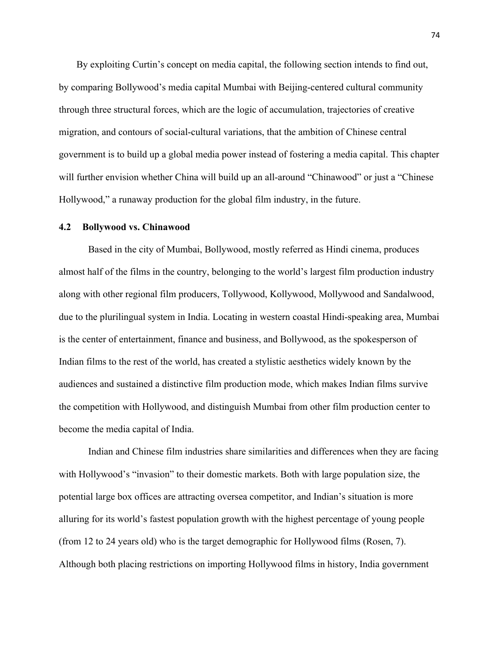By exploiting Curtin's concept on media capital, the following section intends to find out, by comparing Bollywood's media capital Mumbai with Beijing-centered cultural community through three structural forces, which are the logic of accumulation, trajectories of creative migration, and contours of social-cultural variations, that the ambition of Chinese central government is to build up a global media power instead of fostering a media capital. This chapter will further envision whether China will build up an all-around "Chinawood" or just a "Chinese Hollywood," a runaway production for the global film industry, in the future.

### **4.2 Bollywood vs. Chinawood**

Based in the city of Mumbai, Bollywood, mostly referred as Hindi cinema, produces almost half of the films in the country, belonging to the world's largest film production industry along with other regional film producers, Tollywood, Kollywood, Mollywood and Sandalwood, due to the plurilingual system in India. Locating in western coastal Hindi-speaking area, Mumbai is the center of entertainment, finance and business, and Bollywood, as the spokesperson of Indian films to the rest of the world, has created a stylistic aesthetics widely known by the audiences and sustained a distinctive film production mode, which makes Indian films survive the competition with Hollywood, and distinguish Mumbai from other film production center to become the media capital of India.

Indian and Chinese film industries share similarities and differences when they are facing with Hollywood's "invasion" to their domestic markets. Both with large population size, the potential large box offices are attracting oversea competitor, and Indian's situation is more alluring for its world's fastest population growth with the highest percentage of young people (from 12 to 24 years old) who is the target demographic for Hollywood films (Rosen, 7). Although both placing restrictions on importing Hollywood films in history, India government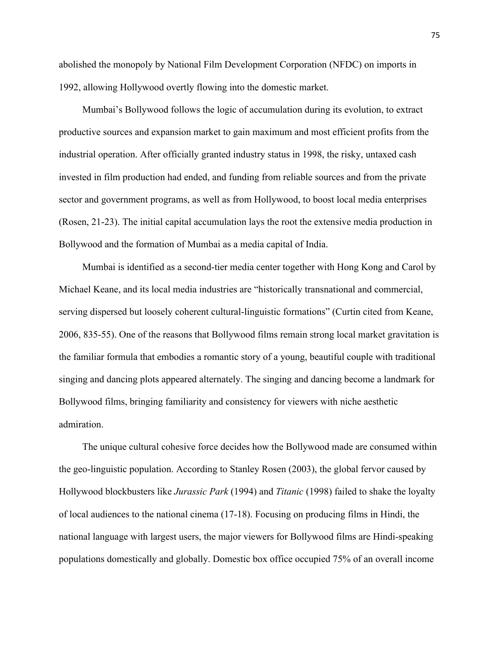abolished the monopoly by National Film Development Corporation (NFDC) on imports in 1992, allowing Hollywood overtly flowing into the domestic market.

Mumbai's Bollywood follows the logic of accumulation during its evolution, to extract productive sources and expansion market to gain maximum and most efficient profits from the industrial operation. After officially granted industry status in 1998, the risky, untaxed cash invested in film production had ended, and funding from reliable sources and from the private sector and government programs, as well as from Hollywood, to boost local media enterprises (Rosen, 21-23). The initial capital accumulation lays the root the extensive media production in Bollywood and the formation of Mumbai as a media capital of India.

Mumbai is identified as a second-tier media center together with Hong Kong and Carol by Michael Keane, and its local media industries are "historically transnational and commercial, serving dispersed but loosely coherent cultural-linguistic formations" (Curtin cited from Keane, 2006, 835-55). One of the reasons that Bollywood films remain strong local market gravitation is the familiar formula that embodies a romantic story of a young, beautiful couple with traditional singing and dancing plots appeared alternately. The singing and dancing become a landmark for Bollywood films, bringing familiarity and consistency for viewers with niche aesthetic admiration.

The unique cultural cohesive force decides how the Bollywood made are consumed within the geo-linguistic population. According to Stanley Rosen (2003), the global fervor caused by Hollywood blockbusters like *Jurassic Park* (1994) and *Titanic* (1998) failed to shake the loyalty of local audiences to the national cinema (17-18). Focusing on producing films in Hindi, the national language with largest users, the major viewers for Bollywood films are Hindi-speaking populations domestically and globally. Domestic box office occupied 75% of an overall income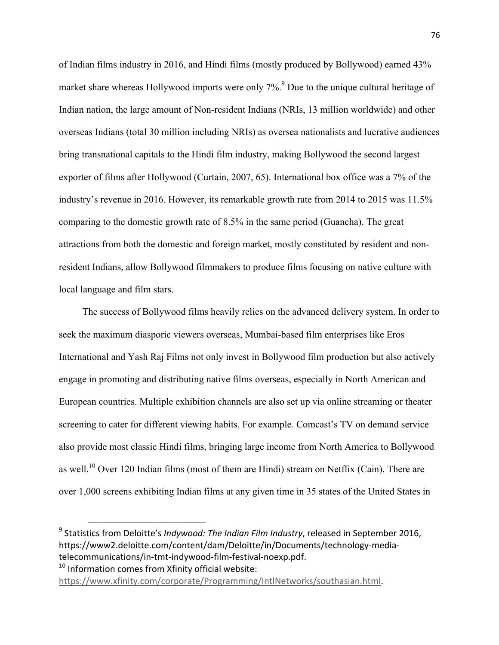of Indian films industry in 2016, and Hindi films (mostly produced by Bollywood) earned 43% market share whereas Hollywood imports were only  $7\%$ <sup>9</sup>. Due to the unique cultural heritage of Indian nation, the large amount of Non-resident Indians (NRIs, 13 million worldwide) and other overseas Indians (total 30 million including NRIs) as oversea nationalists and lucrative audiences bring transnational capitals to the Hindi film industry, making Bollywood the second largest exporter of films after Hollywood (Curtain, 2007, 65). International box office was a 7% of the industry's revenue in 2016. However, its remarkable growth rate from 2014 to 2015 was 11.5% comparing to the domestic growth rate of 8.5% in the same period (Guancha). The great attractions from both the domestic and foreign market, mostly constituted by resident and nonresident Indians, allow Bollywood filmmakers to produce films focusing on native culture with local language and film stars.

The success of Bollywood films heavily relies on the advanced delivery system. In order to seek the maximum diasporic viewers overseas, Mumbai-based film enterprises like Eros International and Yash Raj Films not only invest in Bollywood film production but also actively engage in promoting and distributing native films overseas, especially in North American and European countries. Multiple exhibition channels are also set up via online streaming or theater screening to cater for different viewing habits. For example. Comcast's TV on demand service also provide most classic Hindi films, bringing large income from North America to Bollywood as well.<sup>10</sup> Over 120 Indian films (most of them are Hindi) stream on Netflix (Cain). There are over 1,000 screens exhibiting Indian films at any given time in 35 states of the United States in

<sup>9</sup> Statistics from Deloitte's *Indywood: The Indian Film Industry*, released in September 2016, https://www2.deloitte.com/content/dam/Deloitte/in/Documents/technology-mediatelecommunications/in-tmt-indywood-film-festival-noexp.pdf.

 $10$  Information comes from Xfinity official website:

https://www.xfinity.com/corporate/Programming/IntlNetworks/southasian.html.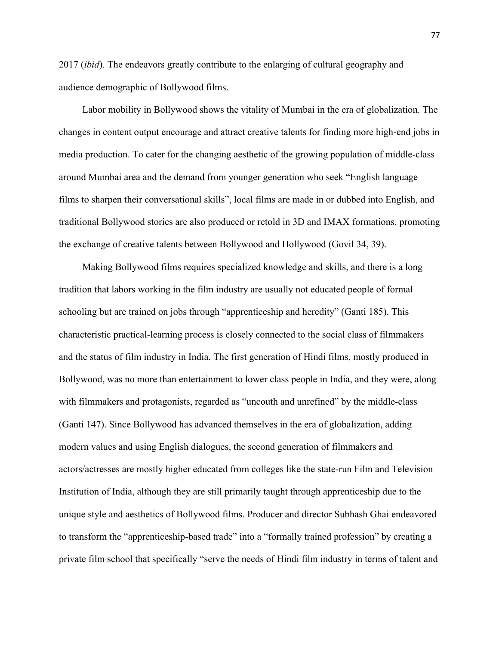2017 (*ibid*). The endeavors greatly contribute to the enlarging of cultural geography and audience demographic of Bollywood films.

Labor mobility in Bollywood shows the vitality of Mumbai in the era of globalization. The changes in content output encourage and attract creative talents for finding more high-end jobs in media production. To cater for the changing aesthetic of the growing population of middle-class around Mumbai area and the demand from younger generation who seek "English language films to sharpen their conversational skills", local films are made in or dubbed into English, and traditional Bollywood stories are also produced or retold in 3D and IMAX formations, promoting the exchange of creative talents between Bollywood and Hollywood (Govil 34, 39).

Making Bollywood films requires specialized knowledge and skills, and there is a long tradition that labors working in the film industry are usually not educated people of formal schooling but are trained on jobs through "apprenticeship and heredity" (Ganti 185). This characteristic practical-learning process is closely connected to the social class of filmmakers and the status of film industry in India. The first generation of Hindi films, mostly produced in Bollywood, was no more than entertainment to lower class people in India, and they were, along with filmmakers and protagonists, regarded as "uncouth and unrefined" by the middle-class (Ganti 147). Since Bollywood has advanced themselves in the era of globalization, adding modern values and using English dialogues, the second generation of filmmakers and actors/actresses are mostly higher educated from colleges like the state-run Film and Television Institution of India, although they are still primarily taught through apprenticeship due to the unique style and aesthetics of Bollywood films. Producer and director Subhash Ghai endeavored to transform the "apprenticeship-based trade" into a "formally trained profession" by creating a private film school that specifically "serve the needs of Hindi film industry in terms of talent and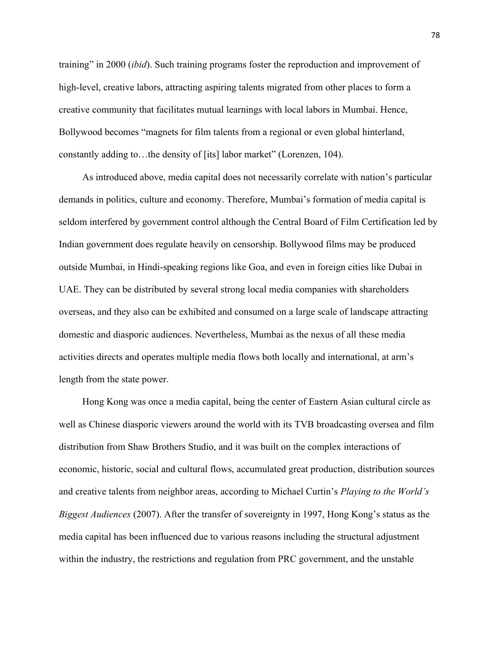training" in 2000 (*ibid*). Such training programs foster the reproduction and improvement of high-level, creative labors, attracting aspiring talents migrated from other places to form a creative community that facilitates mutual learnings with local labors in Mumbai. Hence, Bollywood becomes "magnets for film talents from a regional or even global hinterland, constantly adding to…the density of [its] labor market" (Lorenzen, 104).

As introduced above, media capital does not necessarily correlate with nation's particular demands in politics, culture and economy. Therefore, Mumbai's formation of media capital is seldom interfered by government control although the Central Board of Film Certification led by Indian government does regulate heavily on censorship. Bollywood films may be produced outside Mumbai, in Hindi-speaking regions like Goa, and even in foreign cities like Dubai in UAE. They can be distributed by several strong local media companies with shareholders overseas, and they also can be exhibited and consumed on a large scale of landscape attracting domestic and diasporic audiences. Nevertheless, Mumbai as the nexus of all these media activities directs and operates multiple media flows both locally and international, at arm's length from the state power.

Hong Kong was once a media capital, being the center of Eastern Asian cultural circle as well as Chinese diasporic viewers around the world with its TVB broadcasting oversea and film distribution from Shaw Brothers Studio, and it was built on the complex interactions of economic, historic, social and cultural flows, accumulated great production, distribution sources and creative talents from neighbor areas, according to Michael Curtin's *Playing to the World's Biggest Audiences* (2007). After the transfer of sovereignty in 1997, Hong Kong's status as the media capital has been influenced due to various reasons including the structural adjustment within the industry, the restrictions and regulation from PRC government, and the unstable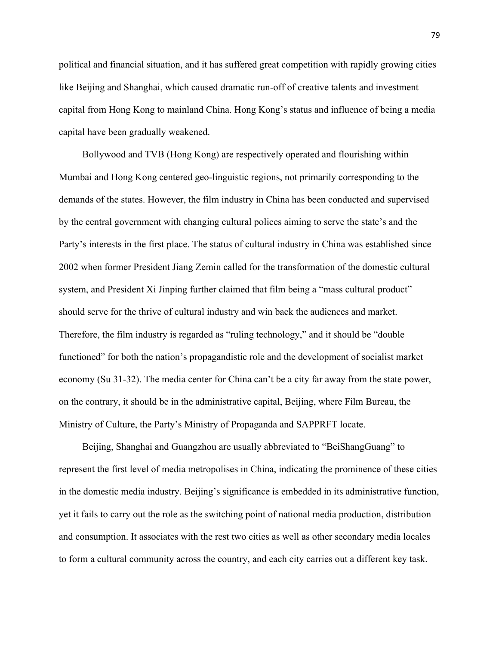political and financial situation, and it has suffered great competition with rapidly growing cities like Beijing and Shanghai, which caused dramatic run-off of creative talents and investment capital from Hong Kong to mainland China. Hong Kong's status and influence of being a media capital have been gradually weakened.

Bollywood and TVB (Hong Kong) are respectively operated and flourishing within Mumbai and Hong Kong centered geo-linguistic regions, not primarily corresponding to the demands of the states. However, the film industry in China has been conducted and supervised by the central government with changing cultural polices aiming to serve the state's and the Party's interests in the first place. The status of cultural industry in China was established since 2002 when former President Jiang Zemin called for the transformation of the domestic cultural system, and President Xi Jinping further claimed that film being a "mass cultural product" should serve for the thrive of cultural industry and win back the audiences and market. Therefore, the film industry is regarded as "ruling technology," and it should be "double functioned" for both the nation's propagandistic role and the development of socialist market economy (Su 31-32). The media center for China can't be a city far away from the state power, on the contrary, it should be in the administrative capital, Beijing, where Film Bureau, the Ministry of Culture, the Party's Ministry of Propaganda and SAPPRFT locate.

Beijing, Shanghai and Guangzhou are usually abbreviated to "BeiShangGuang" to represent the first level of media metropolises in China, indicating the prominence of these cities in the domestic media industry. Beijing's significance is embedded in its administrative function, yet it fails to carry out the role as the switching point of national media production, distribution and consumption. It associates with the rest two cities as well as other secondary media locales to form a cultural community across the country, and each city carries out a different key task.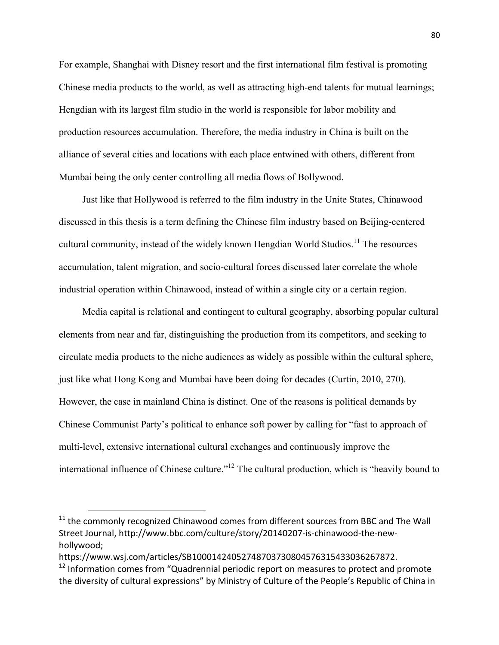For example, Shanghai with Disney resort and the first international film festival is promoting Chinese media products to the world, as well as attracting high-end talents for mutual learnings; Hengdian with its largest film studio in the world is responsible for labor mobility and production resources accumulation. Therefore, the media industry in China is built on the alliance of several cities and locations with each place entwined with others, different from Mumbai being the only center controlling all media flows of Bollywood.

Just like that Hollywood is referred to the film industry in the Unite States, Chinawood discussed in this thesis is a term defining the Chinese film industry based on Beijing-centered cultural community, instead of the widely known Hengdian World Studios.<sup>11</sup> The resources accumulation, talent migration, and socio-cultural forces discussed later correlate the whole industrial operation within Chinawood, instead of within a single city or a certain region.

Media capital is relational and contingent to cultural geography, absorbing popular cultural elements from near and far, distinguishing the production from its competitors, and seeking to circulate media products to the niche audiences as widely as possible within the cultural sphere, just like what Hong Kong and Mumbai have been doing for decades (Curtin, 2010, 270). However, the case in mainland China is distinct. One of the reasons is political demands by Chinese Communist Party's political to enhance soft power by calling for "fast to approach of multi-level, extensive international cultural exchanges and continuously improve the international influence of Chinese culture."<sup>12</sup> The cultural production, which is "heavily bound to

1

 $11$  the commonly recognized Chinawood comes from different sources from BBC and The Wall Street Journal, http://www.bbc.com/culture/story/20140207-is-chinawood-the-newhollywood;

https://www.wsj.com/articles/SB10001424052748703730804576315433036267872.

 $12$  Information comes from "Quadrennial periodic report on measures to protect and promote the diversity of cultural expressions" by Ministry of Culture of the People's Republic of China in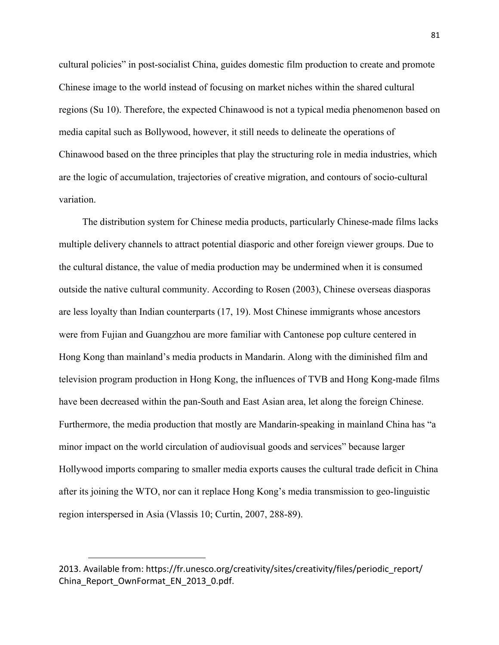cultural policies" in post-socialist China, guides domestic film production to create and promote Chinese image to the world instead of focusing on market niches within the shared cultural regions (Su 10). Therefore, the expected Chinawood is not a typical media phenomenon based on media capital such as Bollywood, however, it still needs to delineate the operations of Chinawood based on the three principles that play the structuring role in media industries, which are the logic of accumulation, trajectories of creative migration, and contours of socio-cultural variation.

The distribution system for Chinese media products, particularly Chinese-made films lacks multiple delivery channels to attract potential diasporic and other foreign viewer groups. Due to the cultural distance, the value of media production may be undermined when it is consumed outside the native cultural community. According to Rosen (2003), Chinese overseas diasporas are less loyalty than Indian counterparts (17, 19). Most Chinese immigrants whose ancestors were from Fujian and Guangzhou are more familiar with Cantonese pop culture centered in Hong Kong than mainland's media products in Mandarin. Along with the diminished film and television program production in Hong Kong, the influences of TVB and Hong Kong-made films have been decreased within the pan-South and East Asian area, let along the foreign Chinese. Furthermore, the media production that mostly are Mandarin-speaking in mainland China has "a minor impact on the world circulation of audiovisual goods and services" because larger Hollywood imports comparing to smaller media exports causes the cultural trade deficit in China after its joining the WTO, nor can it replace Hong Kong's media transmission to geo-linguistic region interspersed in Asia (Vlassis 10; Curtin, 2007, 288-89).

<sup>2013.</sup> Available from: https://fr.unesco.org/creativity/sites/creativity/files/periodic\_report/ China\_Report\_OwnFormat\_EN\_2013\_0.pdf.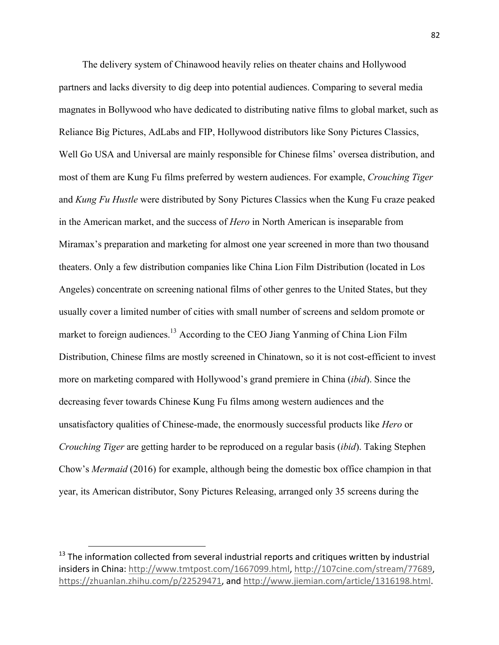The delivery system of Chinawood heavily relies on theater chains and Hollywood partners and lacks diversity to dig deep into potential audiences. Comparing to several media magnates in Bollywood who have dedicated to distributing native films to global market, such as Reliance Big Pictures, AdLabs and FIP, Hollywood distributors like Sony Pictures Classics, Well Go USA and Universal are mainly responsible for Chinese films' oversea distribution, and most of them are Kung Fu films preferred by western audiences. For example, *Crouching Tiger* and *Kung Fu Hustle* were distributed by Sony Pictures Classics when the Kung Fu craze peaked in the American market, and the success of *Hero* in North American is inseparable from Miramax's preparation and marketing for almost one year screened in more than two thousand theaters. Only a few distribution companies like China Lion Film Distribution (located in Los Angeles) concentrate on screening national films of other genres to the United States, but they usually cover a limited number of cities with small number of screens and seldom promote or market to foreign audiences.<sup>13</sup> According to the CEO Jiang Yanming of China Lion Film Distribution, Chinese films are mostly screened in Chinatown, so it is not cost-efficient to invest more on marketing compared with Hollywood's grand premiere in China (*ibid*). Since the decreasing fever towards Chinese Kung Fu films among western audiences and the unsatisfactory qualities of Chinese-made, the enormously successful products like *Hero* or *Crouching Tiger* are getting harder to be reproduced on a regular basis (*ibid*). Taking Stephen Chow's *Mermaid* (2016) for example, although being the domestic box office champion in that year, its American distributor, Sony Pictures Releasing, arranged only 35 screens during the

 $13$  The information collected from several industrial reports and critiques written by industrial insiders in China: http://www.tmtpost.com/1667099.html, http://107cine.com/stream/77689, https://zhuanlan.zhihu.com/p/22529471, and http://www.jiemian.com/article/1316198.html.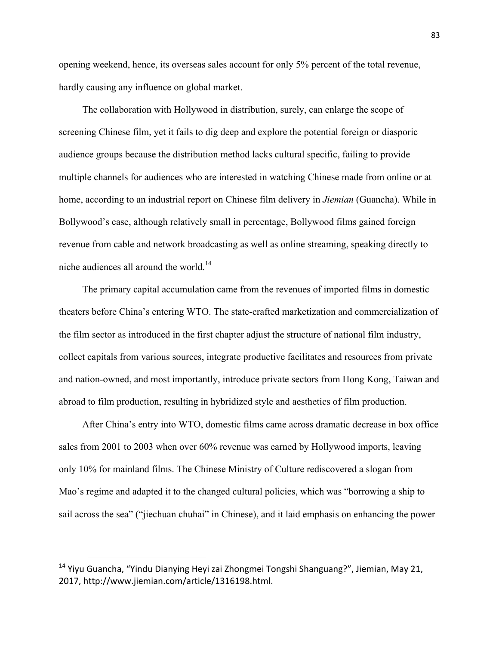opening weekend, hence, its overseas sales account for only 5% percent of the total revenue, hardly causing any influence on global market.

The collaboration with Hollywood in distribution, surely, can enlarge the scope of screening Chinese film, yet it fails to dig deep and explore the potential foreign or diasporic audience groups because the distribution method lacks cultural specific, failing to provide multiple channels for audiences who are interested in watching Chinese made from online or at home, according to an industrial report on Chinese film delivery in *Jiemian* (Guancha). While in Bollywood's case, although relatively small in percentage, Bollywood films gained foreign revenue from cable and network broadcasting as well as online streaming, speaking directly to niche audiences all around the world.<sup>14</sup>

The primary capital accumulation came from the revenues of imported films in domestic theaters before China's entering WTO. The state-crafted marketization and commercialization of the film sector as introduced in the first chapter adjust the structure of national film industry, collect capitals from various sources, integrate productive facilitates and resources from private and nation-owned, and most importantly, introduce private sectors from Hong Kong, Taiwan and abroad to film production, resulting in hybridized style and aesthetics of film production.

After China's entry into WTO, domestic films came across dramatic decrease in box office sales from 2001 to 2003 when over 60% revenue was earned by Hollywood imports, leaving only 10% for mainland films. The Chinese Ministry of Culture rediscovered a slogan from Mao's regime and adapted it to the changed cultural policies, which was "borrowing a ship to sail across the sea" ("jiechuan chuhai" in Chinese), and it laid emphasis on enhancing the power

<sup>&</sup>lt;sup>14</sup> Yiyu Guancha, "Yindu Dianying Heyi zai Zhongmei Tongshi Shanguang?", Jiemian, May 21, 2017, http://www.jiemian.com/article/1316198.html.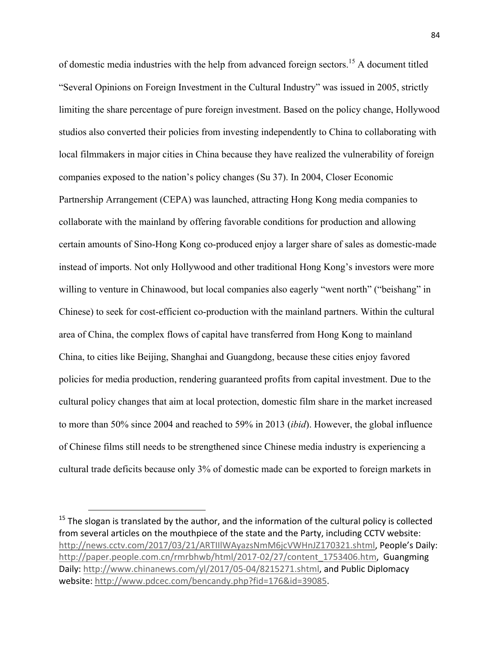of domestic media industries with the help from advanced foreign sectors.<sup>15</sup> A document titled "Several Opinions on Foreign Investment in the Cultural Industry" was issued in 2005, strictly limiting the share percentage of pure foreign investment. Based on the policy change, Hollywood studios also converted their policies from investing independently to China to collaborating with local filmmakers in major cities in China because they have realized the vulnerability of foreign companies exposed to the nation's policy changes (Su 37). In 2004, Closer Economic Partnership Arrangement (CEPA) was launched, attracting Hong Kong media companies to collaborate with the mainland by offering favorable conditions for production and allowing certain amounts of Sino-Hong Kong co-produced enjoy a larger share of sales as domestic-made instead of imports. Not only Hollywood and other traditional Hong Kong's investors were more willing to venture in Chinawood, but local companies also eagerly "went north" ("beishang" in Chinese) to seek for cost-efficient co-production with the mainland partners. Within the cultural area of China, the complex flows of capital have transferred from Hong Kong to mainland China, to cities like Beijing, Shanghai and Guangdong, because these cities enjoy favored policies for media production, rendering guaranteed profits from capital investment. Due to the cultural policy changes that aim at local protection, domestic film share in the market increased to more than 50% since 2004 and reached to 59% in 2013 (*ibid*). However, the global influence of Chinese films still needs to be strengthened since Chinese media industry is experiencing a cultural trade deficits because only 3% of domestic made can be exported to foreign markets in

1

 $15$  The slogan is translated by the author, and the information of the cultural policy is collected from several articles on the mouthpiece of the state and the Party, including CCTV website: http://news.cctv.com/2017/03/21/ARTIIIWAyazsNmM6jcVWHnJZ170321.shtml, People's Daily: http://paper.people.com.cn/rmrbhwb/html/2017-02/27/content\_1753406.htm, Guangming Daily: http://www.chinanews.com/yl/2017/05-04/8215271.shtml, and Public Diplomacy website: http://www.pdcec.com/bencandy.php?fid=176&id=39085.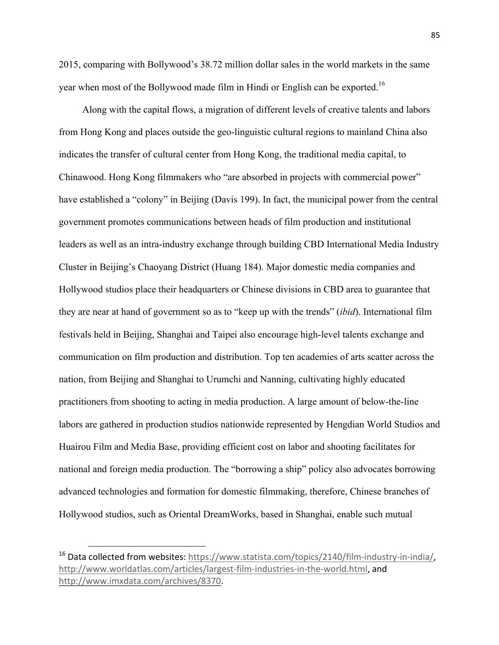2015, comparing with Bollywood's 38.72 million dollar sales in the world markets in the same year when most of the Bollywood made film in Hindi or English can be exported.<sup>16</sup>

Along with the capital flows, a migration of different levels of creative talents and labors from Hong Kong and places outside the geo-linguistic cultural regions to mainland China also indicates the transfer of cultural center from Hong Kong, the traditional media capital, to Chinawood. Hong Kong filmmakers who "are absorbed in projects with commercial power" have established a "colony" in Beijing (Davis 199). In fact, the municipal power from the central government promotes communications between heads of film production and institutional leaders as well as an intra-industry exchange through building CBD International Media Industry Cluster in Beijing's Chaoyang District (Huang 184). Major domestic media companies and Hollywood studios place their headquarters or Chinese divisions in CBD area to guarantee that they are near at hand of government so as to "keep up with the trends" (*ibid*). International film festivals held in Beijing, Shanghai and Taipei also encourage high-level talents exchange and communication on film production and distribution. Top ten academies of arts scatter across the nation, from Beijing and Shanghai to Urumchi and Nanning, cultivating highly educated practitioners from shooting to acting in media production. A large amount of below-the-line labors are gathered in production studios nationwide represented by Hengdian World Studios and Huairou Film and Media Base, providing efficient cost on labor and shooting facilitates for national and foreign media production. The "borrowing a ship" policy also advocates borrowing advanced technologies and formation for domestic filmmaking, therefore, Chinese branches of Hollywood studios, such as Oriental DreamWorks, based in Shanghai, enable such mutual

<sup>&</sup>lt;sup>16</sup> Data collected from websites: https://www.statista.com/topics/2140/film-industry-in-india/, http://www.worldatlas.com/articles/largest-film-industries-in-the-world.html, and http://www.imxdata.com/archives/8370.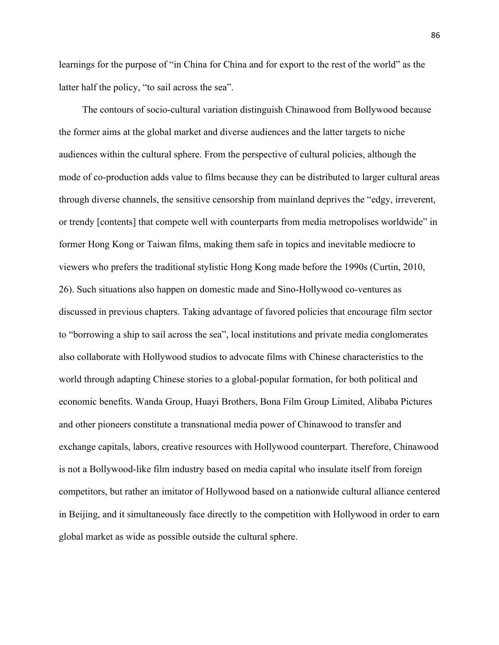learnings for the purpose of "in China for China and for export to the rest of the world" as the latter half the policy, "to sail across the sea".

The contours of socio-cultural variation distinguish Chinawood from Bollywood because the former aims at the global market and diverse audiences and the latter targets to niche audiences within the cultural sphere. From the perspective of cultural policies, although the mode of co-production adds value to films because they can be distributed to larger cultural areas through diverse channels, the sensitive censorship from mainland deprives the "edgy, irreverent, or trendy [contents] that compete well with counterparts from media metropolises worldwide" in former Hong Kong or Taiwan films, making them safe in topics and inevitable mediocre to viewers who prefers the traditional stylistic Hong Kong made before the 1990s (Curtin, 2010, 26). Such situations also happen on domestic made and Sino-Hollywood co-ventures as discussed in previous chapters. Taking advantage of favored policies that encourage film sector to "borrowing a ship to sail across the sea", local institutions and private media conglomerates also collaborate with Hollywood studios to advocate films with Chinese characteristics to the world through adapting Chinese stories to a global-popular formation, for both political and economic benefits. Wanda Group, Huayi Brothers, Bona Film Group Limited, Alibaba Pictures and other pioneers constitute a transnational media power of Chinawood to transfer and exchange capitals, labors, creative resources with Hollywood counterpart. Therefore, Chinawood is not a Bollywood-like film industry based on media capital who insulate itself from foreign competitors, but rather an imitator of Hollywood based on a nationwide cultural alliance centered in Beijing, and it simultaneously face directly to the competition with Hollywood in order to earn global market as wide as possible outside the cultural sphere.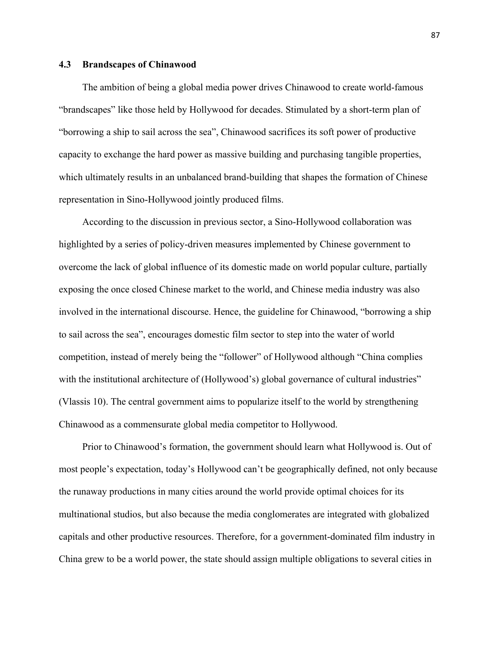## **4.3 Brandscapes of Chinawood**

The ambition of being a global media power drives Chinawood to create world-famous "brandscapes" like those held by Hollywood for decades. Stimulated by a short-term plan of "borrowing a ship to sail across the sea", Chinawood sacrifices its soft power of productive capacity to exchange the hard power as massive building and purchasing tangible properties, which ultimately results in an unbalanced brand-building that shapes the formation of Chinese representation in Sino-Hollywood jointly produced films.

According to the discussion in previous sector, a Sino-Hollywood collaboration was highlighted by a series of policy-driven measures implemented by Chinese government to overcome the lack of global influence of its domestic made on world popular culture, partially exposing the once closed Chinese market to the world, and Chinese media industry was also involved in the international discourse. Hence, the guideline for Chinawood, "borrowing a ship to sail across the sea", encourages domestic film sector to step into the water of world competition, instead of merely being the "follower" of Hollywood although "China complies with the institutional architecture of (Hollywood's) global governance of cultural industries" (Vlassis 10). The central government aims to popularize itself to the world by strengthening Chinawood as a commensurate global media competitor to Hollywood.

Prior to Chinawood's formation, the government should learn what Hollywood is. Out of most people's expectation, today's Hollywood can't be geographically defined, not only because the runaway productions in many cities around the world provide optimal choices for its multinational studios, but also because the media conglomerates are integrated with globalized capitals and other productive resources. Therefore, for a government-dominated film industry in China grew to be a world power, the state should assign multiple obligations to several cities in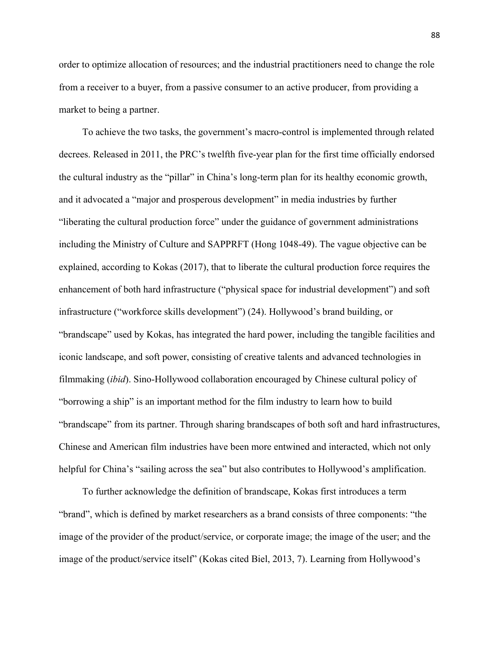order to optimize allocation of resources; and the industrial practitioners need to change the role from a receiver to a buyer, from a passive consumer to an active producer, from providing a market to being a partner.

To achieve the two tasks, the government's macro-control is implemented through related decrees. Released in 2011, the PRC's twelfth five-year plan for the first time officially endorsed the cultural industry as the "pillar" in China's long-term plan for its healthy economic growth, and it advocated a "major and prosperous development" in media industries by further "liberating the cultural production force" under the guidance of government administrations including the Ministry of Culture and SAPPRFT (Hong 1048-49). The vague objective can be explained, according to Kokas (2017), that to liberate the cultural production force requires the enhancement of both hard infrastructure ("physical space for industrial development") and soft infrastructure ("workforce skills development") (24). Hollywood's brand building, or "brandscape" used by Kokas, has integrated the hard power, including the tangible facilities and iconic landscape, and soft power, consisting of creative talents and advanced technologies in filmmaking (*ibid*). Sino-Hollywood collaboration encouraged by Chinese cultural policy of "borrowing a ship" is an important method for the film industry to learn how to build "brandscape" from its partner. Through sharing brandscapes of both soft and hard infrastructures, Chinese and American film industries have been more entwined and interacted, which not only helpful for China's "sailing across the sea" but also contributes to Hollywood's amplification.

To further acknowledge the definition of brandscape, Kokas first introduces a term "brand", which is defined by market researchers as a brand consists of three components: "the image of the provider of the product/service, or corporate image; the image of the user; and the image of the product/service itself" (Kokas cited Biel, 2013, 7). Learning from Hollywood's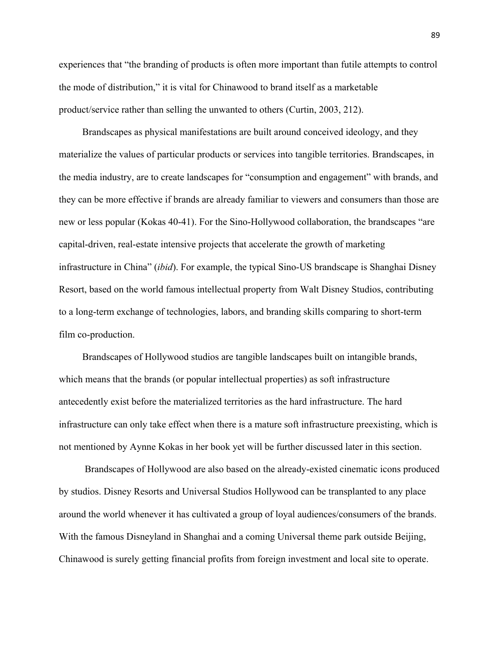experiences that "the branding of products is often more important than futile attempts to control the mode of distribution," it is vital for Chinawood to brand itself as a marketable product/service rather than selling the unwanted to others (Curtin, 2003, 212).

Brandscapes as physical manifestations are built around conceived ideology, and they materialize the values of particular products or services into tangible territories. Brandscapes, in the media industry, are to create landscapes for "consumption and engagement" with brands, and they can be more effective if brands are already familiar to viewers and consumers than those are new or less popular (Kokas 40-41). For the Sino-Hollywood collaboration, the brandscapes "are capital-driven, real-estate intensive projects that accelerate the growth of marketing infrastructure in China" (*ibid*). For example, the typical Sino-US brandscape is Shanghai Disney Resort, based on the world famous intellectual property from Walt Disney Studios, contributing to a long-term exchange of technologies, labors, and branding skills comparing to short-term film co-production.

Brandscapes of Hollywood studios are tangible landscapes built on intangible brands, which means that the brands (or popular intellectual properties) as soft infrastructure antecedently exist before the materialized territories as the hard infrastructure. The hard infrastructure can only take effect when there is a mature soft infrastructure preexisting, which is not mentioned by Aynne Kokas in her book yet will be further discussed later in this section.

Brandscapes of Hollywood are also based on the already-existed cinematic icons produced by studios. Disney Resorts and Universal Studios Hollywood can be transplanted to any place around the world whenever it has cultivated a group of loyal audiences/consumers of the brands. With the famous Disneyland in Shanghai and a coming Universal theme park outside Beijing, Chinawood is surely getting financial profits from foreign investment and local site to operate.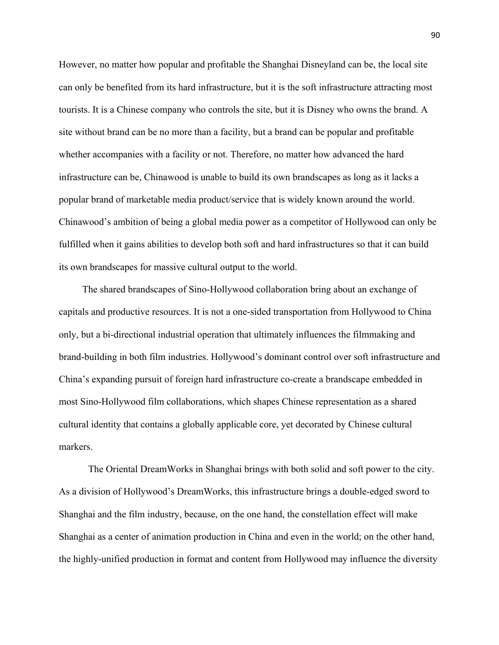However, no matter how popular and profitable the Shanghai Disneyland can be, the local site can only be benefited from its hard infrastructure, but it is the soft infrastructure attracting most tourists. It is a Chinese company who controls the site, but it is Disney who owns the brand. A site without brand can be no more than a facility, but a brand can be popular and profitable whether accompanies with a facility or not. Therefore, no matter how advanced the hard infrastructure can be, Chinawood is unable to build its own brandscapes as long as it lacks a popular brand of marketable media product/service that is widely known around the world. Chinawood's ambition of being a global media power as a competitor of Hollywood can only be fulfilled when it gains abilities to develop both soft and hard infrastructures so that it can build its own brandscapes for massive cultural output to the world.

The shared brandscapes of Sino-Hollywood collaboration bring about an exchange of capitals and productive resources. It is not a one-sided transportation from Hollywood to China only, but a bi-directional industrial operation that ultimately influences the filmmaking and brand-building in both film industries. Hollywood's dominant control over soft infrastructure and China's expanding pursuit of foreign hard infrastructure co-create a brandscape embedded in most Sino-Hollywood film collaborations, which shapes Chinese representation as a shared cultural identity that contains a globally applicable core, yet decorated by Chinese cultural markers.

The Oriental DreamWorks in Shanghai brings with both solid and soft power to the city. As a division of Hollywood's DreamWorks, this infrastructure brings a double-edged sword to Shanghai and the film industry, because, on the one hand, the constellation effect will make Shanghai as a center of animation production in China and even in the world; on the other hand, the highly-unified production in format and content from Hollywood may influence the diversity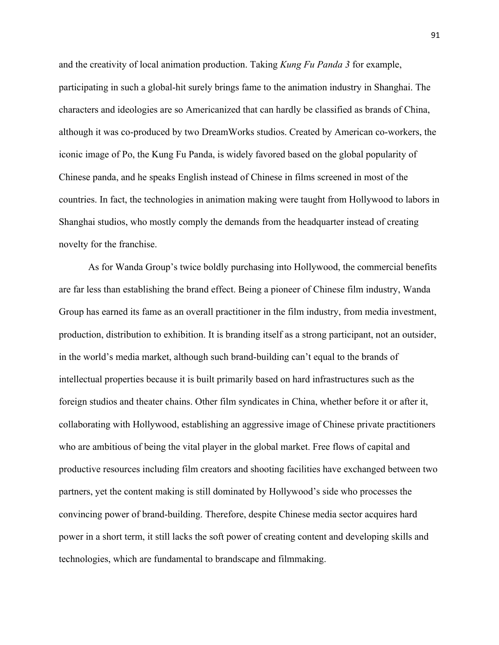and the creativity of local animation production. Taking *Kung Fu Panda 3* for example, participating in such a global-hit surely brings fame to the animation industry in Shanghai. The characters and ideologies are so Americanized that can hardly be classified as brands of China, although it was co-produced by two DreamWorks studios. Created by American co-workers, the iconic image of Po, the Kung Fu Panda, is widely favored based on the global popularity of Chinese panda, and he speaks English instead of Chinese in films screened in most of the countries. In fact, the technologies in animation making were taught from Hollywood to labors in Shanghai studios, who mostly comply the demands from the headquarter instead of creating novelty for the franchise.

As for Wanda Group's twice boldly purchasing into Hollywood, the commercial benefits are far less than establishing the brand effect. Being a pioneer of Chinese film industry, Wanda Group has earned its fame as an overall practitioner in the film industry, from media investment, production, distribution to exhibition. It is branding itself as a strong participant, not an outsider, in the world's media market, although such brand-building can't equal to the brands of intellectual properties because it is built primarily based on hard infrastructures such as the foreign studios and theater chains. Other film syndicates in China, whether before it or after it, collaborating with Hollywood, establishing an aggressive image of Chinese private practitioners who are ambitious of being the vital player in the global market. Free flows of capital and productive resources including film creators and shooting facilities have exchanged between two partners, yet the content making is still dominated by Hollywood's side who processes the convincing power of brand-building. Therefore, despite Chinese media sector acquires hard power in a short term, it still lacks the soft power of creating content and developing skills and technologies, which are fundamental to brandscape and filmmaking.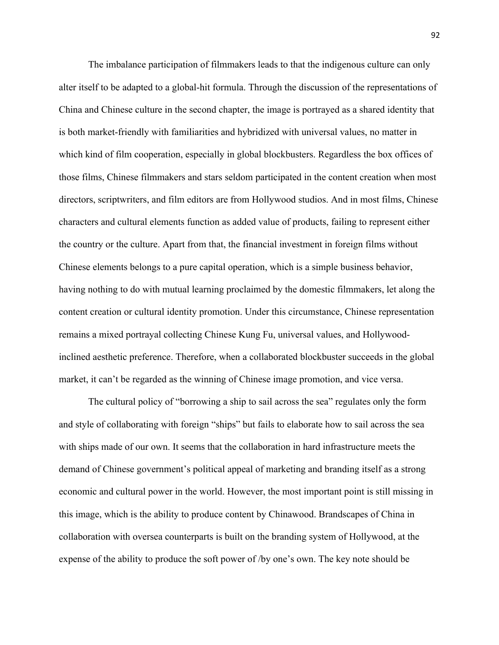The imbalance participation of filmmakers leads to that the indigenous culture can only alter itself to be adapted to a global-hit formula. Through the discussion of the representations of China and Chinese culture in the second chapter, the image is portrayed as a shared identity that is both market-friendly with familiarities and hybridized with universal values, no matter in which kind of film cooperation, especially in global blockbusters. Regardless the box offices of those films, Chinese filmmakers and stars seldom participated in the content creation when most directors, scriptwriters, and film editors are from Hollywood studios. And in most films, Chinese characters and cultural elements function as added value of products, failing to represent either the country or the culture. Apart from that, the financial investment in foreign films without Chinese elements belongs to a pure capital operation, which is a simple business behavior, having nothing to do with mutual learning proclaimed by the domestic filmmakers, let along the content creation or cultural identity promotion. Under this circumstance, Chinese representation remains a mixed portrayal collecting Chinese Kung Fu, universal values, and Hollywoodinclined aesthetic preference. Therefore, when a collaborated blockbuster succeeds in the global market, it can't be regarded as the winning of Chinese image promotion, and vice versa.

The cultural policy of "borrowing a ship to sail across the sea" regulates only the form and style of collaborating with foreign "ships" but fails to elaborate how to sail across the sea with ships made of our own. It seems that the collaboration in hard infrastructure meets the demand of Chinese government's political appeal of marketing and branding itself as a strong economic and cultural power in the world. However, the most important point is still missing in this image, which is the ability to produce content by Chinawood. Brandscapes of China in collaboration with oversea counterparts is built on the branding system of Hollywood, at the expense of the ability to produce the soft power of /by one's own. The key note should be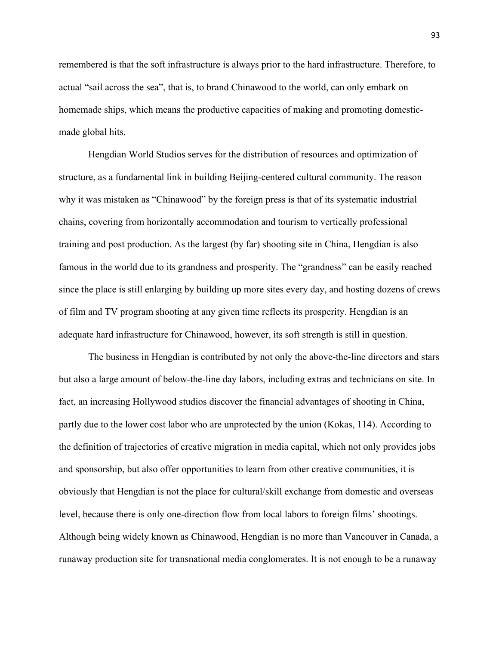remembered is that the soft infrastructure is always prior to the hard infrastructure. Therefore, to actual "sail across the sea", that is, to brand Chinawood to the world, can only embark on homemade ships, which means the productive capacities of making and promoting domesticmade global hits.

Hengdian World Studios serves for the distribution of resources and optimization of structure, as a fundamental link in building Beijing-centered cultural community. The reason why it was mistaken as "Chinawood" by the foreign press is that of its systematic industrial chains, covering from horizontally accommodation and tourism to vertically professional training and post production. As the largest (by far) shooting site in China, Hengdian is also famous in the world due to its grandness and prosperity. The "grandness" can be easily reached since the place is still enlarging by building up more sites every day, and hosting dozens of crews of film and TV program shooting at any given time reflects its prosperity. Hengdian is an adequate hard infrastructure for Chinawood, however, its soft strength is still in question.

The business in Hengdian is contributed by not only the above-the-line directors and stars but also a large amount of below-the-line day labors, including extras and technicians on site. In fact, an increasing Hollywood studios discover the financial advantages of shooting in China, partly due to the lower cost labor who are unprotected by the union (Kokas, 114). According to the definition of trajectories of creative migration in media capital, which not only provides jobs and sponsorship, but also offer opportunities to learn from other creative communities, it is obviously that Hengdian is not the place for cultural/skill exchange from domestic and overseas level, because there is only one-direction flow from local labors to foreign films' shootings. Although being widely known as Chinawood, Hengdian is no more than Vancouver in Canada, a runaway production site for transnational media conglomerates. It is not enough to be a runaway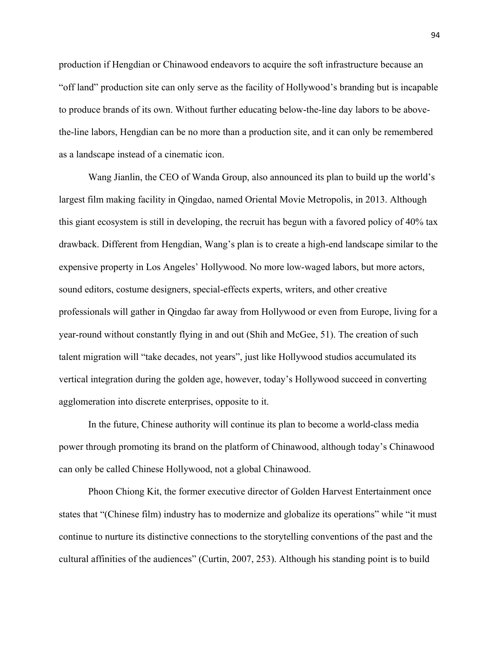production if Hengdian or Chinawood endeavors to acquire the soft infrastructure because an "off land" production site can only serve as the facility of Hollywood's branding but is incapable to produce brands of its own. Without further educating below-the-line day labors to be abovethe-line labors, Hengdian can be no more than a production site, and it can only be remembered as a landscape instead of a cinematic icon.

Wang Jianlin, the CEO of Wanda Group, also announced its plan to build up the world's largest film making facility in Qingdao, named Oriental Movie Metropolis, in 2013. Although this giant ecosystem is still in developing, the recruit has begun with a favored policy of 40% tax drawback. Different from Hengdian, Wang's plan is to create a high-end landscape similar to the expensive property in Los Angeles' Hollywood. No more low-waged labors, but more actors, sound editors, costume designers, special-effects experts, writers, and other creative professionals will gather in Qingdao far away from Hollywood or even from Europe, living for a year-round without constantly flying in and out (Shih and McGee, 51). The creation of such talent migration will "take decades, not years", just like Hollywood studios accumulated its vertical integration during the golden age, however, today's Hollywood succeed in converting agglomeration into discrete enterprises, opposite to it.

In the future, Chinese authority will continue its plan to become a world-class media power through promoting its brand on the platform of Chinawood, although today's Chinawood can only be called Chinese Hollywood, not a global Chinawood.

Phoon Chiong Kit, the former executive director of Golden Harvest Entertainment once states that "(Chinese film) industry has to modernize and globalize its operations" while "it must continue to nurture its distinctive connections to the storytelling conventions of the past and the cultural affinities of the audiences" (Curtin, 2007, 253). Although his standing point is to build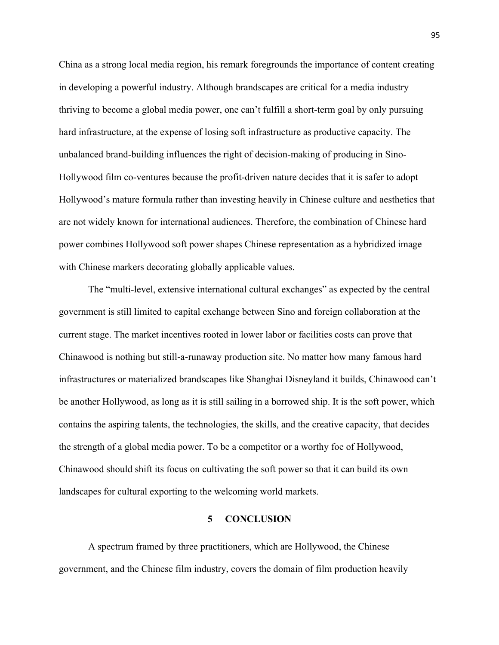China as a strong local media region, his remark foregrounds the importance of content creating in developing a powerful industry. Although brandscapes are critical for a media industry thriving to become a global media power, one can't fulfill a short-term goal by only pursuing hard infrastructure, at the expense of losing soft infrastructure as productive capacity. The unbalanced brand-building influences the right of decision-making of producing in Sino-Hollywood film co-ventures because the profit-driven nature decides that it is safer to adopt Hollywood's mature formula rather than investing heavily in Chinese culture and aesthetics that are not widely known for international audiences. Therefore, the combination of Chinese hard power combines Hollywood soft power shapes Chinese representation as a hybridized image with Chinese markers decorating globally applicable values.

The "multi-level, extensive international cultural exchanges" as expected by the central government is still limited to capital exchange between Sino and foreign collaboration at the current stage. The market incentives rooted in lower labor or facilities costs can prove that Chinawood is nothing but still-a-runaway production site. No matter how many famous hard infrastructures or materialized brandscapes like Shanghai Disneyland it builds, Chinawood can't be another Hollywood, as long as it is still sailing in a borrowed ship. It is the soft power, which contains the aspiring talents, the technologies, the skills, and the creative capacity, that decides the strength of a global media power. To be a competitor or a worthy foe of Hollywood, Chinawood should shift its focus on cultivating the soft power so that it can build its own landscapes for cultural exporting to the welcoming world markets.

## **5 CONCLUSION**

A spectrum framed by three practitioners, which are Hollywood, the Chinese government, and the Chinese film industry, covers the domain of film production heavily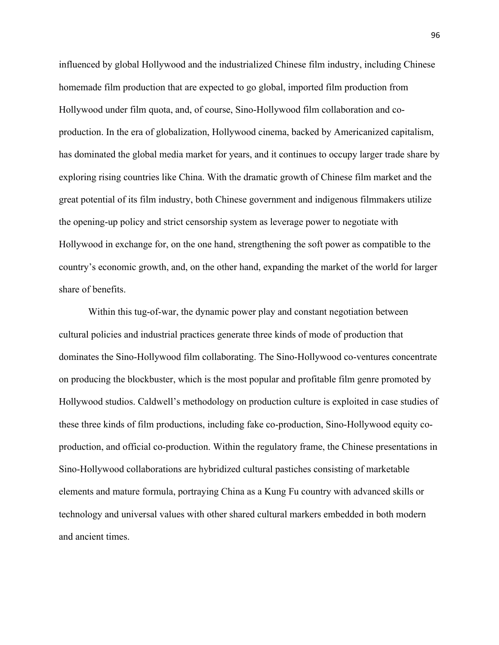influenced by global Hollywood and the industrialized Chinese film industry, including Chinese homemade film production that are expected to go global, imported film production from Hollywood under film quota, and, of course, Sino-Hollywood film collaboration and coproduction. In the era of globalization, Hollywood cinema, backed by Americanized capitalism, has dominated the global media market for years, and it continues to occupy larger trade share by exploring rising countries like China. With the dramatic growth of Chinese film market and the great potential of its film industry, both Chinese government and indigenous filmmakers utilize the opening-up policy and strict censorship system as leverage power to negotiate with Hollywood in exchange for, on the one hand, strengthening the soft power as compatible to the country's economic growth, and, on the other hand, expanding the market of the world for larger share of benefits.

Within this tug-of-war, the dynamic power play and constant negotiation between cultural policies and industrial practices generate three kinds of mode of production that dominates the Sino-Hollywood film collaborating. The Sino-Hollywood co-ventures concentrate on producing the blockbuster, which is the most popular and profitable film genre promoted by Hollywood studios. Caldwell's methodology on production culture is exploited in case studies of these three kinds of film productions, including fake co-production, Sino-Hollywood equity coproduction, and official co-production. Within the regulatory frame, the Chinese presentations in Sino-Hollywood collaborations are hybridized cultural pastiches consisting of marketable elements and mature formula, portraying China as a Kung Fu country with advanced skills or technology and universal values with other shared cultural markers embedded in both modern and ancient times.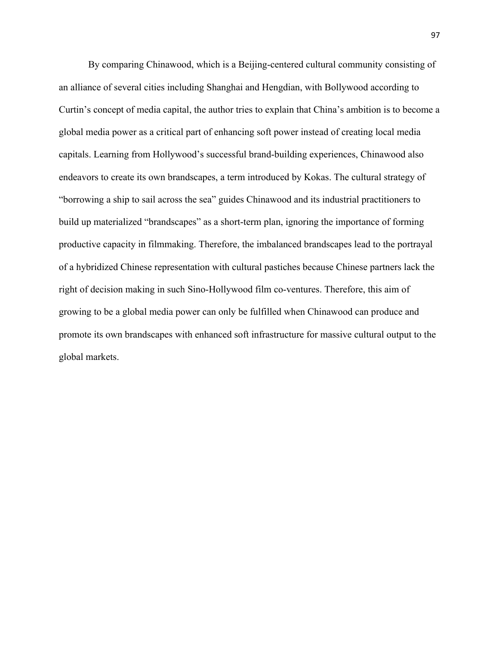By comparing Chinawood, which is a Beijing-centered cultural community consisting of an alliance of several cities including Shanghai and Hengdian, with Bollywood according to Curtin's concept of media capital, the author tries to explain that China's ambition is to become a global media power as a critical part of enhancing soft power instead of creating local media capitals. Learning from Hollywood's successful brand-building experiences, Chinawood also endeavors to create its own brandscapes, a term introduced by Kokas. The cultural strategy of "borrowing a ship to sail across the sea" guides Chinawood and its industrial practitioners to build up materialized "brandscapes" as a short-term plan, ignoring the importance of forming productive capacity in filmmaking. Therefore, the imbalanced brandscapes lead to the portrayal of a hybridized Chinese representation with cultural pastiches because Chinese partners lack the right of decision making in such Sino-Hollywood film co-ventures. Therefore, this aim of growing to be a global media power can only be fulfilled when Chinawood can produce and promote its own brandscapes with enhanced soft infrastructure for massive cultural output to the global markets.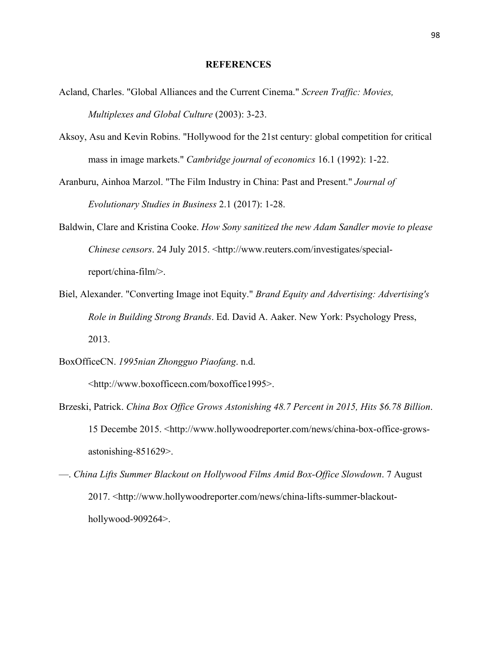### **REFERENCES**

- Acland, Charles. "Global Alliances and the Current Cinema." *Screen Traffic: Movies, Multiplexes and Global Culture* (2003): 3-23.
- Aksoy, Asu and Kevin Robins. "Hollywood for the 21st century: global competition for critical mass in image markets." *Cambridge journal of economics* 16.1 (1992): 1-22.
- Aranburu, Ainhoa Marzol. "The Film Industry in China: Past and Present." *Journal of Evolutionary Studies in Business* 2.1 (2017): 1-28.
- Baldwin, Clare and Kristina Cooke. *How Sony sanitized the new Adam Sandler movie to please Chinese censors*. 24 July 2015. <http://www.reuters.com/investigates/specialreport/china-film/>.
- Biel, Alexander. "Converting Image inot Equity." *Brand Equity and Advertising: Advertising's Role in Building Strong Brands*. Ed. David A. Aaker. New York: Psychology Press, 2013.

BoxOfficeCN. *1995nian Zhongguo Piaofang*. n.d.

<http://www.boxofficecn.com/boxoffice1995>.

- Brzeski, Patrick. *China Box Office Grows Astonishing 48.7 Percent in 2015, Hits \$6.78 Billion*. 15 Decembe 2015. <http://www.hollywoodreporter.com/news/china-box-office-growsastonishing-851629>.
- —. *China Lifts Summer Blackout on Hollywood Films Amid Box-Office Slowdown*. 7 August 2017. <http://www.hollywoodreporter.com/news/china-lifts-summer-blackouthollywood-909264>.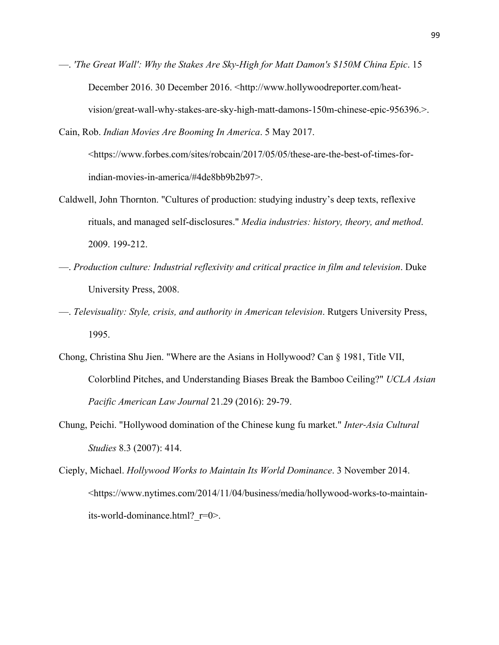- —. *'The Great Wall': Why the Stakes Are Sky-High for Matt Damon's \$150M China Epic*. 15 December 2016. 30 December 2016. <http://www.hollywoodreporter.com/heatvision/great-wall-why-stakes-are-sky-high-matt-damons-150m-chinese-epic-956396.>.
- Cain, Rob. *Indian Movies Are Booming In America*. 5 May 2017. <https://www.forbes.com/sites/robcain/2017/05/05/these-are-the-best-of-times-forindian-movies-in-america/#4de8bb9b2b97>.
- Caldwell, John Thornton. "Cultures of production: studying industry's deep texts, reflexive rituals, and managed self-disclosures." *Media industries: history, theory, and method*. 2009. 199-212.
- —. *Production culture: Industrial reflexivity and critical practice in film and television*. Duke University Press, 2008.
- —. *Televisuality: Style, crisis, and authority in American television*. Rutgers University Press, 1995.
- Chong, Christina Shu Jien. "Where are the Asians in Hollywood? Can § 1981, Title VII, Colorblind Pitches, and Understanding Biases Break the Bamboo Ceiling?" *UCLA Asian Pacific American Law Journal* 21.29 (2016): 29-79.
- Chung, Peichi. "Hollywood domination of the Chinese kung fu market." *Inter-Asia Cultural Studies* 8.3 (2007): 414.
- Cieply, Michael. *Hollywood Works to Maintain Its World Dominance*. 3 November 2014. <https://www.nytimes.com/2014/11/04/business/media/hollywood-works-to-maintainits-world-dominance.html?\_r=0>.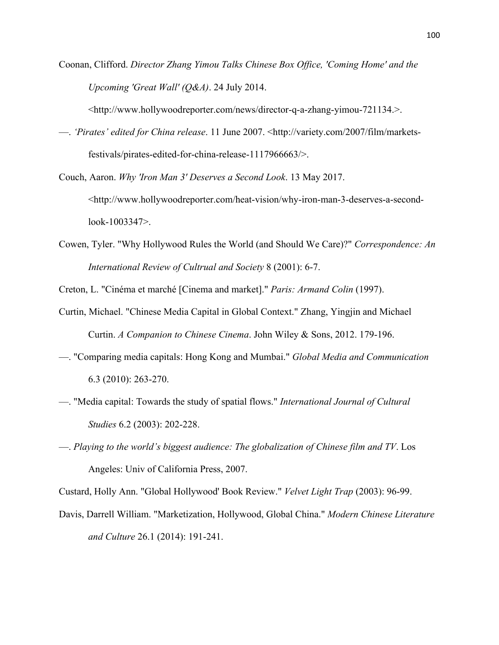Coonan, Clifford. *Director Zhang Yimou Talks Chinese Box Office, 'Coming Home' and the Upcoming 'Great Wall' (Q&A)*. 24 July 2014.

<http://www.hollywoodreporter.com/news/director-q-a-zhang-yimou-721134.>.

- —. *'Pirates' edited for China release*. 11 June 2007. <http://variety.com/2007/film/marketsfestivals/pirates-edited-for-china-release-1117966663/>.
- Couch, Aaron. *Why 'Iron Man 3' Deserves a Second Look*. 13 May 2017. <http://www.hollywoodreporter.com/heat-vision/why-iron-man-3-deserves-a-secondlook-1003347>.
- Cowen, Tyler. "Why Hollywood Rules the World (and Should We Care)?" *Correspondence: An International Review of Cultrual and Society* 8 (2001): 6-7.

Creton, L. "Cinéma et marché [Cinema and market]." *Paris: Armand Colin* (1997).

- Curtin, Michael. "Chinese Media Capital in Global Context." Zhang, Yingjin and Michael Curtin. *A Companion to Chinese Cinema*. John Wiley & Sons, 2012. 179-196.
- —. "Comparing media capitals: Hong Kong and Mumbai." *Global Media and Communication* 6.3 (2010): 263-270.
- —. "Media capital: Towards the study of spatial flows." *International Journal of Cultural Studies* 6.2 (2003): 202-228.
- —. *Playing to the world's biggest audience: The globalization of Chinese film and TV*. Los Angeles: Univ of California Press, 2007.

Custard, Holly Ann. "Global Hollywood' Book Review." *Velvet Light Trap* (2003): 96-99.

Davis, Darrell William. "Marketization, Hollywood, Global China." *Modern Chinese Literature and Culture* 26.1 (2014): 191-241.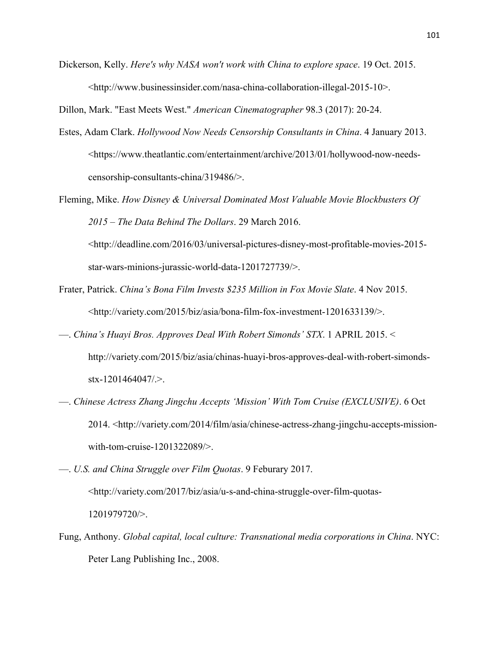Dickerson, Kelly. *Here's why NASA won't work with China to explore space*. 19 Oct. 2015. <http://www.businessinsider.com/nasa-china-collaboration-illegal-2015-10>.

Dillon, Mark. "East Meets West." *American Cinematographer* 98.3 (2017): 20-24.

- Estes, Adam Clark. *Hollywood Now Needs Censorship Consultants in China*. 4 January 2013. <https://www.theatlantic.com/entertainment/archive/2013/01/hollywood-now-needscensorship-consultants-china/319486/>.
- Fleming, Mike. *How Disney & Universal Dominated Most Valuable Movie Blockbusters Of 2015 – The Data Behind The Dollars*. 29 March 2016.

<http://deadline.com/2016/03/universal-pictures-disney-most-profitable-movies-2015 star-wars-minions-jurassic-world-data-1201727739/>.

- Frater, Patrick. *China's Bona Film Invests \$235 Million in Fox Movie Slate*. 4 Nov 2015. <http://variety.com/2015/biz/asia/bona-film-fox-investment-1201633139/>.
- —. *China's Huayi Bros. Approves Deal With Robert Simonds' STX*. 1 APRIL 2015. < http://variety.com/2015/biz/asia/chinas-huayi-bros-approves-deal-with-robert-simondsstx-1201464047/.>.
- —. *Chinese Actress Zhang Jingchu Accepts 'Mission' With Tom Cruise (EXCLUSIVE)*. 6 Oct 2014. <http://variety.com/2014/film/asia/chinese-actress-zhang-jingchu-accepts-missionwith-tom-cruise-1201322089/>.
- —. *U.S. and China Struggle over Film Quotas*. 9 Feburary 2017. <http://variety.com/2017/biz/asia/u-s-and-china-struggle-over-film-quotas-1201979720/>.
- Fung, Anthony. *Global capital, local culture: Transnational media corporations in China*. NYC: Peter Lang Publishing Inc., 2008.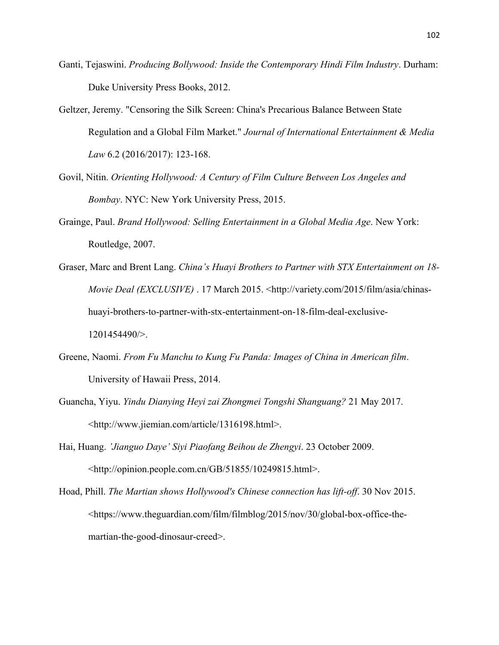- Ganti, Tejaswini. *Producing Bollywood: Inside the Contemporary Hindi Film Industry*. Durham: Duke University Press Books, 2012.
- Geltzer, Jeremy. "Censoring the Silk Screen: China's Precarious Balance Between State Regulation and a Global Film Market." *Journal of International Entertainment & Media Law* 6.2 (2016/2017): 123-168.
- Govil, Nitin. *Orienting Hollywood: A Century of Film Culture Between Los Angeles and Bombay*. NYC: New York University Press, 2015.
- Grainge, Paul. *Brand Hollywood: Selling Entertainment in a Global Media Age*. New York: Routledge, 2007.
- Graser, Marc and Brent Lang. *China's Huayi Brothers to Partner with STX Entertainment on 18- Movie Deal (EXCLUSIVE)* . 17 March 2015. <http://variety.com/2015/film/asia/chinashuayi-brothers-to-partner-with-stx-entertainment-on-18-film-deal-exclusive-1201454490/>.
- Greene, Naomi. *From Fu Manchu to Kung Fu Panda: Images of China in American film*. University of Hawaii Press, 2014.
- Guancha, Yiyu. *Yindu Dianying Heyi zai Zhongmei Tongshi Shanguang?* 21 May 2017. <http://www.jiemian.com/article/1316198.html>.
- Hai, Huang. *'Jianguo Daye' Siyi Piaofang Beihou de Zhengyi*. 23 October 2009. <http://opinion.people.com.cn/GB/51855/10249815.html>.
- Hoad, Phill. *The Martian shows Hollywood's Chinese connection has lift-off*. 30 Nov 2015. <https://www.theguardian.com/film/filmblog/2015/nov/30/global-box-office-themartian-the-good-dinosaur-creed>.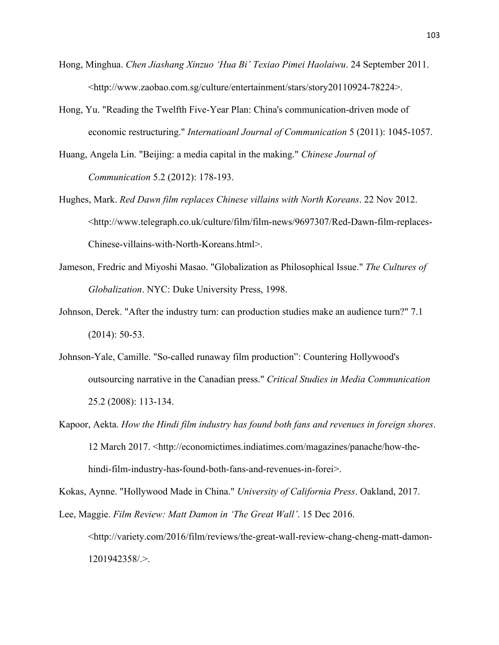- Hong, Minghua. *Chen Jiashang Xinzuo 'Hua Bi' Texiao Pimei Haolaiwu*. 24 September 2011. <http://www.zaobao.com.sg/culture/entertainment/stars/story20110924-78224>.
- Hong, Yu. "Reading the Twelfth Five-Year Plan: China's communication-driven mode of economic restructuring." *Internatioanl Journal of Communication* 5 (2011): 1045-1057.
- Huang, Angela Lin. "Beijing: a media capital in the making." *Chinese Journal of Communication* 5.2 (2012): 178-193.
- Hughes, Mark. *Red Dawn film replaces Chinese villains with North Koreans*. 22 Nov 2012. <http://www.telegraph.co.uk/culture/film/film-news/9697307/Red-Dawn-film-replaces-Chinese-villains-with-North-Koreans.html>.
- Jameson, Fredric and Miyoshi Masao. "Globalization as Philosophical Issue." *The Cultures of Globalization*. NYC: Duke University Press, 1998.
- Johnson, Derek. "After the industry turn: can production studies make an audience turn?" 7.1 (2014): 50-53.
- Johnson-Yale, Camille. "So-called runaway film production": Countering Hollywood's outsourcing narrative in the Canadian press." *Critical Studies in Media Communication* 25.2 (2008): 113-134.
- Kapoor, Aekta. *How the Hindi film industry has found both fans and revenues in foreign shores*. 12 March 2017. <http://economictimes.indiatimes.com/magazines/panache/how-thehindi-film-industry-has-found-both-fans-and-revenues-in-forei>.

Kokas, Aynne. "Hollywood Made in China." *University of California Press*. Oakland, 2017.

Lee, Maggie. *Film Review: Matt Damon in 'The Great Wall'*. 15 Dec 2016. <http://variety.com/2016/film/reviews/the-great-wall-review-chang-cheng-matt-damon-1201942358/.>.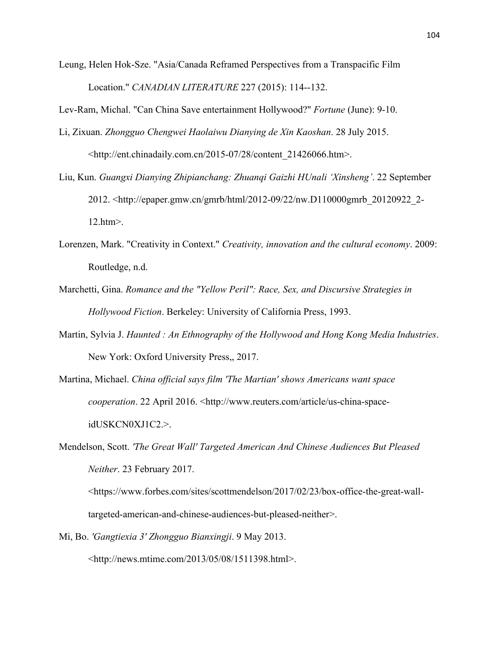Leung, Helen Hok-Sze. "Asia/Canada Reframed Perspectives from a Transpacific Film Location." *CANADIAN LITERATURE* 227 (2015): 114--132.

Lev-Ram, Michal. "Can China Save entertainment Hollywood?" *Fortune* (June): 9-10.

- Li, Zixuan. *Zhongguo Chengwei Haolaiwu Dianying de Xin Kaoshan*. 28 July 2015. <http://ent.chinadaily.com.cn/2015-07/28/content\_21426066.htm>.
- Liu, Kun. *Guangxi Dianying Zhipianchang: Zhuanqi Gaizhi HUnali 'Xinsheng'*. 22 September 2012. <http://epaper.gmw.cn/gmrb/html/2012-09/22/nw.D110000gmrb\_20120922\_2- 12.htm>.
- Lorenzen, Mark. "Creativity in Context." *Creativity, innovation and the cultural economy*. 2009: Routledge, n.d.
- Marchetti, Gina. *Romance and the "Yellow Peril": Race, Sex, and Discursive Strategies in Hollywood Fiction*. Berkeley: University of California Press, 1993.
- Martin, Sylvia J. *Haunted : An Ethnography of the Hollywood and Hong Kong Media Industries*. New York: Oxford University Press,, 2017.
- Martina, Michael. *China official says film 'The Martian' shows Americans want space cooperation*. 22 April 2016. <http://www.reuters.com/article/us-china-spaceidUSKCN0XJ1C2.>.
- Mendelson, Scott. *'The Great Wall' Targeted American And Chinese Audiences But Pleased Neither*. 23 February 2017. <https://www.forbes.com/sites/scottmendelson/2017/02/23/box-office-the-great-wall-

targeted-american-and-chinese-audiences-but-pleased-neither>.

Mi, Bo. *'Gangtiexia 3' Zhongguo Bianxingji*. 9 May 2013. <http://news.mtime.com/2013/05/08/1511398.html>.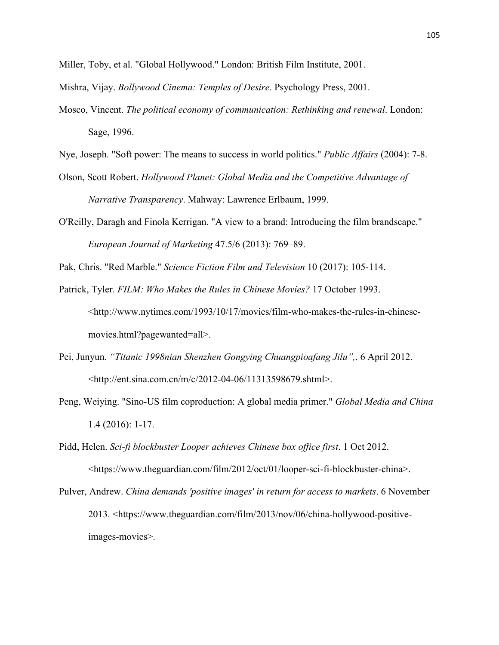Miller, Toby, et al. "Global Hollywood." London: British Film Institute, 2001.

Mishra, Vijay. *Bollywood Cinema: Temples of Desire*. Psychology Press, 2001.

Mosco, Vincent. *The political economy of communication: Rethinking and renewal*. London: Sage, 1996.

Nye, Joseph. "Soft power: The means to success in world politics." *Public Affairs* (2004): 7-8.

- Olson, Scott Robert. *Hollywood Planet: Global Media and the Competitive Advantage of Narrative Transparency*. Mahway: Lawrence Erlbaum, 1999.
- O'Reilly, Daragh and Finola Kerrigan. "A view to a brand: Introducing the film brandscape." *European Journal of Marketing* 47.5/6 (2013): 769–89.

Pak, Chris. "Red Marble." *Science Fiction Film and Television* 10 (2017): 105-114.

- Patrick, Tyler. *FILM: Who Makes the Rules in Chinese Movies?* 17 October 1993. <http://www.nytimes.com/1993/10/17/movies/film-who-makes-the-rules-in-chinesemovies.html?pagewanted=all>.
- Pei, Junyun. *"Titanic 1998nian Shenzhen Gongying Chuangpioafang Jilu",*. 6 April 2012. <http://ent.sina.com.cn/m/c/2012-04-06/11313598679.shtml>.
- Peng, Weiying. "Sino-US film coproduction: A global media primer." *Global Media and China* 1.4 (2016): 1-17.
- Pidd, Helen. *Sci-fi blockbuster Looper achieves Chinese box office first*. 1 Oct 2012. <https://www.theguardian.com/film/2012/oct/01/looper-sci-fi-blockbuster-china>.
- Pulver, Andrew. *China demands 'positive images' in return for access to markets*. 6 November 2013. <https://www.theguardian.com/film/2013/nov/06/china-hollywood-positiveimages-movies>.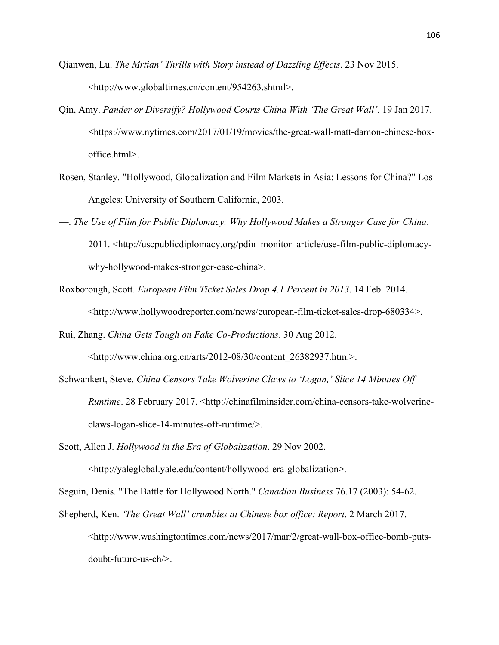- Qianwen, Lu. *The Mrtian' Thrills with Story instead of Dazzling Effects*. 23 Nov 2015. <http://www.globaltimes.cn/content/954263.shtml>.
- Qin, Amy. *Pander or Diversify? Hollywood Courts China With 'The Great Wall'*. 19 Jan 2017. <https://www.nytimes.com/2017/01/19/movies/the-great-wall-matt-damon-chinese-boxoffice.html>.
- Rosen, Stanley. "Hollywood, Globalization and Film Markets in Asia: Lessons for China?" Los Angeles: University of Southern California, 2003.
- —. *The Use of Film for Public Diplomacy: Why Hollywood Makes a Stronger Case for China*. 2011. <http://uscpublicdiplomacy.org/pdin\_monitor\_article/use-film-public-diplomacywhy-hollywood-makes-stronger-case-china>.
- Roxborough, Scott. *European Film Ticket Sales Drop 4.1 Percent in 2013*. 14 Feb. 2014. <http://www.hollywoodreporter.com/news/european-film-ticket-sales-drop-680334>.
- Rui, Zhang. *China Gets Tough on Fake Co-Productions*. 30 Aug 2012.

<http://www.china.org.cn/arts/2012-08/30/content\_26382937.htm.>.

- Schwankert, Steve. *China Censors Take Wolverine Claws to 'Logan,' Slice 14 Minutes Off Runtime*. 28 February 2017. <http://chinafilminsider.com/china-censors-take-wolverineclaws-logan-slice-14-minutes-off-runtime/>.
- Scott, Allen J. *Hollywood in the Era of Globalization*. 29 Nov 2002. <http://yaleglobal.yale.edu/content/hollywood-era-globalization>.

Seguin, Denis. "The Battle for Hollywood North." *Canadian Business* 76.17 (2003): 54-62.

Shepherd, Ken. *'The Great Wall' crumbles at Chinese box office: Report*. 2 March 2017. <http://www.washingtontimes.com/news/2017/mar/2/great-wall-box-office-bomb-putsdoubt-future-us-ch/>.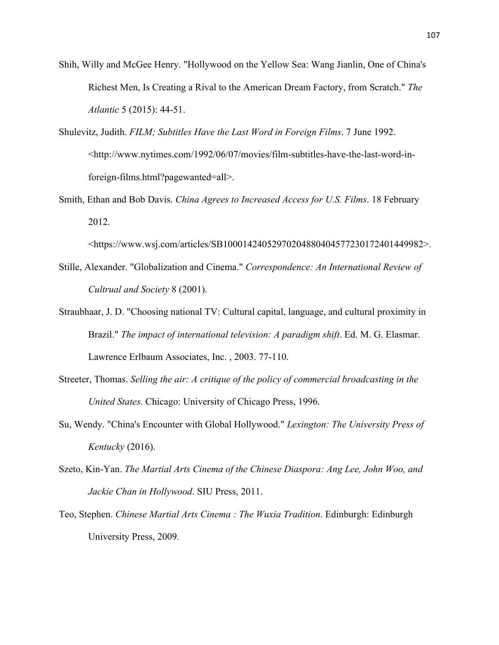- Shih, Willy and McGee Henry. "Hollywood on the Yellow Sea: Wang Jianlin, One of China's Richest Men, Is Creating a Rival to the American Dream Factory, from Scratch." *The Atlantic* 5 (2015): 44-51.
- Shulevitz, Judith. *FILM; Subtitles Have the Last Word in Foreign Films*. 7 June 1992. <http://www.nytimes.com/1992/06/07/movies/film-subtitles-have-the-last-word-inforeign-films.html?pagewanted=all>.
- Smith, Ethan and Bob Davis. *China Agrees to Increased Access for U.S. Films*. 18 February 2012.

<https://www.wsj.com/articles/SB10001424052970204880404577230172401449982>.

- Stille, Alexander. "Globalization and Cinema." *Correspondence: An International Review of Cultrual and Society* 8 (2001).
- Straubhaar, J. D. "Choosing national TV: Cultural capital, language, and cultural proximity in Brazil." *The impact of international television: A paradigm shift*. Ed. M. G. Elasmar. Lawrence Erlbaum Associates, Inc. , 2003. 77-110.
- Streeter, Thomas. *Selling the air: A critique of the policy of commercial broadcasting in the United States*. Chicago: University of Chicago Press, 1996.
- Su, Wendy. "China's Encounter with Global Hollywood." *Lexington: The University Press of Kentucky* (2016).
- Szeto, Kin-Yan. *The Martial Arts Cinema of the Chinese Diaspora: Ang Lee, John Woo, and Jackie Chan in Hollywood*. SIU Press, 2011.
- Teo, Stephen. *Chinese Martial Arts Cinema : The Wuxia Tradition*. Edinburgh: Edinburgh University Press, 2009.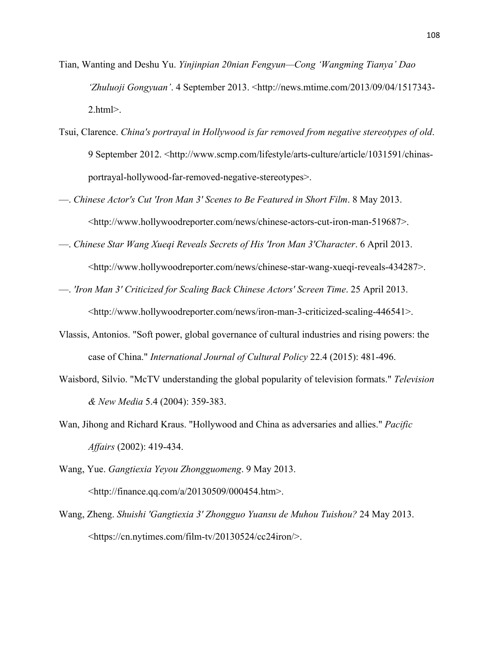- Tian, Wanting and Deshu Yu. *Yinjinpian 20nian Fengyun—Cong 'Wangming Tianya' Dao 'Zhuluoji Gongyuan'*. 4 September 2013. <http://news.mtime.com/2013/09/04/1517343- 2.html>.
- Tsui, Clarence. *China's portrayal in Hollywood is far removed from negative stereotypes of old*. 9 September 2012. <http://www.scmp.com/lifestyle/arts-culture/article/1031591/chinasportrayal-hollywood-far-removed-negative-stereotypes>.
- —. *Chinese Actor's Cut 'Iron Man 3' Scenes to Be Featured in Short Film*. 8 May 2013. <http://www.hollywoodreporter.com/news/chinese-actors-cut-iron-man-519687>.
- —. *Chinese Star Wang Xueqi Reveals Secrets of His 'Iron Man 3'Character*. 6 April 2013. <http://www.hollywoodreporter.com/news/chinese-star-wang-xueqi-reveals-434287>.
- —. *'Iron Man 3' Criticized for Scaling Back Chinese Actors' Screen Time*. 25 April 2013. <http://www.hollywoodreporter.com/news/iron-man-3-criticized-scaling-446541>.
- Vlassis, Antonios. "Soft power, global governance of cultural industries and rising powers: the case of China." *International Journal of Cultural Policy* 22.4 (2015): 481-496.
- Waisbord, Silvio. "McTV understanding the global popularity of television formats." *Television & New Media* 5.4 (2004): 359-383.
- Wan, Jihong and Richard Kraus. "Hollywood and China as adversaries and allies." *Pacific Affairs* (2002): 419-434.
- Wang, Yue. *Gangtiexia Yeyou Zhongguomeng*. 9 May 2013. <http://finance.qq.com/a/20130509/000454.htm>.
- Wang, Zheng. *Shuishi 'Gangtiexia 3' Zhongguo Yuansu de Muhou Tuishou?* 24 May 2013. <https://cn.nytimes.com/film-tv/20130524/cc24iron/>.